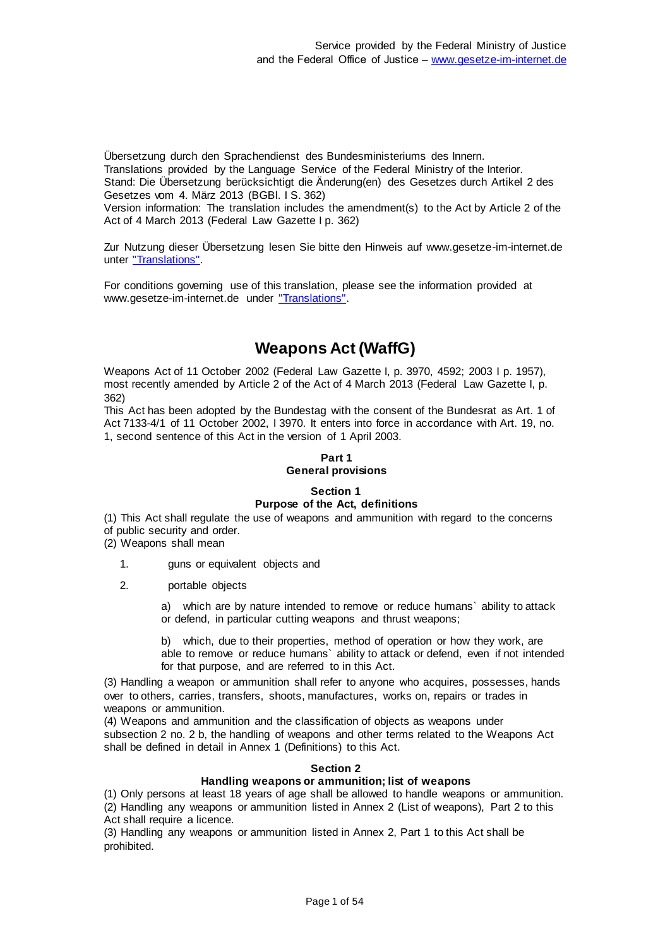Übersetzung durch den Sprachendienst des Bundesministeriums des Innern. Translations provided by the Language Service of the Federal Ministry of the Interior. Stand: Die Übersetzung berücksichtigt die Änderung(en) des Gesetzes durch Artikel 2 des Gesetzes vom 4. März 2013 (BGBl. I S. 362)

Version information: The translation includes the amendment(s) to the Act by Article 2 of the Act of 4 March 2013 (Federal Law Gazette I p. 362)

Zur Nutzung dieser Übersetzung lesen Sie bitte den Hinweis auf www.gesetze-im-internet.de unter ["Translations".](https://www.gesetze-im-internet.de/Teilliste_translations.html)

For conditions governing use of this translation, please see the information provided at www.gesetze-im-internet.de under ["Translations".](https://www.gesetze-im-internet.de/Teilliste_translations.html)

# **Weapons Act (WaffG)**

Weapons Act of 11 October 2002 (Federal Law Gazette I, p. 3970, 4592; 2003 I p. 1957), most recently amended by Article 2 of the Act of 4 March 2013 (Federal Law Gazette I, p. 362)

This Act has been adopted by the Bundestag with the consent of the Bundesrat as Art. 1 of Act 7133-4/1 of 11 October 2002, I 3970. It enters into force in accordance with Art. 19, no. 1, second sentence of this Act in the version of 1 April 2003.

# **Part 1 General provisions**

#### **Section 1 Purpose of the Act, definitions**

(1) This Act shall regulate the use of weapons and ammunition with regard to the concerns of public security and order.

(2) Weapons shall mean

- 1. guns or equivalent objects and
- 2. portable objects

a) which are by nature intended to remove or reduce humans` ability to attack or defend, in particular cutting weapons and thrust weapons;

b) which, due to their properties, method of operation or how they work, are able to remove or reduce humans` ability to attack or defend, even if not intended for that purpose, and are referred to in this Act.

(3) Handling a weapon or ammunition shall refer to anyone who acquires, possesses, hands over to others, carries, transfers, shoots, manufactures, works on, repairs or trades in weapons or ammunition.

(4) Weapons and ammunition and the classification of objects as weapons under subsection 2 no. 2 b, the handling of weapons and other terms related to the Weapons Act shall be defined in detail in Annex 1 (Definitions) to this Act.

### **Section 2**

# **Handling weapons or ammunition; list of weapons**

(1) Only persons at least 18 years of age shall be allowed to handle weapons or ammunition. (2) Handling any weapons or ammunition listed in Annex 2 (List of weapons), Part 2 to this Act shall require a licence.

(3) Handling any weapons or ammunition listed in Annex 2, Part 1 to this Act shall be prohibited.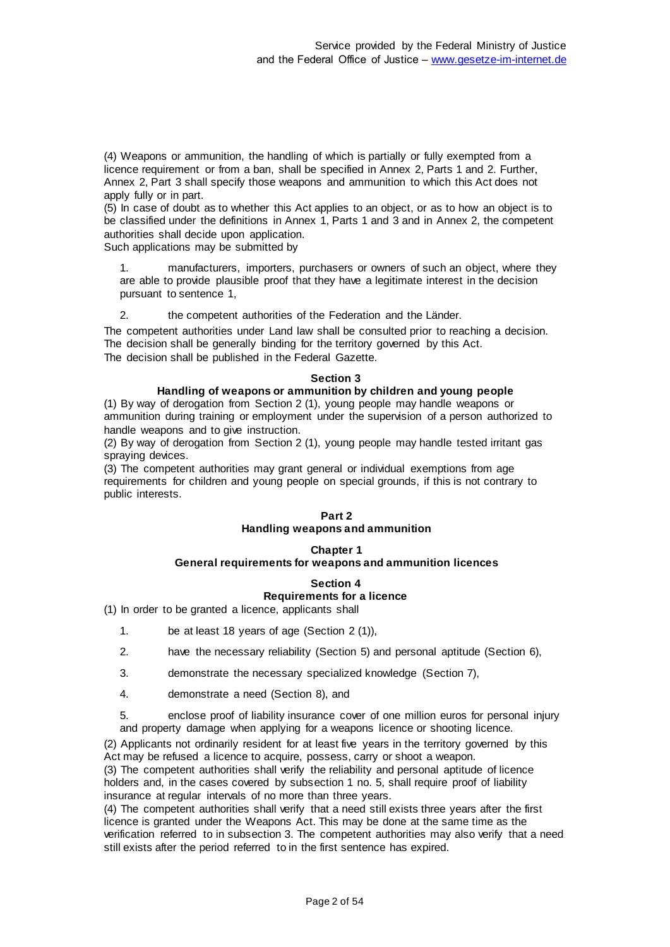(4) Weapons or ammunition, the handling of which is partially or fully exempted from a licence requirement or from a ban, shall be specified in Annex 2, Parts 1 and 2. Further, Annex 2, Part 3 shall specify those weapons and ammunition to which this Act does not apply fully or in part.

(5) In case of doubt as to whether this Act applies to an object, or as to how an object is to be classified under the definitions in Annex 1, Parts 1 and 3 and in Annex 2, the competent authorities shall decide upon application.

Such applications may be submitted by

1. manufacturers, importers, purchasers or owners of such an object, where they are able to provide plausible proof that they have a legitimate interest in the decision pursuant to sentence 1,

2. the competent authorities of the Federation and the Länder.

The competent authorities under Land law shall be consulted prior to reaching a decision. The decision shall be generally binding for the territory governed by this Act. The decision shall be published in the Federal Gazette.

#### **Section 3**

# **Handling of weapons or ammunition by children and young people**

(1) By way of derogation from Section 2 (1), young people may handle weapons or ammunition during training or employment under the supervision of a person authorized to handle weapons and to give instruction.

(2) By way of derogation from Section 2 (1), young people may handle tested irritant gas spraying devices.

(3) The competent authorities may grant general or individual exemptions from age requirements for children and young people on special grounds, if this is not contrary to public interests.

### **Part 2 Handling weapons and ammunition**

#### **Chapter 1 General requirements for weapons and ammunition licences**

# **Section 4 Requirements for a licence**

(1) In order to be granted a licence, applicants shall

- 1. be at least 18 years of age (Section 2 (1)),
- 2. have the necessary reliability (Section 5) and personal aptitude (Section 6),
- 3. demonstrate the necessary specialized knowledge (Section 7),
- 4. demonstrate a need (Section 8), and

5. enclose proof of liability insurance cover of one million euros for personal injury and property damage when applying for a weapons licence or shooting licence.

(2) Applicants not ordinarily resident for at least five years in the territory governed by this Act may be refused a licence to acquire, possess, carry or shoot a weapon.

(3) The competent authorities shall verify the reliability and personal aptitude of licence holders and, in the cases covered by subsection 1 no. 5, shall require proof of liability insurance at regular intervals of no more than three years.

(4) The competent authorities shall verify that a need still exists three years after the first licence is granted under the Weapons Act. This may be done at the same time as the verification referred to in subsection 3. The competent authorities may also verify that a need still exists after the period referred to in the first sentence has expired.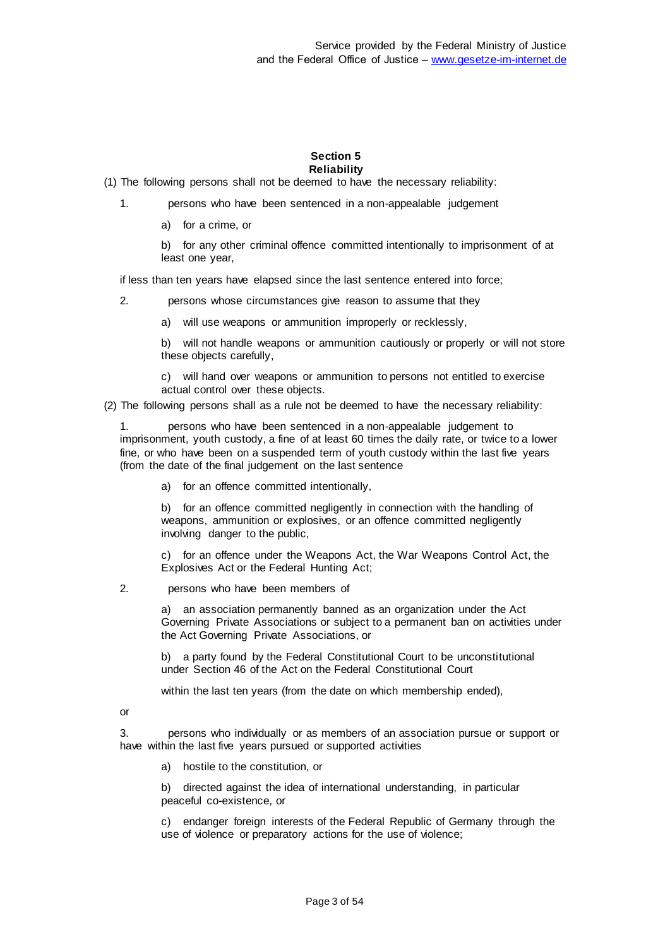#### **Section 5 Reliability**

(1) The following persons shall not be deemed to have the necessary reliability:

- 1. persons who have been sentenced in a non-appealable judgement
	- a) for a crime, or

b) for any other criminal offence committed intentionally to imprisonment of at least one year,

if less than ten years have elapsed since the last sentence entered into force;

- 2. persons whose circumstances give reason to assume that they
	- a) will use weapons or ammunition improperly or recklessly,

b) will not handle weapons or ammunition cautiously or properly or will not store these objects carefully,

c) will hand over weapons or ammunition to persons not entitled to exercise actual control over these objects.

(2) The following persons shall as a rule not be deemed to have the necessary reliability:

1. persons who have been sentenced in a non-appealable judgement to imprisonment, youth custody, a fine of at least 60 times the daily rate, or twice to a lower fine, or who have been on a suspended term of youth custody within the last five years (from the date of the final judgement on the last sentence

a) for an offence committed intentionally,

b) for an offence committed negligently in connection with the handling of weapons, ammunition or explosives, or an offence committed negligently involving danger to the public,

c) for an offence under the Weapons Act, the War Weapons Control Act, the Explosives Act or the Federal Hunting Act;

2. persons who have been members of

a) an association permanently banned as an organization under the Act Governing Private Associations or subject to a permanent ban on activities under the Act Governing Private Associations, or

b) a party found by the Federal Constitutional Court to be unconstitutional under Section 46 of the Act on the Federal Constitutional Court

within the last ten years (from the date on which membership ended),

or

3. persons who individually or as members of an association pursue or support or have within the last five years pursued or supported activities

a) hostile to the constitution, or

b) directed against the idea of international understanding, in particular peaceful co-existence, or

c) endanger foreign interests of the Federal Republic of Germany through the use of violence or preparatory actions for the use of violence;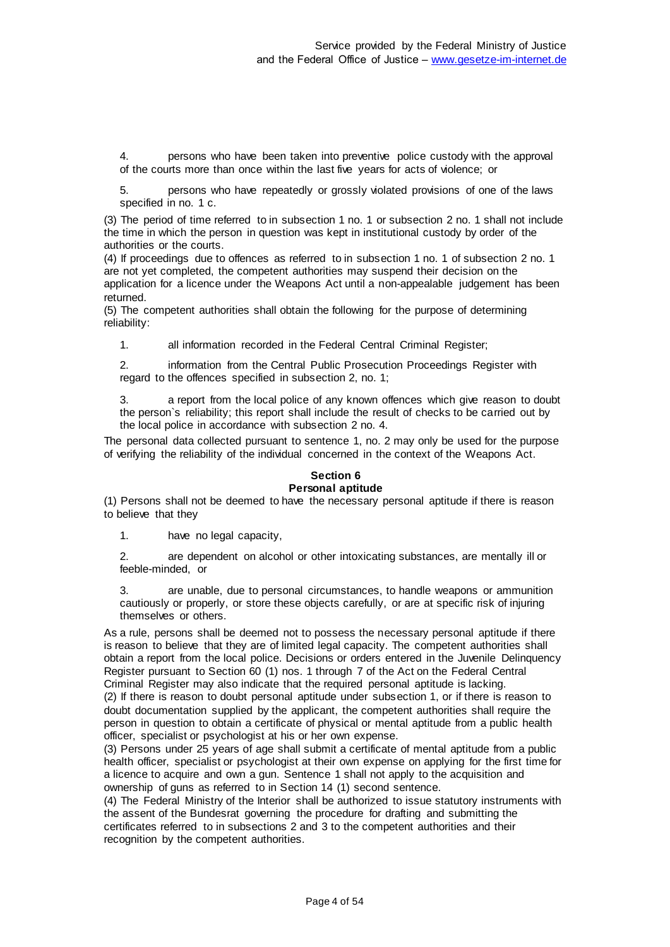4. persons who have been taken into preventive police custody with the approval of the courts more than once within the last five years for acts of violence; or

5. persons who have repeatedly or grossly violated provisions of one of the laws specified in no. 1 c.

(3) The period of time referred to in subsection 1 no. 1 or subsection 2 no. 1 shall not include the time in which the person in question was kept in institutional custody by order of the authorities or the courts.

(4) If proceedings due to offences as referred to in subsection 1 no. 1 of subsection 2 no. 1 are not yet completed, the competent authorities may suspend their decision on the application for a licence under the Weapons Act until a non-appealable judgement has been returned.

(5) The competent authorities shall obtain the following for the purpose of determining reliability:

1. all information recorded in the Federal Central Criminal Register;

2. information from the Central Public Prosecution Proceedings Register with regard to the offences specified in subsection 2, no. 1;

3. a report from the local police of any known offences which give reason to doubt the person`s reliability; this report shall include the result of checks to be carried out by the local police in accordance with subsection 2 no. 4.

The personal data collected pursuant to sentence 1, no. 2 may only be used for the purpose of verifying the reliability of the individual concerned in the context of the Weapons Act.

#### **Section 6 Personal aptitude**

(1) Persons shall not be deemed to have the necessary personal aptitude if there is reason to believe that they

1. have no legal capacity,

2. are dependent on alcohol or other intoxicating substances, are mentally ill or feeble-minded, or

3. are unable, due to personal circumstances, to handle weapons or ammunition cautiously or properly, or store these objects carefully, or are at specific risk of injuring themselves or others.

As a rule, persons shall be deemed not to possess the necessary personal aptitude if there is reason to believe that they are of limited legal capacity. The competent authorities shall obtain a report from the local police. Decisions or orders entered in the Juvenile Delinquency Register pursuant to Section 60 (1) nos. 1 through 7 of the Act on the Federal Central Criminal Register may also indicate that the required personal aptitude is lacking. (2) If there is reason to doubt personal aptitude under subsection 1, or if there is reason to doubt documentation supplied by the applicant, the competent authorities shall require the person in question to obtain a certificate of physical or mental aptitude from a public health officer, specialist or psychologist at his or her own expense.

(3) Persons under 25 years of age shall submit a certificate of mental aptitude from a public health officer, specialist or psychologist at their own expense on applying for the first time for a licence to acquire and own a gun. Sentence 1 shall not apply to the acquisition and ownership of guns as referred to in Section 14 (1) second sentence.

(4) The Federal Ministry of the Interior shall be authorized to issue statutory instruments with the assent of the Bundesrat governing the procedure for drafting and submitting the certificates referred to in subsections 2 and 3 to the competent authorities and their recognition by the competent authorities.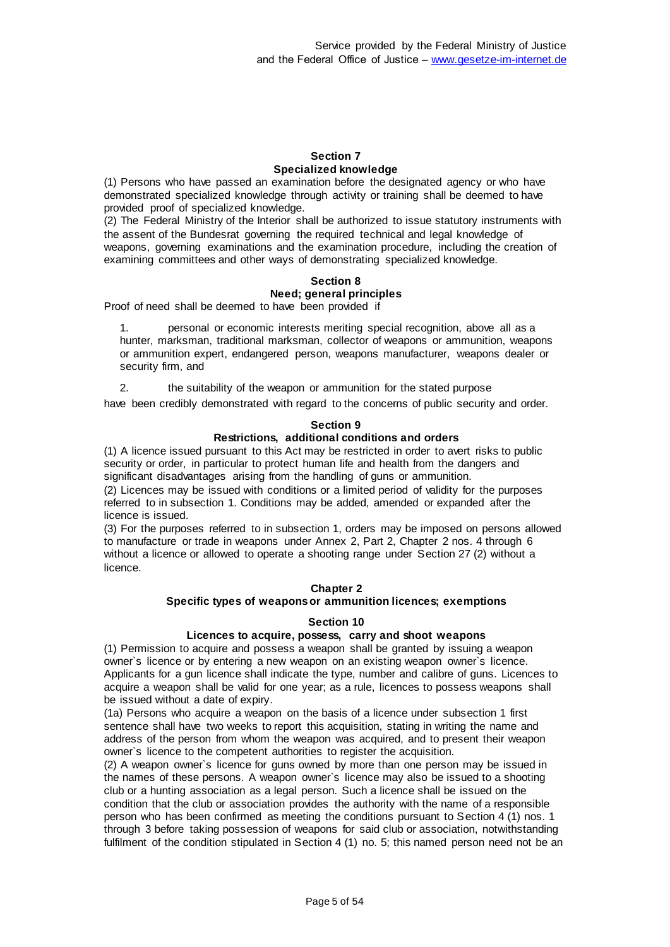#### **Section 7 Specialized knowledge**

(1) Persons who have passed an examination before the designated agency or who have demonstrated specialized knowledge through activity or training shall be deemed to have provided proof of specialized knowledge.

(2) The Federal Ministry of the Interior shall be authorized to issue statutory instruments with the assent of the Bundesrat governing the required technical and legal knowledge of weapons, governing examinations and the examination procedure, including the creation of examining committees and other ways of demonstrating specialized knowledge.

# **Section 8**

#### **Need; general principles**

Proof of need shall be deemed to have been provided if

1. personal or economic interests meriting special recognition, above all as a hunter, marksman, traditional marksman, collector of weapons or ammunition, weapons or ammunition expert, endangered person, weapons manufacturer, weapons dealer or security firm, and

2. the suitability of the weapon or ammunition for the stated purpose

have been credibly demonstrated with regard to the concerns of public security and order.

#### **Section 9**

# **Restrictions, additional conditions and orders**

(1) A licence issued pursuant to this Act may be restricted in order to avert risks to public security or order, in particular to protect human life and health from the dangers and significant disadvantages arising from the handling of guns or ammunition.

(2) Licences may be issued with conditions or a limited period of validity for the purposes referred to in subsection 1. Conditions may be added, amended or expanded after the licence is issued.

(3) For the purposes referred to in subsection 1, orders may be imposed on persons allowed to manufacture or trade in weapons under Annex 2, Part 2, Chapter 2 nos. 4 through 6 without a licence or allowed to operate a shooting range under Section 27 (2) without a licence.

#### **Chapter 2**

# **Specific types of weapons or ammunition licences; exemptions**

#### **Section 10**

### **Licences to acquire, possess, carry and shoot weapons**

(1) Permission to acquire and possess a weapon shall be granted by issuing a weapon owner`s licence or by entering a new weapon on an existing weapon owner`s licence. Applicants for a gun licence shall indicate the type, number and calibre of guns. Licences to acquire a weapon shall be valid for one year; as a rule, licences to possess weapons shall be issued without a date of expiry.

(1a) Persons who acquire a weapon on the basis of a licence under subsection 1 first sentence shall have two weeks to report this acquisition, stating in writing the name and address of the person from whom the weapon was acquired, and to present their weapon owner`s licence to the competent authorities to register the acquisition.

(2) A weapon owner`s licence for guns owned by more than one person may be issued in the names of these persons. A weapon owner`s licence may also be issued to a shooting club or a hunting association as a legal person. Such a licence shall be issued on the condition that the club or association provides the authority with the name of a responsible person who has been confirmed as meeting the conditions pursuant to Section 4 (1) nos. 1 through 3 before taking possession of weapons for said club or association, notwithstanding fulfilment of the condition stipulated in Section 4 (1) no. 5; this named person need not be an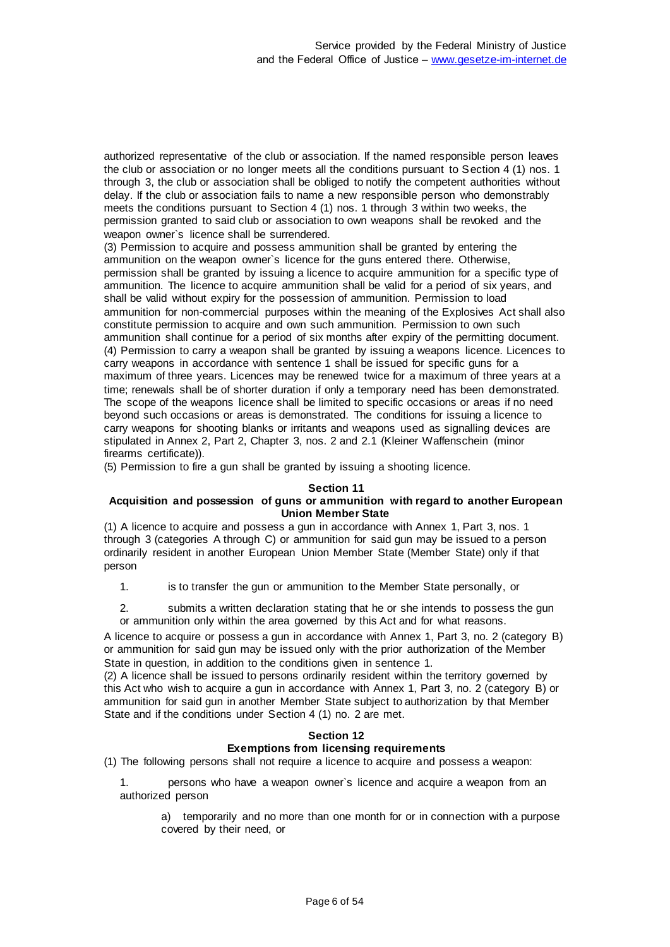authorized representative of the club or association. If the named responsible person leaves the club or association or no longer meets all the conditions pursuant to Section 4 (1) nos. 1 through 3, the club or association shall be obliged to notify the competent authorities without delay. If the club or association fails to name a new responsible person who demonstrably meets the conditions pursuant to Section 4 (1) nos. 1 through 3 within two weeks, the permission granted to said club or association to own weapons shall be revoked and the weapon owner`s licence shall be surrendered.

(3) Permission to acquire and possess ammunition shall be granted by entering the ammunition on the weapon owner`s licence for the guns entered there. Otherwise, permission shall be granted by issuing a licence to acquire ammunition for a specific type of ammunition. The licence to acquire ammunition shall be valid for a period of six years, and shall be valid without expiry for the possession of ammunition. Permission to load ammunition for non-commercial purposes within the meaning of the Explosives Act shall also constitute permission to acquire and own such ammunition. Permission to own such ammunition shall continue for a period of six months after expiry of the permitting document. (4) Permission to carry a weapon shall be granted by issuing a weapons licence. Licences to carry weapons in accordance with sentence 1 shall be issued for specific guns for a maximum of three years. Licences may be renewed twice for a maximum of three years at a time; renewals shall be of shorter duration if only a temporary need has been demonstrated. The scope of the weapons licence shall be limited to specific occasions or areas if no need beyond such occasions or areas is demonstrated. The conditions for issuing a licence to carry weapons for shooting blanks or irritants and weapons used as signalling devices are stipulated in Annex 2, Part 2, Chapter 3, nos. 2 and 2.1 (Kleiner Waffenschein (minor firearms certificate)).

(5) Permission to fire a gun shall be granted by issuing a shooting licence.

#### **Section 11**

#### **Acquisition and possession of guns or ammunition with regard to another European Union Member State**

(1) A licence to acquire and possess a gun in accordance with Annex 1, Part 3, nos. 1 through 3 (categories A through C) or ammunition for said gun may be issued to a person ordinarily resident in another European Union Member State (Member State) only if that person

1. is to transfer the gun or ammunition to the Member State personally, or

2. submits a written declaration stating that he or she intends to possess the gun or ammunition only within the area governed by this Act and for what reasons.

A licence to acquire or possess a gun in accordance with Annex 1, Part 3, no. 2 (category B) or ammunition for said gun may be issued only with the prior authorization of the Member State in question, in addition to the conditions given in sentence 1.

(2) A licence shall be issued to persons ordinarily resident within the territory governed by this Act who wish to acquire a gun in accordance with Annex 1, Part 3, no. 2 (category B) or ammunition for said gun in another Member State subject to authorization by that Member State and if the conditions under Section 4 (1) no. 2 are met.

#### **Section 12 Exemptions from licensing requirements**

(1) The following persons shall not require a licence to acquire and possess a weapon:

1. persons who have a weapon owner`s licence and acquire a weapon from an authorized person

a) temporarily and no more than one month for or in connection with a purpose covered by their need, or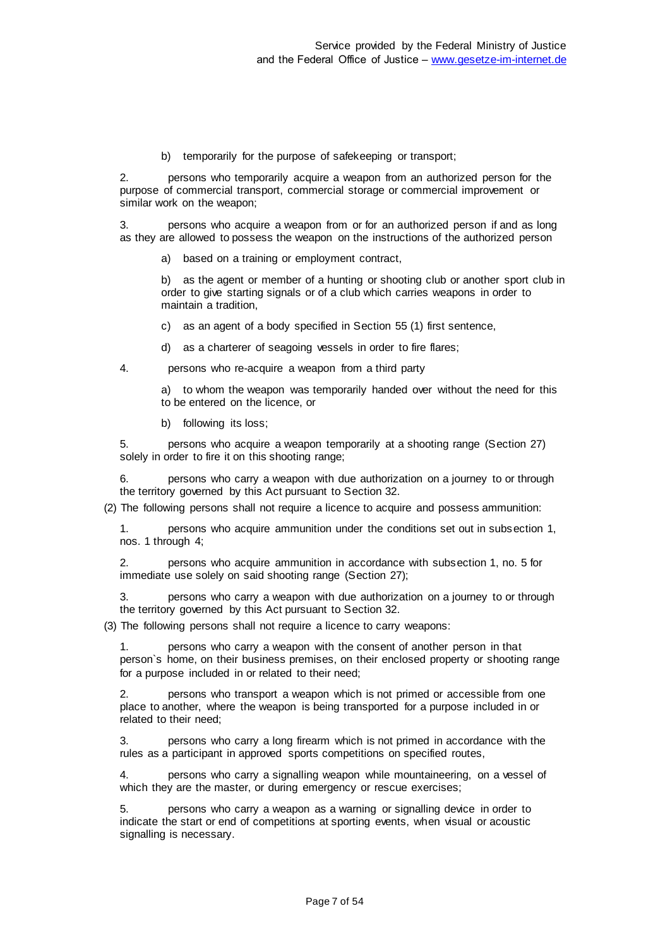b) temporarily for the purpose of safekeeping or transport;

2. persons who temporarily acquire a weapon from an authorized person for the purpose of commercial transport, commercial storage or commercial improvement or similar work on the weapon;

3. persons who acquire a weapon from or for an authorized person if and as long as they are allowed to possess the weapon on the instructions of the authorized person

a) based on a training or employment contract,

b) as the agent or member of a hunting or shooting club or another sport club in order to give starting signals or of a club which carries weapons in order to maintain a tradition,

c) as an agent of a body specified in Section 55 (1) first sentence,

d) as a charterer of seagoing vessels in order to fire flares;

4. persons who re-acquire a weapon from a third party

a) to whom the weapon was temporarily handed over without the need for this to be entered on the licence, or

b) following its loss;

5. persons who acquire a weapon temporarily at a shooting range (Section 27) solely in order to fire it on this shooting range;

6. persons who carry a weapon with due authorization on a journey to or through the territory governed by this Act pursuant to Section 32.

(2) The following persons shall not require a licence to acquire and possess ammunition:

1. persons who acquire ammunition under the conditions set out in subsection 1, nos. 1 through 4;

2. persons who acquire ammunition in accordance with subsection 1, no. 5 for immediate use solely on said shooting range (Section 27);

3. persons who carry a weapon with due authorization on a journey to or through the territory governed by this Act pursuant to Section 32.

(3) The following persons shall not require a licence to carry weapons:

persons who carry a weapon with the consent of another person in that person`s home, on their business premises, on their enclosed property or shooting range for a purpose included in or related to their need;

persons who transport a weapon which is not primed or accessible from one place to another, where the weapon is being transported for a purpose included in or related to their need;

3. persons who carry a long firearm which is not primed in accordance with the rules as a participant in approved sports competitions on specified routes,

4. persons who carry a signalling weapon while mountaineering, on a vessel of which they are the master, or during emergency or rescue exercises;

5. persons who carry a weapon as a warning or signalling device in order to indicate the start or end of competitions at sporting events, when visual or acoustic signalling is necessary.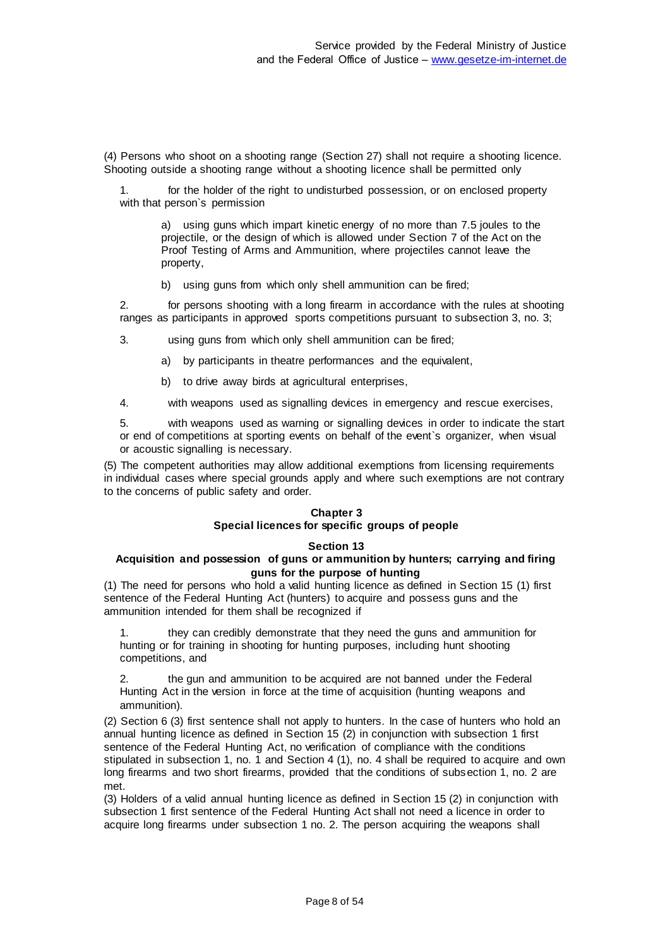(4) Persons who shoot on a shooting range (Section 27) shall not require a shooting licence. Shooting outside a shooting range without a shooting licence shall be permitted only

1. for the holder of the right to undisturbed possession, or on enclosed property with that person`s permission

a) using guns which impart kinetic energy of no more than 7.5 joules to the projectile, or the design of which is allowed under Section 7 of the Act on the Proof Testing of Arms and Ammunition, where projectiles cannot leave the property,

b) using guns from which only shell ammunition can be fired;

2. for persons shooting with a long firearm in accordance with the rules at shooting ranges as participants in approved sports competitions pursuant to subsection 3, no. 3;

3. using guns from which only shell ammunition can be fired;

a) by participants in theatre performances and the equivalent,

b) to drive away birds at agricultural enterprises,

4. with weapons used as signalling devices in emergency and rescue exercises,

5. with weapons used as warning or signalling devices in order to indicate the start or end of competitions at sporting events on behalf of the event`s organizer, when visual or acoustic signalling is necessary.

(5) The competent authorities may allow additional exemptions from licensing requirements in individual cases where special grounds apply and where such exemptions are not contrary to the concerns of public safety and order.

# **Chapter 3 Special licences for specific groups of people**

#### **Section 13**

#### **Acquisition and possession of guns or ammunition by hunters; carrying and firing guns for the purpose of hunting**

(1) The need for persons who hold a valid hunting licence as defined in Section 15 (1) first sentence of the Federal Hunting Act (hunters) to acquire and possess guns and the ammunition intended for them shall be recognized if

1. they can credibly demonstrate that they need the guns and ammunition for hunting or for training in shooting for hunting purposes, including hunt shooting competitions, and

2. the gun and ammunition to be acquired are not banned under the Federal Hunting Act in the version in force at the time of acquisition (hunting weapons and ammunition).

(2) Section 6 (3) first sentence shall not apply to hunters. In the case of hunters who hold an annual hunting licence as defined in Section 15 (2) in conjunction with subsection 1 first sentence of the Federal Hunting Act, no verification of compliance with the conditions stipulated in subsection 1, no. 1 and Section 4 (1), no. 4 shall be required to acquire and own long firearms and two short firearms, provided that the conditions of subsection 1, no. 2 are met.

(3) Holders of a valid annual hunting licence as defined in Section 15 (2) in conjunction with subsection 1 first sentence of the Federal Hunting Act shall not need a licence in order to acquire long firearms under subsection 1 no. 2. The person acquiring the weapons shall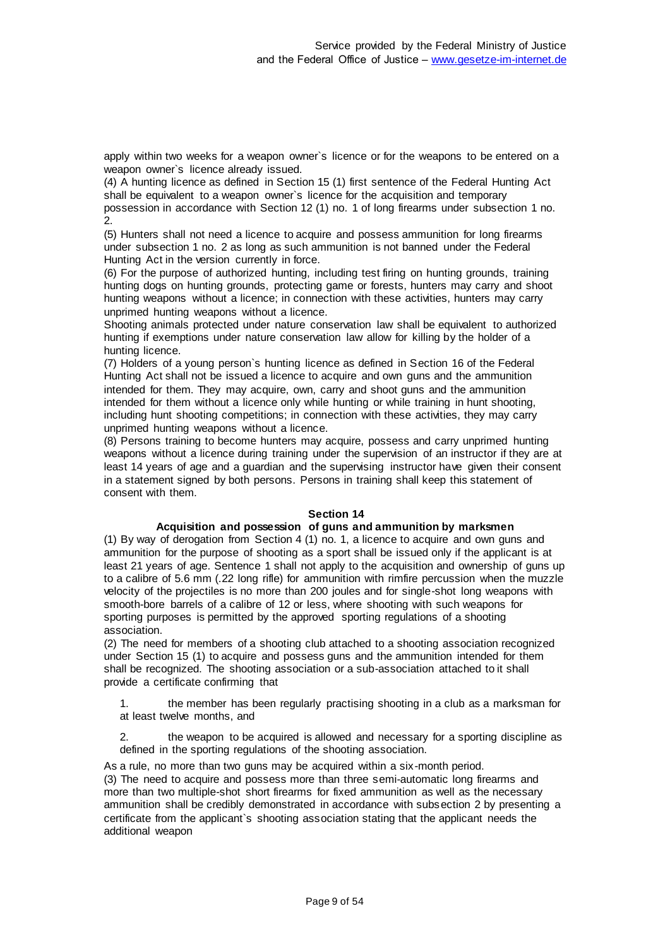apply within two weeks for a weapon owner`s licence or for the weapons to be entered on a weapon owner`s licence already issued.

(4) A hunting licence as defined in Section 15 (1) first sentence of the Federal Hunting Act shall be equivalent to a weapon owner`s licence for the acquisition and temporary possession in accordance with Section 12 (1) no. 1 of long firearms under subsection 1 no. 2.

(5) Hunters shall not need a licence to acquire and possess ammunition for long firearms under subsection 1 no. 2 as long as such ammunition is not banned under the Federal Hunting Act in the version currently in force.

(6) For the purpose of authorized hunting, including test firing on hunting grounds, training hunting dogs on hunting grounds, protecting game or forests, hunters may carry and shoot hunting weapons without a licence; in connection with these activities, hunters may carry unprimed hunting weapons without a licence.

Shooting animals protected under nature conservation law shall be equivalent to authorized hunting if exemptions under nature conservation law allow for killing by the holder of a hunting licence.

(7) Holders of a young person`s hunting licence as defined in Section 16 of the Federal Hunting Act shall not be issued a licence to acquire and own guns and the ammunition intended for them. They may acquire, own, carry and shoot guns and the ammunition intended for them without a licence only while hunting or while training in hunt shooting, including hunt shooting competitions; in connection with these activities, they may carry unprimed hunting weapons without a licence.

(8) Persons training to become hunters may acquire, possess and carry unprimed hunting weapons without a licence during training under the supervision of an instructor if they are at least 14 years of age and a guardian and the supervising instructor have given their consent in a statement signed by both persons. Persons in training shall keep this statement of consent with them.

#### **Section 14**

#### **Acquisition and possession of guns and ammunition by marksmen**

(1) By way of derogation from Section 4 (1) no. 1, a licence to acquire and own guns and ammunition for the purpose of shooting as a sport shall be issued only if the applicant is at least 21 years of age. Sentence 1 shall not apply to the acquisition and ownership of guns up to a calibre of 5.6 mm (.22 long rifle) for ammunition with rimfire percussion when the muzzle velocity of the projectiles is no more than 200 joules and for single-shot long weapons with smooth-bore barrels of a calibre of 12 or less, where shooting with such weapons for sporting purposes is permitted by the approved sporting regulations of a shooting association.

(2) The need for members of a shooting club attached to a shooting association recognized under Section 15 (1) to acquire and possess guns and the ammunition intended for them shall be recognized. The shooting association or a sub-association attached to it shall provide a certificate confirming that

1. the member has been regularly practising shooting in a club as a marksman for at least twelve months, and

2. the weapon to be acquired is allowed and necessary for a sporting discipline as defined in the sporting regulations of the shooting association.

As a rule, no more than two guns may be acquired within a six-month period. (3) The need to acquire and possess more than three semi-automatic long firearms and more than two multiple-shot short firearms for fixed ammunition as well as the necessary ammunition shall be credibly demonstrated in accordance with subsection 2 by presenting a certificate from the applicant`s shooting association stating that the applicant needs the additional weapon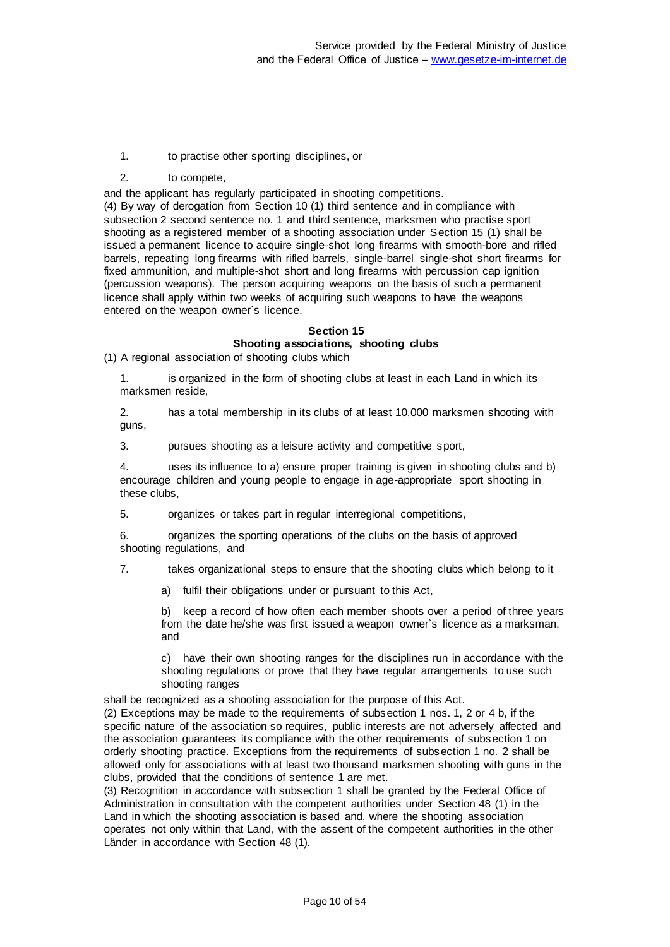- 1. to practise other sporting disciplines, or
- 2. to compete,

and the applicant has regularly participated in shooting competitions.

(4) By way of derogation from Section 10 (1) third sentence and in compliance with subsection 2 second sentence no. 1 and third sentence, marksmen who practise sport shooting as a registered member of a shooting association under Section 15 (1) shall be issued a permanent licence to acquire single-shot long firearms with smooth-bore and rifled barrels, repeating long firearms with rifled barrels, single-barrel single-shot short firearms for fixed ammunition, and multiple-shot short and long firearms with percussion cap ignition (percussion weapons). The person acquiring weapons on the basis of such a permanent licence shall apply within two weeks of acquiring such weapons to have the weapons entered on the weapon owner`s licence.

#### **Section 15 Shooting associations, shooting clubs**

(1) A regional association of shooting clubs which

1. is organized in the form of shooting clubs at least in each Land in which its marksmen reside,

2. has a total membership in its clubs of at least 10,000 marksmen shooting with guns,

3. pursues shooting as a leisure activity and competitive sport,

4. uses its influence to a) ensure proper training is given in shooting clubs and b) encourage children and young people to engage in age-appropriate sport shooting in these clubs,

5. organizes or takes part in regular interregional competitions,

6. organizes the sporting operations of the clubs on the basis of approved shooting regulations, and

7. takes organizational steps to ensure that the shooting clubs which belong to it

a) fulfil their obligations under or pursuant to this Act,

b) keep a record of how often each member shoots over a period of three years from the date he/she was first issued a weapon owner`s licence as a marksman, and

c) have their own shooting ranges for the disciplines run in accordance with the shooting regulations or prove that they have regular arrangements to use such shooting ranges

shall be recognized as a shooting association for the purpose of this Act.

(2) Exceptions may be made to the requirements of subsection 1 nos. 1, 2 or 4 b, if the specific nature of the association so requires, public interests are not adversely affected and the association guarantees its compliance with the other requirements of subsection 1 on orderly shooting practice. Exceptions from the requirements of subsection 1 no. 2 shall be allowed only for associations with at least two thousand marksmen shooting with guns in the clubs, provided that the conditions of sentence 1 are met.

(3) Recognition in accordance with subsection 1 shall be granted by the Federal Office of Administration in consultation with the competent authorities under Section 48 (1) in the Land in which the shooting association is based and, where the shooting association operates not only within that Land, with the assent of the competent authorities in the other Länder in accordance with Section 48 (1).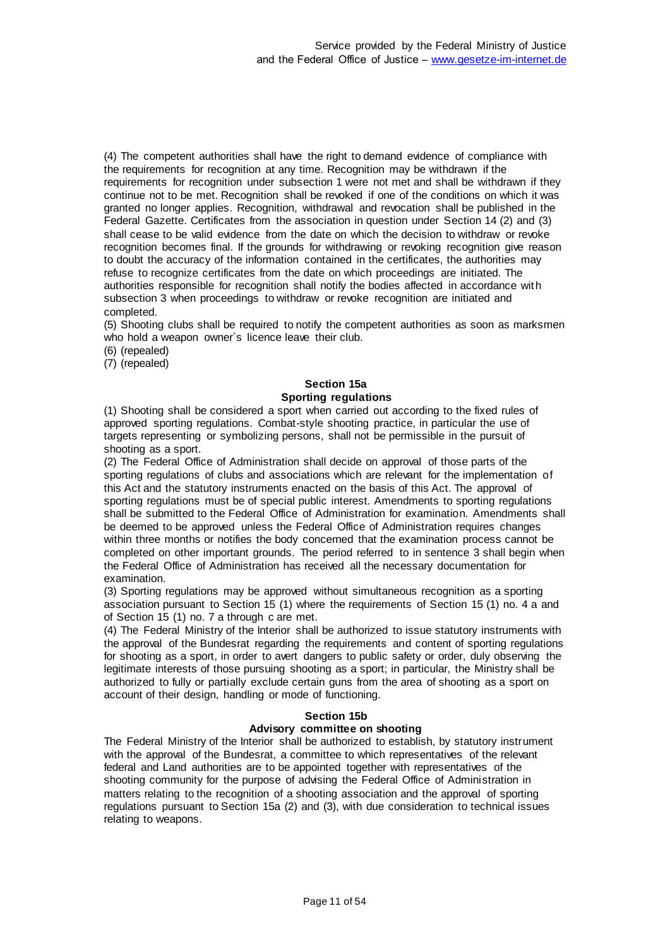(4) The competent authorities shall have the right to demand evidence of compliance with the requirements for recognition at any time. Recognition may be withdrawn if the requirements for recognition under subsection 1 were not met and shall be withdrawn if they continue not to be met. Recognition shall be revoked if one of the conditions on which it was granted no longer applies. Recognition, withdrawal and revocation shall be published in the Federal Gazette. Certificates from the association in question under Section 14 (2) and (3) shall cease to be valid evidence from the date on which the decision to withdraw or revoke recognition becomes final. If the grounds for withdrawing or revoking recognition give reason to doubt the accuracy of the information contained in the certificates, the authorities may refuse to recognize certificates from the date on which proceedings are initiated. The authorities responsible for recognition shall notify the bodies affected in accordance with subsection 3 when proceedings to withdraw or revoke recognition are initiated and completed.

(5) Shooting clubs shall be required to notify the competent authorities as soon as marksmen who hold a weapon owner's licence leave their club.

(6) (repealed)

(7) (repealed)

# **Section 15a Sporting regulations**

(1) Shooting shall be considered a sport when carried out according to the fixed rules of approved sporting regulations. Combat-style shooting practice, in particular the use of targets representing or symbolizing persons, shall not be permissible in the pursuit of shooting as a sport.

(2) The Federal Office of Administration shall decide on approval of those parts of the sporting regulations of clubs and associations which are relevant for the implementation of this Act and the statutory instruments enacted on the basis of this Act. The approval of sporting regulations must be of special public interest. Amendments to sporting regulations shall be submitted to the Federal Office of Administration for examination. Amendments shall be deemed to be approved unless the Federal Office of Administration requires changes within three months or notifies the body concerned that the examination process cannot be completed on other important grounds. The period referred to in sentence 3 shall begin when the Federal Office of Administration has received all the necessary documentation for examination.

(3) Sporting regulations may be approved without simultaneous recognition as a sporting association pursuant to Section 15 (1) where the requirements of Section 15 (1) no. 4 a and of Section 15 (1) no. 7 a through c are met.

(4) The Federal Ministry of the Interior shall be authorized to issue statutory instruments with the approval of the Bundesrat regarding the requirements and content of sporting regulations for shooting as a sport, in order to avert dangers to public safety or order, duly observing the legitimate interests of those pursuing shooting as a sport; in particular, the Ministry shall be authorized to fully or partially exclude certain guns from the area of shooting as a sport on account of their design, handling or mode of functioning.

#### **Section 15b**

#### **Advisory committee on shooting**

The Federal Ministry of the Interior shall be authorized to establish, by statutory instrument with the approval of the Bundesrat, a committee to which representatives of the relevant federal and Land authorities are to be appointed together with representatives of the shooting community for the purpose of advising the Federal Office of Administration in matters relating to the recognition of a shooting association and the approval of sporting regulations pursuant to Section 15a (2) and (3), with due consideration to technical issues relating to weapons.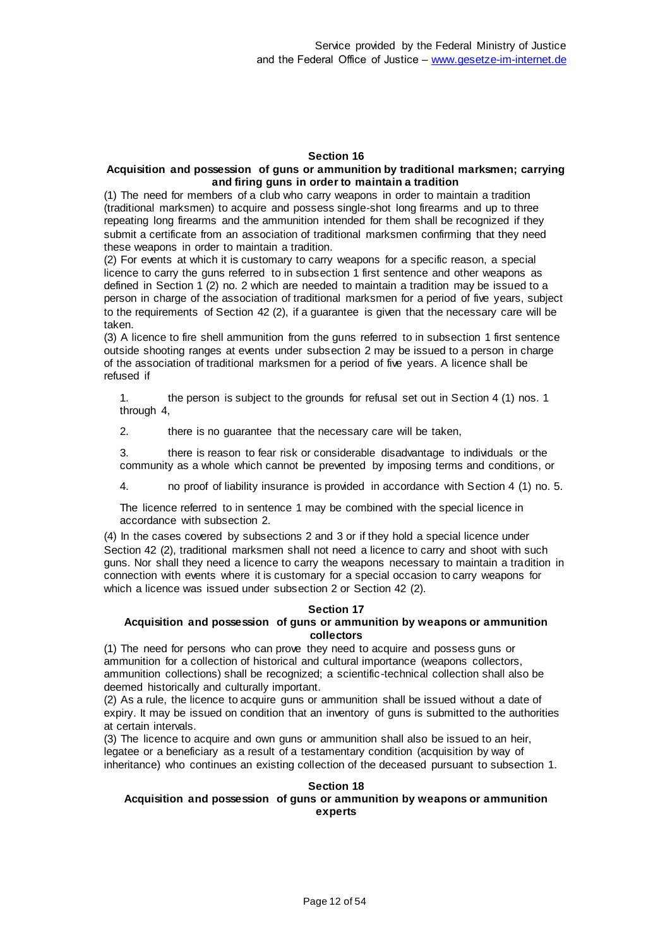#### **Section 16**

#### **Acquisition and possession of guns or ammunition by traditional marksmen; carrying and firing guns in order to maintain a tradition**

(1) The need for members of a club who carry weapons in order to maintain a tradition (traditional marksmen) to acquire and possess single-shot long firearms and up to three repeating long firearms and the ammunition intended for them shall be recognized if they submit a certificate from an association of traditional marksmen confirming that they need these weapons in order to maintain a tradition.

(2) For events at which it is customary to carry weapons for a specific reason, a special licence to carry the guns referred to in subsection 1 first sentence and other weapons as defined in Section 1 (2) no. 2 which are needed to maintain a tradition may be issued to a person in charge of the association of traditional marksmen for a period of five years, subject to the requirements of Section 42 (2), if a guarantee is given that the necessary care will be taken.

(3) A licence to fire shell ammunition from the guns referred to in subsection 1 first sentence outside shooting ranges at events under subsection 2 may be issued to a person in charge of the association of traditional marksmen for a period of five years. A licence shall be refused if

1. the person is subject to the grounds for refusal set out in Section 4 (1) nos. 1 through 4,

2. there is no guarantee that the necessary care will be taken,

3. there is reason to fear risk or considerable disadvantage to individuals or the community as a whole which cannot be prevented by imposing terms and conditions, or

4. no proof of liability insurance is provided in accordance with Section 4 (1) no. 5.

The licence referred to in sentence 1 may be combined with the special licence in accordance with subsection 2.

(4) In the cases covered by subsections 2 and 3 or if they hold a special licence under Section 42 (2), traditional marksmen shall not need a licence to carry and shoot with such guns. Nor shall they need a licence to carry the weapons necessary to maintain a tradition in connection with events where it is customary for a special occasion to carry weapons for which a licence was issued under subsection 2 or Section 42 (2).

#### **Section 17**

#### **Acquisition and possession of guns or ammunition by weapons or ammunition collectors**

(1) The need for persons who can prove they need to acquire and possess guns or ammunition for a collection of historical and cultural importance (weapons collectors, ammunition collections) shall be recognized; a scientific-technical collection shall also be deemed historically and culturally important.

(2) As a rule, the licence to acquire guns or ammunition shall be issued without a date of expiry. It may be issued on condition that an inventory of guns is submitted to the authorities at certain intervals.

(3) The licence to acquire and own guns or ammunition shall also be issued to an heir, legatee or a beneficiary as a result of a testamentary condition (acquisition by way of inheritance) who continues an existing collection of the deceased pursuant to subsection 1.

#### **Section 18 Acquisition and possession of guns or ammunition by weapons or ammunition experts**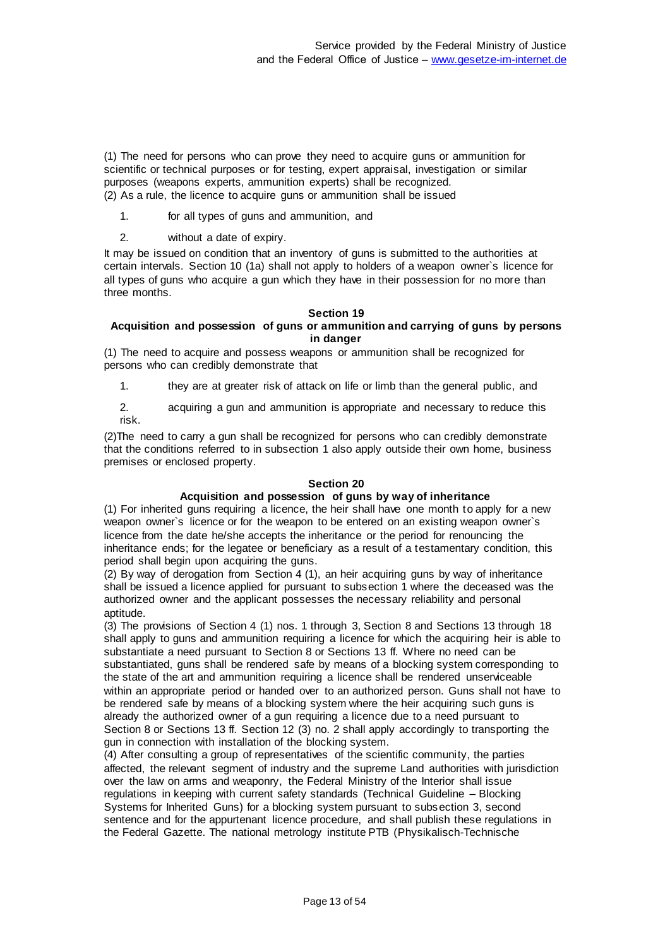(1) The need for persons who can prove they need to acquire guns or ammunition for scientific or technical purposes or for testing, expert appraisal, investigation or similar purposes (weapons experts, ammunition experts) shall be recognized. (2) As a rule, the licence to acquire guns or ammunition shall be issued

1. for all types of guns and ammunition, and

2. without a date of expiry.

It may be issued on condition that an inventory of guns is submitted to the authorities at certain intervals. Section 10 (1a) shall not apply to holders of a weapon owner`s licence for all types of guns who acquire a gun which they have in their possession for no more than three months.

#### **Section 19**

#### **Acquisition and possession of guns or ammunition and carrying of guns by persons in danger**

(1) The need to acquire and possess weapons or ammunition shall be recognized for persons who can credibly demonstrate that

1. they are at greater risk of attack on life or limb than the general public, and

2. acquiring a gun and ammunition is appropriate and necessary to reduce this risk.

(2)The need to carry a gun shall be recognized for persons who can credibly demonstrate that the conditions referred to in subsection 1 also apply outside their own home, business premises or enclosed property.

#### **Section 20**

### **Acquisition and possession of guns by way of inheritance**

(1) For inherited guns requiring a licence, the heir shall have one month to apply for a new weapon owner`s licence or for the weapon to be entered on an existing weapon owner`s licence from the date he/she accepts the inheritance or the period for renouncing the inheritance ends; for the legatee or beneficiary as a result of a testamentary condition, this period shall begin upon acquiring the guns.

(2) By way of derogation from Section 4 (1), an heir acquiring guns by way of inheritance shall be issued a licence applied for pursuant to subsection 1 where the deceased was the authorized owner and the applicant possesses the necessary reliability and personal aptitude.

(3) The provisions of Section 4 (1) nos. 1 through 3, Section 8 and Sections 13 through 18 shall apply to guns and ammunition requiring a licence for which the acquiring heir is able to substantiate a need pursuant to Section 8 or Sections 13 ff. Where no need can be substantiated, guns shall be rendered safe by means of a blocking system corresponding to the state of the art and ammunition requiring a licence shall be rendered unserviceable within an appropriate period or handed over to an authorized person. Guns shall not have to be rendered safe by means of a blocking system where the heir acquiring such guns is already the authorized owner of a gun requiring a licence due to a need pursuant to Section 8 or Sections 13 ff. Section 12 (3) no. 2 shall apply accordingly to transporting the gun in connection with installation of the blocking system.

(4) After consulting a group of representatives of the scientific community, the parties affected, the relevant segment of industry and the supreme Land authorities with jurisdiction over the law on arms and weaponry, the Federal Ministry of the Interior shall issue regulations in keeping with current safety standards (Technical Guideline – Blocking Systems for Inherited Guns) for a blocking system pursuant to subsection 3, second sentence and for the appurtenant licence procedure, and shall publish these regulations in the Federal Gazette. The national metrology institute PTB (Physikalisch-Technische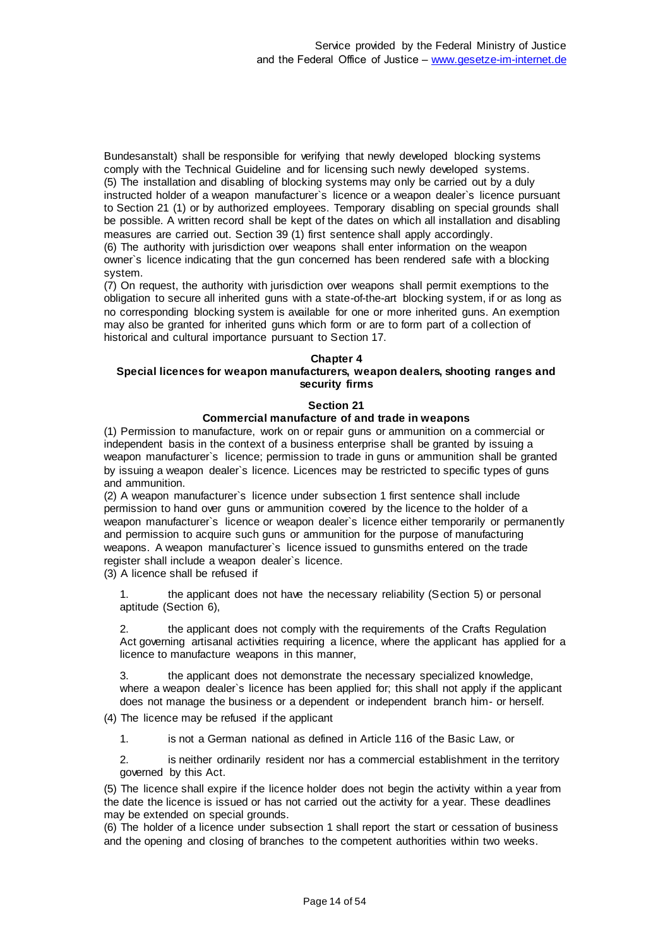Bundesanstalt) shall be responsible for verifying that newly developed blocking systems comply with the Technical Guideline and for licensing such newly developed systems. (5) The installation and disabling of blocking systems may only be carried out by a duly instructed holder of a weapon manufacturer`s licence or a weapon dealer`s licence pursuant to Section 21 (1) or by authorized employees. Temporary disabling on special grounds shall be possible. A written record shall be kept of the dates on which all installation and disabling measures are carried out. Section 39 (1) first sentence shall apply accordingly. (6) The authority with jurisdiction over weapons shall enter information on the weapon

owner`s licence indicating that the gun concerned has been rendered safe with a blocking system.

(7) On request, the authority with jurisdiction over weapons shall permit exemptions to the obligation to secure all inherited guns with a state-of-the-art blocking system, if or as long as no corresponding blocking system is available for one or more inherited guns. An exemption may also be granted for inherited guns which form or are to form part of a collection of historical and cultural importance pursuant to Section 17.

#### **Chapter 4**

# **Special licences for weapon manufacturers, weapon dealers, shooting ranges and security firms**

#### **Section 21**

# **Commercial manufacture of and trade in weapons**

(1) Permission to manufacture, work on or repair guns or ammunition on a commercial or independent basis in the context of a business enterprise shall be granted by issuing a weapon manufacturer`s licence; permission to trade in guns or ammunition shall be granted by issuing a weapon dealer`s licence. Licences may be restricted to specific types of guns and ammunition.

(2) A weapon manufacturer`s licence under subsection 1 first sentence shall include permission to hand over guns or ammunition covered by the licence to the holder of a weapon manufacturer`s licence or weapon dealer`s licence either temporarily or permanently and permission to acquire such guns or ammunition for the purpose of manufacturing weapons. A weapon manufacturer`s licence issued to gunsmiths entered on the trade register shall include a weapon dealer`s licence.

(3) A licence shall be refused if

1. the applicant does not have the necessary reliability (Section 5) or personal aptitude (Section 6),

2. the applicant does not comply with the requirements of the Crafts Regulation Act governing artisanal activities requiring a licence, where the applicant has applied for a licence to manufacture weapons in this manner,

3. the applicant does not demonstrate the necessary specialized knowledge, where a weapon dealer`s licence has been applied for; this shall not apply if the applicant does not manage the business or a dependent or independent branch him- or herself.

(4) The licence may be refused if the applicant

1. is not a German national as defined in Article 116 of the Basic Law, or

2. is neither ordinarily resident nor has a commercial establishment in the territory governed by this Act.

(5) The licence shall expire if the licence holder does not begin the activity within a year from the date the licence is issued or has not carried out the activity for a year. These deadlines may be extended on special grounds.

(6) The holder of a licence under subsection 1 shall report the start or cessation of business and the opening and closing of branches to the competent authorities within two weeks.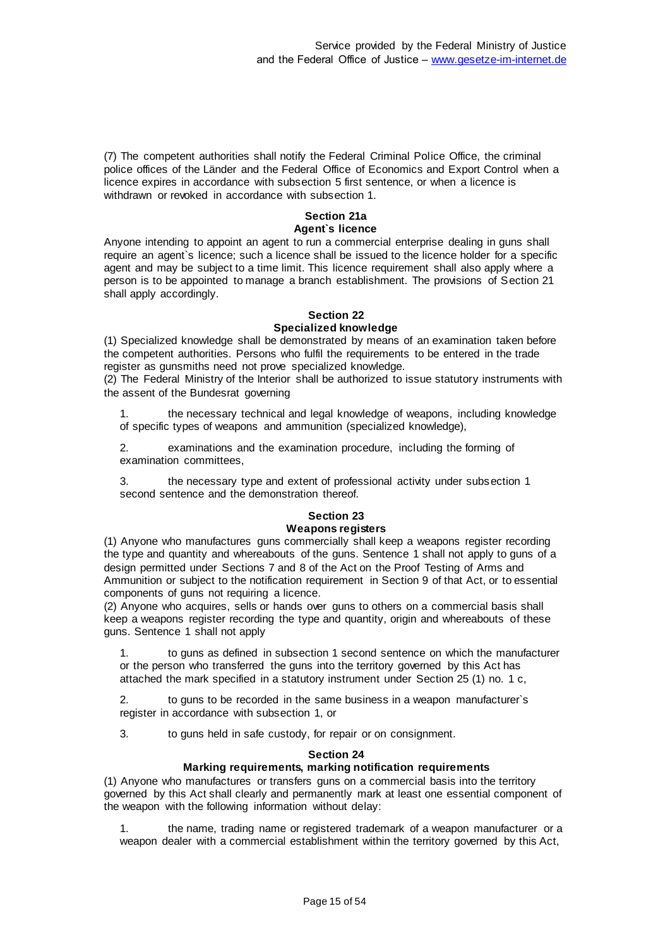(7) The competent authorities shall notify the Federal Criminal Police Office, the criminal police offices of the Länder and the Federal Office of Economics and Export Control when a licence expires in accordance with subsection 5 first sentence, or when a licence is withdrawn or revoked in accordance with subsection 1.

#### **Section 21a Agent`s licence**

Anyone intending to appoint an agent to run a commercial enterprise dealing in guns shall require an agent`s licence; such a licence shall be issued to the licence holder for a specific agent and may be subject to a time limit. This licence requirement shall also apply where a person is to be appointed to manage a branch establishment. The provisions of Section 21 shall apply accordingly.

#### **Section 22 Specialized knowledge**

(1) Specialized knowledge shall be demonstrated by means of an examination taken before the competent authorities. Persons who fulfil the requirements to be entered in the trade register as gunsmiths need not prove specialized knowledge.

(2) The Federal Ministry of the Interior shall be authorized to issue statutory instruments with the assent of the Bundesrat governing

1. the necessary technical and legal knowledge of weapons, including knowledge of specific types of weapons and ammunition (specialized knowledge),

2. examinations and the examination procedure, including the forming of examination committees,

3. the necessary type and extent of professional activity under subsection 1 second sentence and the demonstration thereof.

#### **Section 23 Weapons registers**

(1) Anyone who manufactures guns commercially shall keep a weapons register recording the type and quantity and whereabouts of the guns. Sentence 1 shall not apply to guns of a design permitted under Sections 7 and 8 of the Act on the Proof Testing of Arms and Ammunition or subject to the notification requirement in Section 9 of that Act, or to essential components of guns not requiring a licence.

(2) Anyone who acquires, sells or hands over guns to others on a commercial basis shall keep a weapons register recording the type and quantity, origin and whereabouts of these guns. Sentence 1 shall not apply

1. to guns as defined in subsection 1 second sentence on which the manufacturer or the person who transferred the guns into the territory governed by this Act has attached the mark specified in a statutory instrument under Section 25 (1) no. 1 c,

2. to guns to be recorded in the same business in a weapon manufacturer`s register in accordance with subsection 1, or

3. to guns held in safe custody, for repair or on consignment.

#### **Section 24**

#### **Marking requirements, marking notification requirements**

(1) Anyone who manufactures or transfers guns on a commercial basis into the territory governed by this Act shall clearly and permanently mark at least one essential component of the weapon with the following information without delay:

1. the name, trading name or registered trademark of a weapon manufacturer or a weapon dealer with a commercial establishment within the territory governed by this Act,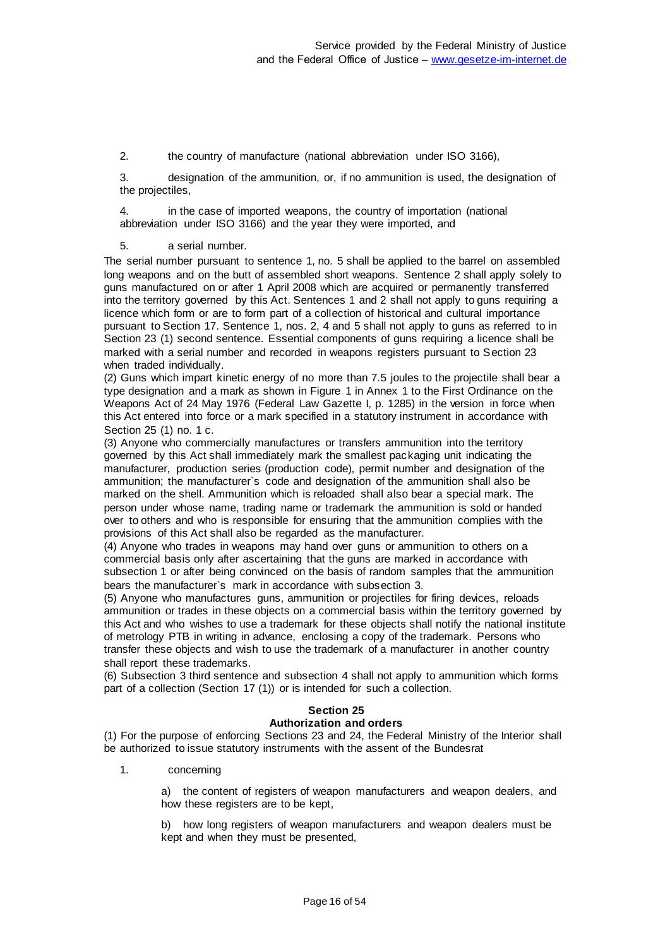2. the country of manufacture (national abbreviation under ISO 3166),

3. designation of the ammunition, or, if no ammunition is used, the designation of the projectiles,

4. in the case of imported weapons, the country of importation (national abbreviation under ISO 3166) and the year they were imported, and

5. a serial number.

The serial number pursuant to sentence 1, no. 5 shall be applied to the barrel on assembled long weapons and on the butt of assembled short weapons. Sentence 2 shall apply solely to guns manufactured on or after 1 April 2008 which are acquired or permanently transferred into the territory governed by this Act. Sentences 1 and 2 shall not apply to guns requiring a licence which form or are to form part of a collection of historical and cultural importance pursuant to Section 17. Sentence 1, nos. 2, 4 and 5 shall not apply to guns as referred to in Section 23 (1) second sentence. Essential components of guns requiring a licence shall be marked with a serial number and recorded in weapons registers pursuant to Section 23 when traded individually.

(2) Guns which impart kinetic energy of no more than 7.5 joules to the projectile shall bear a type designation and a mark as shown in Figure 1 in Annex 1 to the First Ordinance on the Weapons Act of 24 May 1976 (Federal Law Gazette I, p. 1285) in the version in force when this Act entered into force or a mark specified in a statutory instrument in accordance with Section 25 (1) no. 1 c.

(3) Anyone who commercially manufactures or transfers ammunition into the territory governed by this Act shall immediately mark the smallest packaging unit indicating the manufacturer, production series (production code), permit number and designation of the ammunition; the manufacturer`s code and designation of the ammunition shall also be marked on the shell. Ammunition which is reloaded shall also bear a special mark. The person under whose name, trading name or trademark the ammunition is sold or handed over to others and who is responsible for ensuring that the ammunition complies with the provisions of this Act shall also be regarded as the manufacturer.

(4) Anyone who trades in weapons may hand over guns or ammunition to others on a commercial basis only after ascertaining that the guns are marked in accordance with subsection 1 or after being convinced on the basis of random samples that the ammunition bears the manufacturer`s mark in accordance with subsection 3.

(5) Anyone who manufactures guns, ammunition or projectiles for firing devices, reloads ammunition or trades in these objects on a commercial basis within the territory governed by this Act and who wishes to use a trademark for these objects shall notify the national institute of metrology PTB in writing in advance, enclosing a copy of the trademark. Persons who transfer these objects and wish to use the trademark of a manufacturer in another country shall report these trademarks.

(6) Subsection 3 third sentence and subsection 4 shall not apply to ammunition which forms part of a collection (Section 17 (1)) or is intended for such a collection.

# **Section 25**

# **Authorization and orders**

(1) For the purpose of enforcing Sections 23 and 24, the Federal Ministry of the Interior shall be authorized to issue statutory instruments with the assent of the Bundesrat

1. concerning

a) the content of registers of weapon manufacturers and weapon dealers, and how these registers are to be kept,

b) how long registers of weapon manufacturers and weapon dealers must be kept and when they must be presented,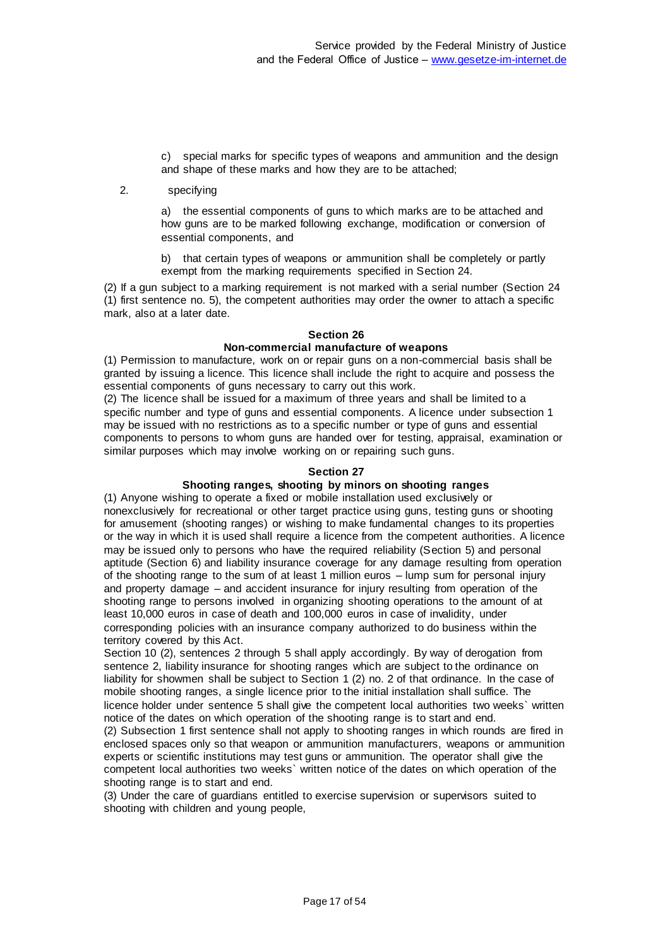c) special marks for specific types of weapons and ammunition and the design and shape of these marks and how they are to be attached;

2. specifying

a) the essential components of guns to which marks are to be attached and how guns are to be marked following exchange, modification or conversion of essential components, and

b) that certain types of weapons or ammunition shall be completely or partly exempt from the marking requirements specified in Section 24.

(2) If a gun subject to a marking requirement is not marked with a serial number (Section 24 (1) first sentence no. 5), the competent authorities may order the owner to attach a specific mark, also at a later date.

#### **Section 26 Non-commercial manufacture of weapons**

(1) Permission to manufacture, work on or repair guns on a non-commercial basis shall be granted by issuing a licence. This licence shall include the right to acquire and possess the essential components of guns necessary to carry out this work.

(2) The licence shall be issued for a maximum of three years and shall be limited to a specific number and type of guns and essential components. A licence under subsection 1 may be issued with no restrictions as to a specific number or type of guns and essential components to persons to whom guns are handed over for testing, appraisal, examination or similar purposes which may involve working on or repairing such guns.

#### **Section 27**

# **Shooting ranges, shooting by minors on shooting ranges**

(1) Anyone wishing to operate a fixed or mobile installation used exclusively or nonexclusively for recreational or other target practice using guns, testing guns or shooting for amusement (shooting ranges) or wishing to make fundamental changes to its properties or the way in which it is used shall require a licence from the competent authorities. A licence may be issued only to persons who have the required reliability (Section 5) and personal aptitude (Section 6) and liability insurance coverage for any damage resulting from operation of the shooting range to the sum of at least 1 million euros – lump sum for personal injury and property damage – and accident insurance for injury resulting from operation of the shooting range to persons involved in organizing shooting operations to the amount of at least 10,000 euros in case of death and 100,000 euros in case of invalidity, under corresponding policies with an insurance company authorized to do business within the territory covered by this Act.

Section 10 (2), sentences 2 through 5 shall apply accordingly. By way of derogation from sentence 2, liability insurance for shooting ranges which are subject to the ordinance on liability for showmen shall be subject to Section 1 (2) no. 2 of that ordinance. In the case of mobile shooting ranges, a single licence prior to the initial installation shall suffice. The licence holder under sentence 5 shall give the competent local authorities two weeks` written notice of the dates on which operation of the shooting range is to start and end.

(2) Subsection 1 first sentence shall not apply to shooting ranges in which rounds are fired in enclosed spaces only so that weapon or ammunition manufacturers, weapons or ammunition experts or scientific institutions may test guns or ammunition. The operator shall give the competent local authorities two weeks` written notice of the dates on which operation of the shooting range is to start and end.

(3) Under the care of guardians entitled to exercise supervision or supervisors suited to shooting with children and young people,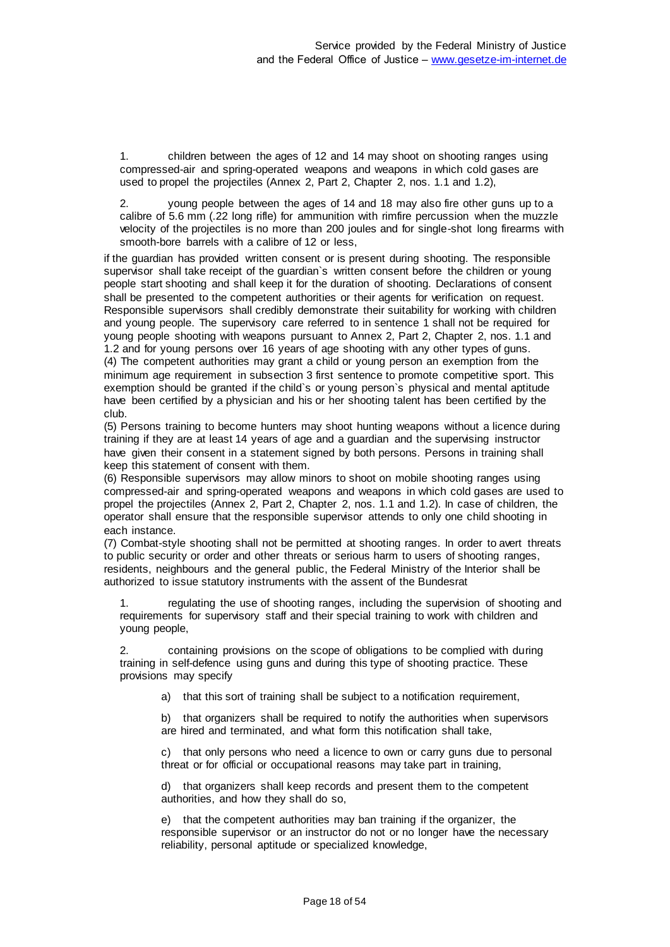1. children between the ages of 12 and 14 may shoot on shooting ranges using compressed-air and spring-operated weapons and weapons in which cold gases are used to propel the projectiles (Annex 2, Part 2, Chapter 2, nos. 1.1 and 1.2),

2. young people between the ages of 14 and 18 may also fire other guns up to a calibre of 5.6 mm (.22 long rifle) for ammunition with rimfire percussion when the muzzle velocity of the projectiles is no more than 200 joules and for single-shot long firearms with smooth-bore barrels with a calibre of 12 or less,

if the guardian has provided written consent or is present during shooting. The responsible supervisor shall take receipt of the guardian`s written consent before the children or young people start shooting and shall keep it for the duration of shooting. Declarations of consent shall be presented to the competent authorities or their agents for verification on request. Responsible supervisors shall credibly demonstrate their suitability for working with children and young people. The supervisory care referred to in sentence 1 shall not be required for young people shooting with weapons pursuant to Annex 2, Part 2, Chapter 2, nos. 1.1 and 1.2 and for young persons over 16 years of age shooting with any other types of guns. (4) The competent authorities may grant a child or young person an exemption from the minimum age requirement in subsection 3 first sentence to promote competitive sport. This exemption should be granted if the child`s or young person`s physical and mental aptitude have been certified by a physician and his or her shooting talent has been certified by the club.

(5) Persons training to become hunters may shoot hunting weapons without a licence during training if they are at least 14 years of age and a guardian and the supervising instructor have given their consent in a statement signed by both persons. Persons in training shall keep this statement of consent with them.

(6) Responsible supervisors may allow minors to shoot on mobile shooting ranges using compressed-air and spring-operated weapons and weapons in which cold gases are used to propel the projectiles (Annex 2, Part 2, Chapter 2, nos. 1.1 and 1.2). In case of children, the operator shall ensure that the responsible supervisor attends to only one child shooting in each instance.

(7) Combat-style shooting shall not be permitted at shooting ranges. In order to avert threats to public security or order and other threats or serious harm to users of shooting ranges, residents, neighbours and the general public, the Federal Ministry of the Interior shall be authorized to issue statutory instruments with the assent of the Bundesrat

regulating the use of shooting ranges, including the supervision of shooting and requirements for supervisory staff and their special training to work with children and young people,

2. containing provisions on the scope of obligations to be complied with during training in self-defence using guns and during this type of shooting practice. These provisions may specify

a) that this sort of training shall be subject to a notification requirement,

b) that organizers shall be required to notify the authorities when supervisors are hired and terminated, and what form this notification shall take,

c) that only persons who need a licence to own or carry guns due to personal threat or for official or occupational reasons may take part in training,

d) that organizers shall keep records and present them to the competent authorities, and how they shall do so,

e) that the competent authorities may ban training if the organizer, the responsible supervisor or an instructor do not or no longer have the necessary reliability, personal aptitude or specialized knowledge,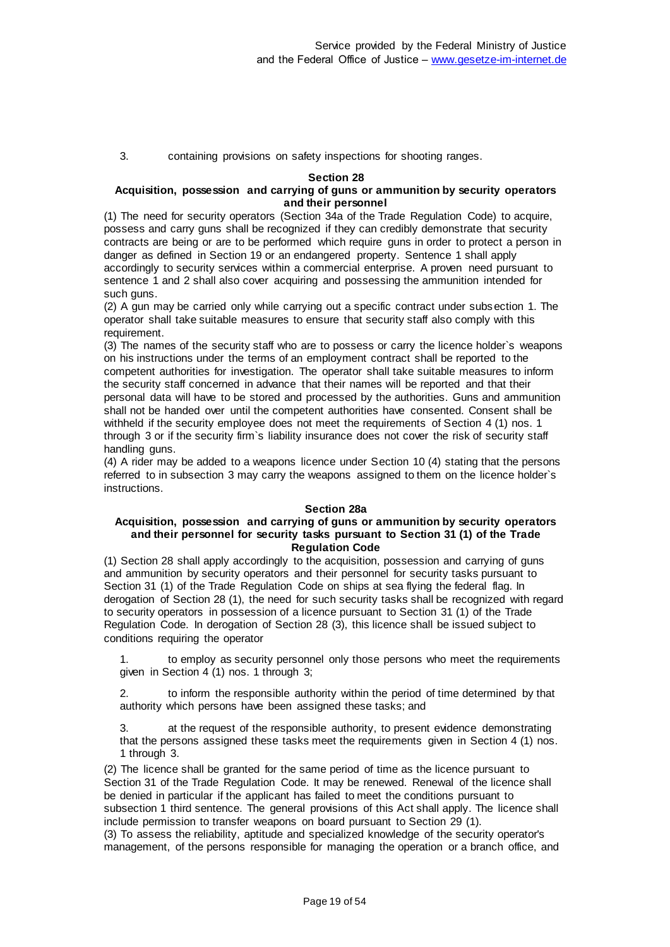3. containing provisions on safety inspections for shooting ranges.

#### **Section 28**

#### **Acquisition, possession and carrying of guns or ammunition by security operators and their personnel**

(1) The need for security operators (Section 34a of the Trade Regulation Code) to acquire, possess and carry guns shall be recognized if they can credibly demonstrate that security contracts are being or are to be performed which require guns in order to protect a person in danger as defined in Section 19 or an endangered property. Sentence 1 shall apply accordingly to security services within a commercial enterprise. A proven need pursuant to sentence 1 and 2 shall also cover acquiring and possessing the ammunition intended for such guns.

(2) A gun may be carried only while carrying out a specific contract under subsection 1. The operator shall take suitable measures to ensure that security staff also comply with this requirement.

(3) The names of the security staff who are to possess or carry the licence holder`s weapons on his instructions under the terms of an employment contract shall be reported to the competent authorities for investigation. The operator shall take suitable measures to inform the security staff concerned in advance that their names will be reported and that their personal data will have to be stored and processed by the authorities. Guns and ammunition shall not be handed over until the competent authorities have consented. Consent shall be withheld if the security employee does not meet the requirements of Section 4 (1) nos. 1 through 3 or if the security firm`s liability insurance does not cover the risk of security staff handling guns.

(4) A rider may be added to a weapons licence under Section 10 (4) stating that the persons referred to in subsection 3 may carry the weapons assigned to them on the licence holder`s instructions.

#### **Section 28a**

#### **Acquisition, possession and carrying of guns or ammunition by security operators and their personnel for security tasks pursuant to Section 31 (1) of the Trade Regulation Code**

(1) Section 28 shall apply accordingly to the acquisition, possession and carrying of guns and ammunition by security operators and their personnel for security tasks pursuant to Section 31 (1) of the Trade Regulation Code on ships at sea flying the federal flag. In derogation of Section 28 (1), the need for such security tasks shall be recognized with regard to security operators in possession of a licence pursuant to Section 31 (1) of the Trade Regulation Code. In derogation of Section 28 (3), this licence shall be issued subject to conditions requiring the operator

1. to employ as security personnel only those persons who meet the requirements given in Section 4 (1) nos. 1 through 3;

2. to inform the responsible authority within the period of time determined by that authority which persons have been assigned these tasks; and

3. at the request of the responsible authority, to present evidence demonstrating that the persons assigned these tasks meet the requirements given in Section 4 (1) nos. 1 through 3.

(2) The licence shall be granted for the same period of time as the licence pursuant to Section 31 of the Trade Regulation Code. It may be renewed. Renewal of the licence shall be denied in particular if the applicant has failed to meet the conditions pursuant to subsection 1 third sentence. The general provisions of this Act shall apply. The licence shall include permission to transfer weapons on board pursuant to Section 29 (1).

(3) To assess the reliability, aptitude and specialized knowledge of the security operator's management, of the persons responsible for managing the operation or a branch office, and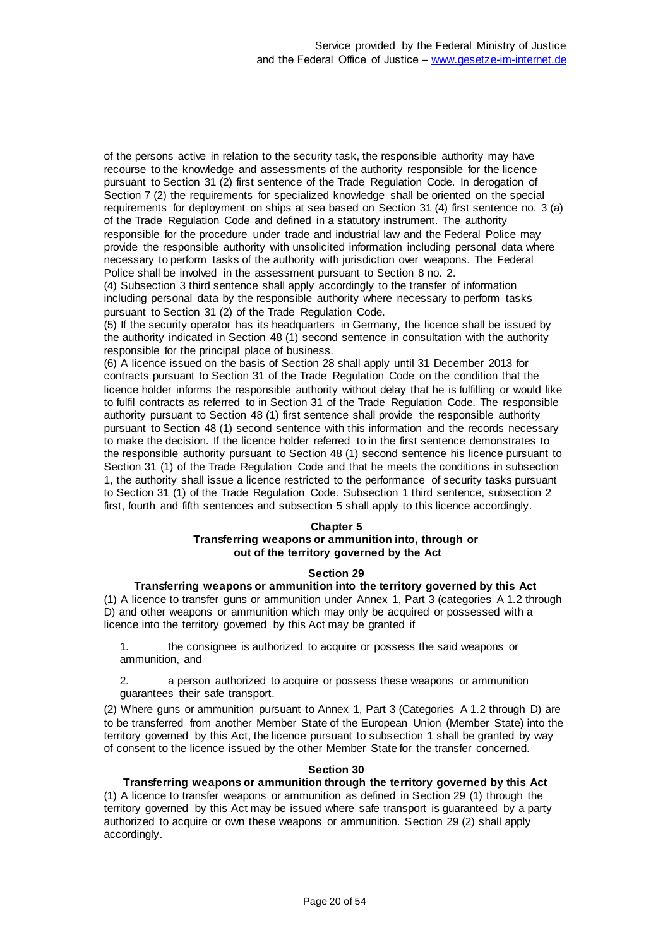of the persons active in relation to the security task, the responsible authority may have recourse to the knowledge and assessments of the authority responsible for the licence pursuant to Section 31 (2) first sentence of the Trade Regulation Code. In derogation of Section 7 (2) the requirements for specialized knowledge shall be oriented on the special requirements for deployment on ships at sea based on Section 31 (4) first sentence no. 3 (a) of the Trade Regulation Code and defined in a statutory instrument. The authority responsible for the procedure under trade and industrial law and the Federal Police may provide the responsible authority with unsolicited information including personal data where necessary to perform tasks of the authority with jurisdiction over weapons. The Federal Police shall be involved in the assessment pursuant to Section 8 no. 2.

(4) Subsection 3 third sentence shall apply accordingly to the transfer of information including personal data by the responsible authority where necessary to perform tasks pursuant to Section 31 (2) of the Trade Regulation Code.

(5) If the security operator has its headquarters in Germany, the licence shall be issued by the authority indicated in Section 48 (1) second sentence in consultation with the authority responsible for the principal place of business.

(6) A licence issued on the basis of Section 28 shall apply until 31 December 2013 for contracts pursuant to Section 31 of the Trade Regulation Code on the condition that the licence holder informs the responsible authority without delay that he is fulfilling or would like to fulfil contracts as referred to in Section 31 of the Trade Regulation Code. The responsible authority pursuant to Section 48 (1) first sentence shall provide the responsible authority pursuant to Section 48 (1) second sentence with this information and the records necessary to make the decision. If the licence holder referred to in the first sentence demonstrates to the responsible authority pursuant to Section 48 (1) second sentence his licence pursuant to Section 31 (1) of the Trade Regulation Code and that he meets the conditions in subsection 1, the authority shall issue a licence restricted to the performance of security tasks pursuant to Section 31 (1) of the Trade Regulation Code. Subsection 1 third sentence, subsection 2 first, fourth and fifth sentences and subsection 5 shall apply to this licence accordingly.

#### **Chapter 5**

#### **Transferring weapons or ammunition into, through or out of the territory governed by the Act**

#### **Section 29**

#### **Transferring weapons or ammunition into the territory governed by this Act**

(1) A licence to transfer guns or ammunition under Annex 1, Part 3 (categories A 1.2 through D) and other weapons or ammunition which may only be acquired or possessed with a licence into the territory governed by this Act may be granted if

1. the consignee is authorized to acquire or possess the said weapons or ammunition, and

2. a person authorized to acquire or possess these weapons or ammunition guarantees their safe transport.

(2) Where guns or ammunition pursuant to Annex 1, Part 3 (Categories A 1.2 through D) are to be transferred from another Member State of the European Union (Member State) into the territory governed by this Act, the licence pursuant to subsection 1 shall be granted by way of consent to the licence issued by the other Member State for the transfer concerned.

#### **Section 30**

#### **Transferring weapons or ammunition through the territory governed by this Act** (1) A licence to transfer weapons or ammunition as defined in Section 29 (1) through the territory governed by this Act may be issued where safe transport is guaranteed by a party authorized to acquire or own these weapons or ammunition. Section 29 (2) shall apply

accordingly.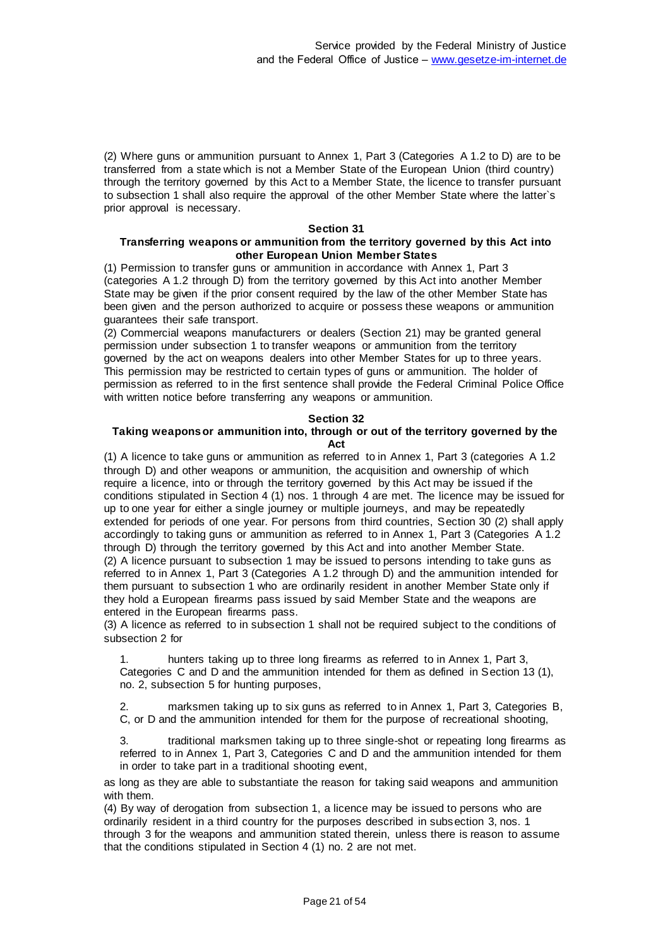(2) Where guns or ammunition pursuant to Annex 1, Part 3 (Categories A 1.2 to D) are to be transferred from a state which is not a Member State of the European Union (third country) through the territory governed by this Act to a Member State, the licence to transfer pursuant to subsection 1 shall also require the approval of the other Member State where the latter`s prior approval is necessary.

#### **Section 31**

### **Transferring weapons or ammunition from the territory governed by this Act into other European Union Member States**

(1) Permission to transfer guns or ammunition in accordance with Annex 1, Part 3 (categories A 1.2 through D) from the territory governed by this Act into another Member State may be given if the prior consent required by the law of the other Member State has been given and the person authorized to acquire or possess these weapons or ammunition guarantees their safe transport.

(2) Commercial weapons manufacturers or dealers (Section 21) may be granted general permission under subsection 1 to transfer weapons or ammunition from the territory governed by the act on weapons dealers into other Member States for up to three years. This permission may be restricted to certain types of guns or ammunition. The holder of permission as referred to in the first sentence shall provide the Federal Criminal Police Office with written notice before transferring any weapons or ammunition.

#### **Section 32**

# **Taking weapons or ammunition into, through or out of the territory governed by the Act**

(1) A licence to take guns or ammunition as referred to in Annex 1, Part 3 (categories A 1.2 through D) and other weapons or ammunition, the acquisition and ownership of which require a licence, into or through the territory governed by this Act may be issued if the conditions stipulated in Section 4 (1) nos. 1 through 4 are met. The licence may be issued for up to one year for either a single journey or multiple journeys, and may be repeatedly extended for periods of one year. For persons from third countries, Section 30 (2) shall apply accordingly to taking guns or ammunition as referred to in Annex 1, Part 3 (Categories A 1.2 through D) through the territory governed by this Act and into another Member State. (2) A licence pursuant to subsection 1 may be issued to persons intending to take guns as referred to in Annex 1, Part 3 (Categories A 1.2 through D) and the ammunition intended for them pursuant to subsection 1 who are ordinarily resident in another Member State only if they hold a European firearms pass issued by said Member State and the weapons are entered in the European firearms pass.

(3) A licence as referred to in subsection 1 shall not be required subject to the conditions of subsection 2 for

hunters taking up to three long firearms as referred to in Annex 1, Part 3, Categories C and D and the ammunition intended for them as defined in Section 13 (1), no. 2, subsection 5 for hunting purposes,

marksmen taking up to six guns as referred to in Annex 1, Part 3, Categories B, C, or D and the ammunition intended for them for the purpose of recreational shooting,

3. traditional marksmen taking up to three single-shot or repeating long firearms as referred to in Annex 1, Part 3, Categories C and D and the ammunition intended for them in order to take part in a traditional shooting event,

as long as they are able to substantiate the reason for taking said weapons and ammunition with them.

(4) By way of derogation from subsection 1, a licence may be issued to persons who are ordinarily resident in a third country for the purposes described in subsection 3, nos. 1 through 3 for the weapons and ammunition stated therein, unless there is reason to assume that the conditions stipulated in Section 4 (1) no. 2 are not met.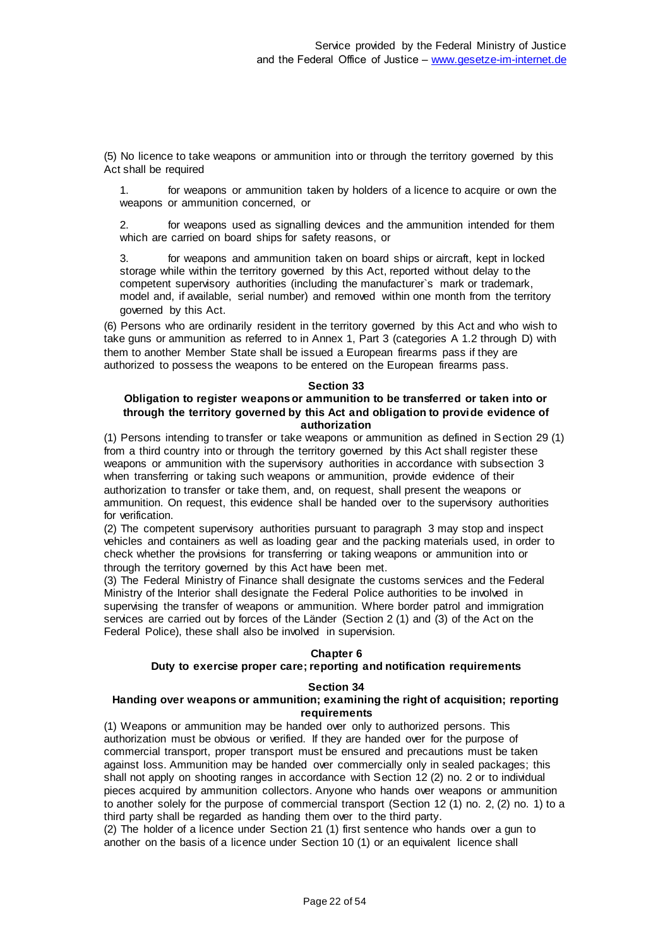(5) No licence to take weapons or ammunition into or through the territory governed by this Act shall be required

1. for weapons or ammunition taken by holders of a licence to acquire or own the weapons or ammunition concerned, or

2. for weapons used as signalling devices and the ammunition intended for them which are carried on board ships for safety reasons, or

for weapons and ammunition taken on board ships or aircraft, kept in locked storage while within the territory governed by this Act, reported without delay to the competent supervisory authorities (including the manufacturer`s mark or trademark, model and, if available, serial number) and removed within one month from the territory governed by this Act.

(6) Persons who are ordinarily resident in the territory governed by this Act and who wish to take guns or ammunition as referred to in Annex 1, Part 3 (categories A 1.2 through D) with them to another Member State shall be issued a European firearms pass if they are authorized to possess the weapons to be entered on the European firearms pass.

#### **Section 33**

#### **Obligation to register weapons or ammunition to be transferred or taken into or through the territory governed by this Act and obligation to provide evidence of authorization**

(1) Persons intending to transfer or take weapons or ammunition as defined in Section 29 (1) from a third country into or through the territory governed by this Act shall register these weapons or ammunition with the supervisory authorities in accordance with subsection 3 when transferring or taking such weapons or ammunition, provide evidence of their authorization to transfer or take them, and, on request, shall present the weapons or ammunition. On request, this evidence shall be handed over to the supervisory authorities for verification.

(2) The competent supervisory authorities pursuant to paragraph 3 may stop and inspect vehicles and containers as well as loading gear and the packing materials used, in order to check whether the provisions for transferring or taking weapons or ammunition into or through the territory governed by this Act have been met.

(3) The Federal Ministry of Finance shall designate the customs services and the Federal Ministry of the Interior shall designate the Federal Police authorities to be involved in supervising the transfer of weapons or ammunition. Where border patrol and immigration services are carried out by forces of the Länder (Section 2 (1) and (3) of the Act on the Federal Police), these shall also be involved in supervision.

#### **Chapter 6**

# **Duty to exercise proper care; reporting and notification requirements**

#### **Section 34**

#### **Handing over weapons or ammunition; examining the right of acquisition; reporting requirements**

(1) Weapons or ammunition may be handed over only to authorized persons. This authorization must be obvious or verified. If they are handed over for the purpose of commercial transport, proper transport must be ensured and precautions must be taken against loss. Ammunition may be handed over commercially only in sealed packages; this shall not apply on shooting ranges in accordance with Section 12 (2) no. 2 or to individual pieces acquired by ammunition collectors. Anyone who hands over weapons or ammunition to another solely for the purpose of commercial transport (Section 12 (1) no. 2, (2) no. 1) to a third party shall be regarded as handing them over to the third party.

(2) The holder of a licence under Section 21 (1) first sentence who hands over a gun to another on the basis of a licence under Section 10 (1) or an equivalent licence shall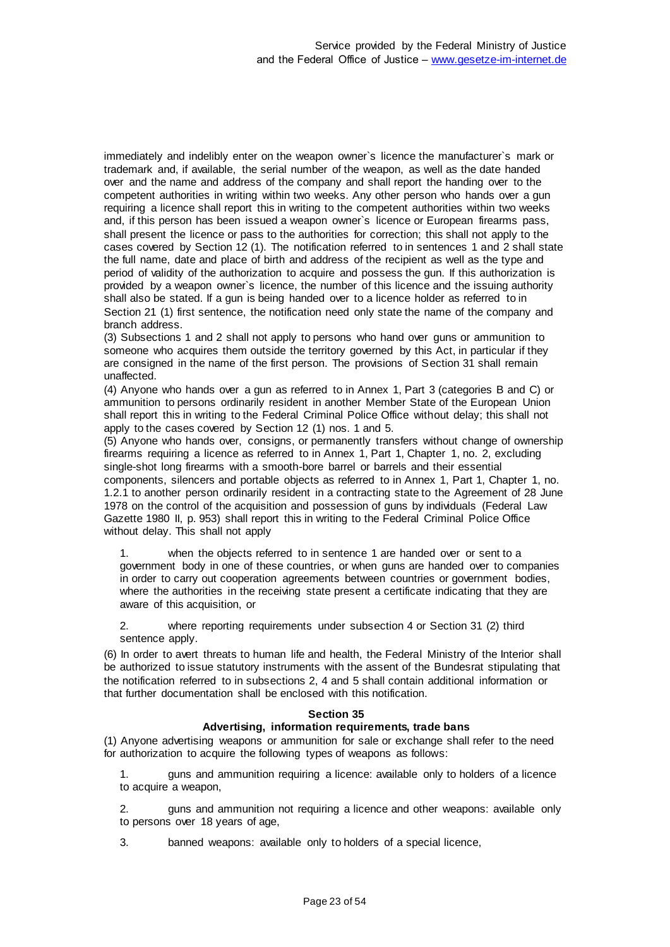immediately and indelibly enter on the weapon owner`s licence the manufacturer`s mark or trademark and, if available, the serial number of the weapon, as well as the date handed over and the name and address of the company and shall report the handing over to the competent authorities in writing within two weeks. Any other person who hands over a gun requiring a licence shall report this in writing to the competent authorities within two weeks and, if this person has been issued a weapon owner`s licence or European firearms pass, shall present the licence or pass to the authorities for correction; this shall not apply to the cases covered by Section 12 (1). The notification referred to in sentences 1 and 2 shall state the full name, date and place of birth and address of the recipient as well as the type and period of validity of the authorization to acquire and possess the gun. If this authorization is provided by a weapon owner`s licence, the number of this licence and the issuing authority shall also be stated. If a gun is being handed over to a licence holder as referred to in Section 21 (1) first sentence, the notification need only state the name of the company and branch address.

(3) Subsections 1 and 2 shall not apply to persons who hand over guns or ammunition to someone who acquires them outside the territory governed by this Act, in particular if they are consigned in the name of the first person. The provisions of Section 31 shall remain unaffected.

(4) Anyone who hands over a gun as referred to in Annex 1, Part 3 (categories B and C) or ammunition to persons ordinarily resident in another Member State of the European Union shall report this in writing to the Federal Criminal Police Office without delay; this shall not apply to the cases covered by Section 12 (1) nos. 1 and 5.

(5) Anyone who hands over, consigns, or permanently transfers without change of ownership firearms requiring a licence as referred to in Annex 1, Part 1, Chapter 1, no. 2, excluding single-shot long firearms with a smooth-bore barrel or barrels and their essential components, silencers and portable objects as referred to in Annex 1, Part 1, Chapter 1, no. 1.2.1 to another person ordinarily resident in a contracting state to the Agreement of 28 June 1978 on the control of the acquisition and possession of guns by individuals (Federal Law Gazette 1980 II, p. 953) shall report this in writing to the Federal Criminal Police Office without delay. This shall not apply

1. when the objects referred to in sentence 1 are handed over or sent to a government body in one of these countries, or when guns are handed over to companies in order to carry out cooperation agreements between countries or government bodies, where the authorities in the receiving state present a certificate indicating that they are aware of this acquisition, or

2. where reporting requirements under subsection 4 or Section 31 (2) third sentence apply.

(6) In order to avert threats to human life and health, the Federal Ministry of the Interior shall be authorized to issue statutory instruments with the assent of the Bundesrat stipulating that the notification referred to in subsections 2, 4 and 5 shall contain additional information or that further documentation shall be enclosed with this notification.

#### **Section 35**

#### **Advertising, information requirements, trade bans**

(1) Anyone advertising weapons or ammunition for sale or exchange shall refer to the need for authorization to acquire the following types of weapons as follows:

1. guns and ammunition requiring a licence: available only to holders of a licence to acquire a weapon,

2. guns and ammunition not requiring a licence and other weapons: available only to persons over 18 years of age,

3. banned weapons: available only to holders of a special licence,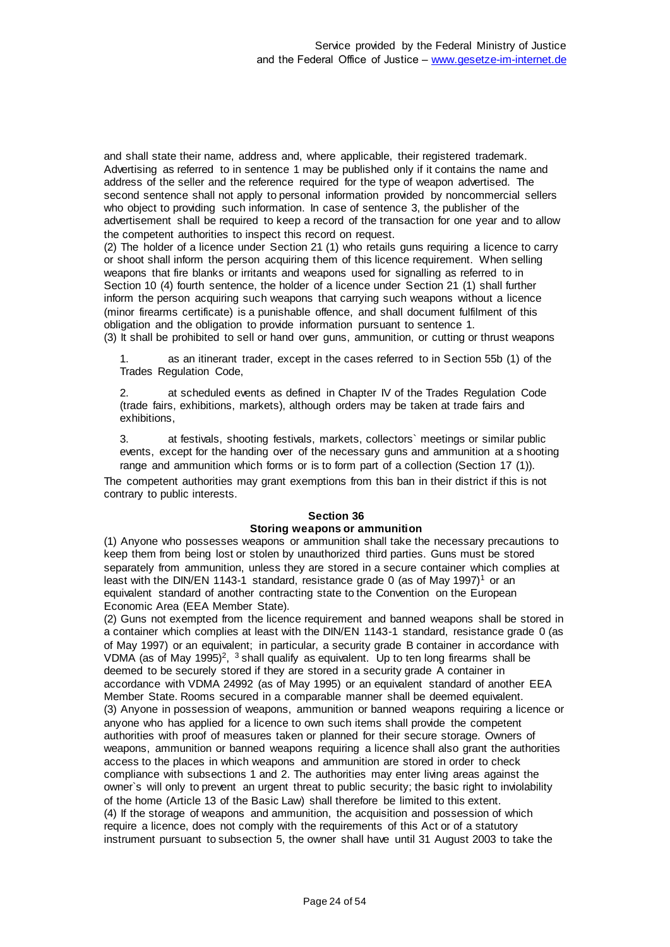and shall state their name, address and, where applicable, their registered trademark. Advertising as referred to in sentence 1 may be published only if it contains the name and address of the seller and the reference required for the type of weapon advertised. The second sentence shall not apply to personal information provided by noncommercial sellers who object to providing such information. In case of sentence 3, the publisher of the advertisement shall be required to keep a record of the transaction for one year and to allow the competent authorities to inspect this record on request.

(2) The holder of a licence under Section 21 (1) who retails guns requiring a licence to carry or shoot shall inform the person acquiring them of this licence requirement. When selling weapons that fire blanks or irritants and weapons used for signalling as referred to in Section 10 (4) fourth sentence, the holder of a licence under Section 21 (1) shall further inform the person acquiring such weapons that carrying such weapons without a licence (minor firearms certificate) is a punishable offence, and shall document fulfilment of this obligation and the obligation to provide information pursuant to sentence 1.

(3) It shall be prohibited to sell or hand over guns, ammunition, or cutting or thrust weapons

1. as an itinerant trader, except in the cases referred to in Section 55b (1) of the Trades Regulation Code,

2. at scheduled events as defined in Chapter IV of the Trades Regulation Code (trade fairs, exhibitions, markets), although orders may be taken at trade fairs and exhibitions,

3. at festivals, shooting festivals, markets, collectors` meetings or similar public events, except for the handing over of the necessary guns and ammunition at a shooting range and ammunition which forms or is to form part of a collection (Section 17 (1)).

The competent authorities may grant exemptions from this ban in their district if this is not contrary to public interests.

# **Section 36**

#### **Storing weapons or ammunition**

(1) Anyone who possesses weapons or ammunition shall take the necessary precautions to keep them from being lost or stolen by unauthorized third parties. Guns must be stored separately from ammunition, unless they are stored in a secure container which complies at least with the DIN/EN 1143-1 standard, resistance grade 0 (as of May 1997)<sup>1</sup> or an equivalent standard of another contracting state to the Convention on the European Economic Area (EEA Member State).

(2) Guns not exempted from the licence requirement and banned weapons shall be stored in a container which complies at least with the DIN/EN 1143-1 standard, resistance grade 0 (as of May 1997) or an equivalent; in particular, a security grade B container in accordance with VDMA (as of May 1995)<sup>2</sup>, <sup>3</sup> shall qualify as equivalent. Up to ten long firearms shall be deemed to be securely stored if they are stored in a security grade A container in accordance with VDMA 24992 (as of May 1995) or an equivalent standard of another EEA Member State. Rooms secured in a comparable manner shall be deemed equivalent. (3) Anyone in possession of weapons, ammunition or banned weapons requiring a licence or anyone who has applied for a licence to own such items shall provide the competent authorities with proof of measures taken or planned for their secure storage. Owners of weapons, ammunition or banned weapons requiring a licence shall also grant the authorities access to the places in which weapons and ammunition are stored in order to check compliance with subsections 1 and 2. The authorities may enter living areas against the owner`s will only to prevent an urgent threat to public security; the basic right to inviolability of the home (Article 13 of the Basic Law) shall therefore be limited to this extent. (4) If the storage of weapons and ammunition, the acquisition and possession of which require a licence, does not comply with the requirements of this Act or of a statutory instrument pursuant to subsection 5, the owner shall have until 31 August 2003 to take the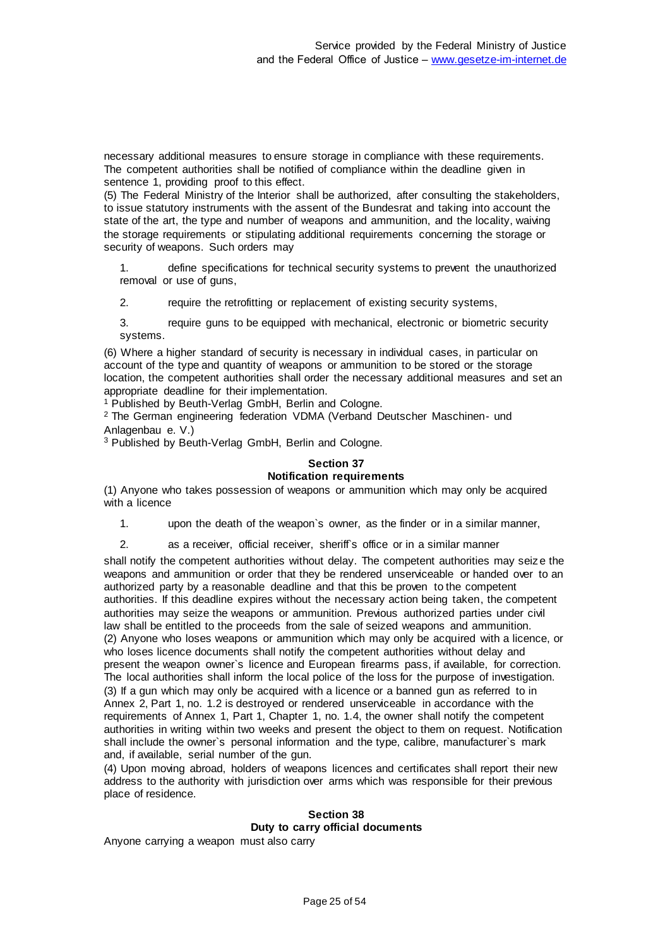necessary additional measures to ensure storage in compliance with these requirements. The competent authorities shall be notified of compliance within the deadline given in sentence 1, providing proof to this effect.

(5) The Federal Ministry of the Interior shall be authorized, after consulting the stakeholders, to issue statutory instruments with the assent of the Bundesrat and taking into account the state of the art, the type and number of weapons and ammunition, and the locality, waiving the storage requirements or stipulating additional requirements concerning the storage or security of weapons. Such orders may

1. define specifications for technical security systems to prevent the unauthorized removal or use of guns,

2. require the retrofitting or replacement of existing security systems,

3. require guns to be equipped with mechanical, electronic or biometric security systems.

(6) Where a higher standard of security is necessary in individual cases, in particular on account of the type and quantity of weapons or ammunition to be stored or the storage location, the competent authorities shall order the necessary additional measures and set an appropriate deadline for their implementation.

<sup>1</sup> Published by Beuth-Verlag GmbH, Berlin and Cologne.

<sup>2</sup> The German engineering federation VDMA (Verband Deutscher Maschinen- und Anlagenbau e. V.)

<sup>3</sup> Published by Beuth-Verlag GmbH, Berlin and Cologne.

#### **Section 37 Notification requirements**

(1) Anyone who takes possession of weapons or ammunition which may only be acquired with a licence

1. upon the death of the weapon`s owner, as the finder or in a similar manner,

2. as a receiver, official receiver, sheriff's office or in a similar manner

shall notify the competent authorities without delay. The competent authorities may seiz e the weapons and ammunition or order that they be rendered unserviceable or handed over to an authorized party by a reasonable deadline and that this be proven to the competent authorities. If this deadline expires without the necessary action being taken, the competent authorities may seize the weapons or ammunition. Previous authorized parties under civil law shall be entitled to the proceeds from the sale of seized weapons and ammunition. (2) Anyone who loses weapons or ammunition which may only be acquired with a licence, or who loses licence documents shall notify the competent authorities without delay and present the weapon owner`s licence and European firearms pass, if available, for correction. The local authorities shall inform the local police of the loss for the purpose of investigation. (3) If a gun which may only be acquired with a licence or a banned gun as referred to in Annex 2, Part 1, no. 1.2 is destroyed or rendered unserviceable in accordance with the requirements of Annex 1, Part 1, Chapter 1, no. 1.4, the owner shall notify the competent authorities in writing within two weeks and present the object to them on request. Notification shall include the owner`s personal information and the type, calibre, manufacturer`s mark and, if available, serial number of the gun.

(4) Upon moving abroad, holders of weapons licences and certificates shall report their new address to the authority with jurisdiction over arms which was responsible for their previous place of residence.

#### **Section 38**

#### **Duty to carry official documents**

Anyone carrying a weapon must also carry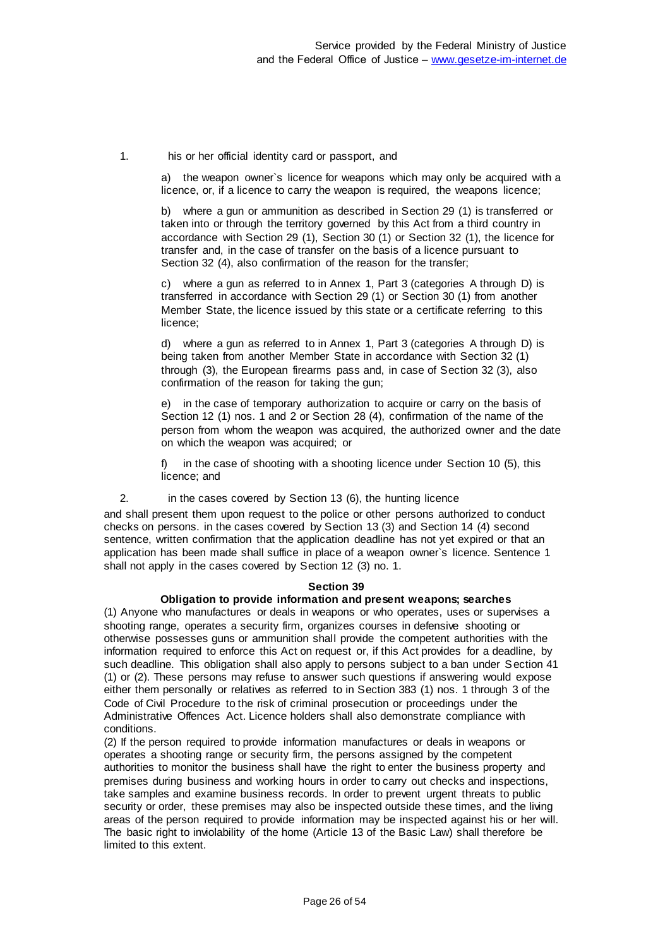1. his or her official identity card or passport, and

a) the weapon owner`s licence for weapons which may only be acquired with a licence, or, if a licence to carry the weapon is required, the weapons licence;

b) where a gun or ammunition as described in Section 29 (1) is transferred or taken into or through the territory governed by this Act from a third country in accordance with Section 29 (1), Section 30 (1) or Section 32 (1), the licence for transfer and, in the case of transfer on the basis of a licence pursuant to Section 32 (4), also confirmation of the reason for the transfer;

c) where a gun as referred to in Annex 1, Part 3 (categories A through D) is transferred in accordance with Section 29 (1) or Section 30 (1) from another Member State, the licence issued by this state or a certificate referring to this licence;

d) where a gun as referred to in Annex 1, Part 3 (categories A through D) is being taken from another Member State in accordance with Section 32 (1) through (3), the European firearms pass and, in case of Section 32 (3), also confirmation of the reason for taking the gun;

e) in the case of temporary authorization to acquire or carry on the basis of Section 12 (1) nos. 1 and 2 or Section 28 (4), confirmation of the name of the person from whom the weapon was acquired, the authorized owner and the date on which the weapon was acquired; or

f) in the case of shooting with a shooting licence under Section 10 (5), this licence; and

2. in the cases covered by Section 13 (6), the hunting licence

and shall present them upon request to the police or other persons authorized to conduct checks on persons. in the cases covered by Section 13 (3) and Section 14 (4) second sentence, written confirmation that the application deadline has not yet expired or that an application has been made shall suffice in place of a weapon owner`s licence. Sentence 1 shall not apply in the cases covered by Section 12 (3) no. 1.

#### **Section 39**

#### **Obligation to provide information and present weapons; searches**

(1) Anyone who manufactures or deals in weapons or who operates, uses or supervises a shooting range, operates a security firm, organizes courses in defensive shooting or otherwise possesses guns or ammunition shall provide the competent authorities with the information required to enforce this Act on request or, if this Act provides for a deadline, by such deadline. This obligation shall also apply to persons subject to a ban under Section 41 (1) or (2). These persons may refuse to answer such questions if answering would expose either them personally or relatives as referred to in Section 383 (1) nos. 1 through 3 of the Code of Civil Procedure to the risk of criminal prosecution or proceedings under the Administrative Offences Act. Licence holders shall also demonstrate compliance with conditions.

(2) If the person required to provide information manufactures or deals in weapons or operates a shooting range or security firm, the persons assigned by the competent authorities to monitor the business shall have the right to enter the business property and premises during business and working hours in order to carry out checks and inspections, take samples and examine business records. In order to prevent urgent threats to public security or order, these premises may also be inspected outside these times, and the living areas of the person required to provide information may be inspected against his or her will. The basic right to inviolability of the home (Article 13 of the Basic Law) shall therefore be limited to this extent.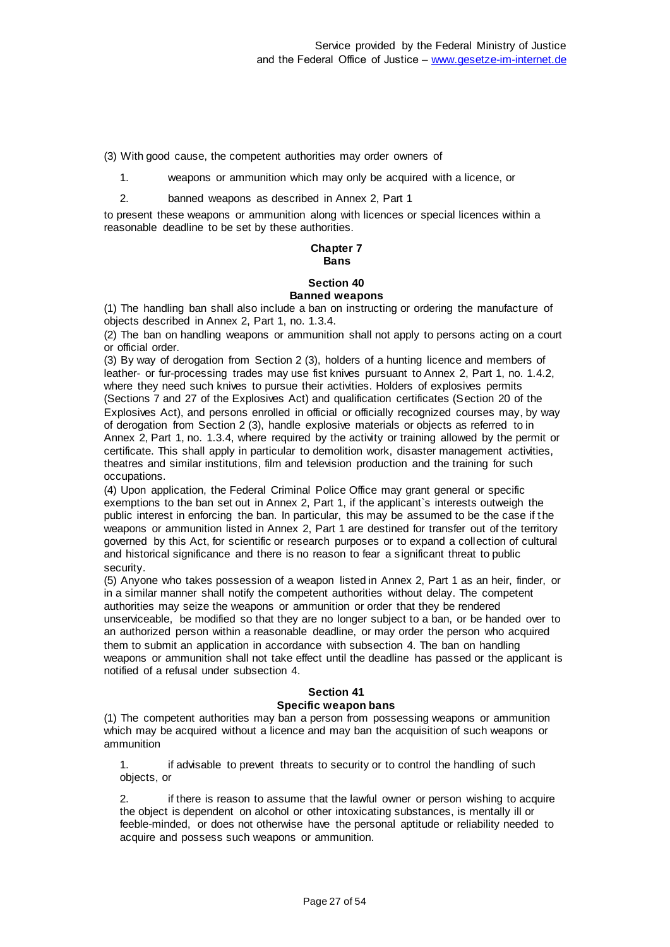(3) With good cause, the competent authorities may order owners of

- 1. weapons or ammunition which may only be acquired with a licence, or
- 2. banned weapons as described in Annex 2, Part 1

to present these weapons or ammunition along with licences or special licences within a reasonable deadline to be set by these authorities.

#### **Chapter 7 Bans**

#### **Section 40 Banned weapons**

(1) The handling ban shall also include a ban on instructing or ordering the manufacture of objects described in Annex 2, Part 1, no. 1.3.4.

(2) The ban on handling weapons or ammunition shall not apply to persons acting on a court or official order.

(3) By way of derogation from Section 2 (3), holders of a hunting licence and members of leather- or fur-processing trades may use fist knives pursuant to Annex 2, Part 1, no. 1.4.2, where they need such knives to pursue their activities. Holders of explosives permits (Sections 7 and 27 of the Explosives Act) and qualification certificates (Section 20 of the Explosives Act), and persons enrolled in official or officially recognized courses may, by way of derogation from Section 2 (3), handle explosive materials or objects as referred to in Annex 2, Part 1, no. 1.3.4, where required by the activity or training allowed by the permit or certificate. This shall apply in particular to demolition work, disaster management activities, theatres and similar institutions, film and television production and the training for such occupations.

(4) Upon application, the Federal Criminal Police Office may grant general or specific exemptions to the ban set out in Annex 2, Part 1, if the applicant`s interests outweigh the public interest in enforcing the ban. In particular, this may be assumed to be the case if the weapons or ammunition listed in Annex 2, Part 1 are destined for transfer out of the territory governed by this Act, for scientific or research purposes or to expand a collection of cultural and historical significance and there is no reason to fear a significant threat to public security.

(5) Anyone who takes possession of a weapon listed in Annex 2, Part 1 as an heir, finder, or in a similar manner shall notify the competent authorities without delay. The competent authorities may seize the weapons or ammunition or order that they be rendered unserviceable, be modified so that they are no longer subject to a ban, or be handed over to an authorized person within a reasonable deadline, or may order the person who acquired them to submit an application in accordance with subsection 4. The ban on handling weapons or ammunition shall not take effect until the deadline has passed or the applicant is notified of a refusal under subsection 4.

# **Section 41**

#### **Specific weapon bans**

(1) The competent authorities may ban a person from possessing weapons or ammunition which may be acquired without a licence and may ban the acquisition of such weapons or ammunition

1. if advisable to prevent threats to security or to control the handling of such objects, or

2. if there is reason to assume that the lawful owner or person wishing to acquire the object is dependent on alcohol or other intoxicating substances, is mentally ill or feeble-minded, or does not otherwise have the personal aptitude or reliability needed to acquire and possess such weapons or ammunition.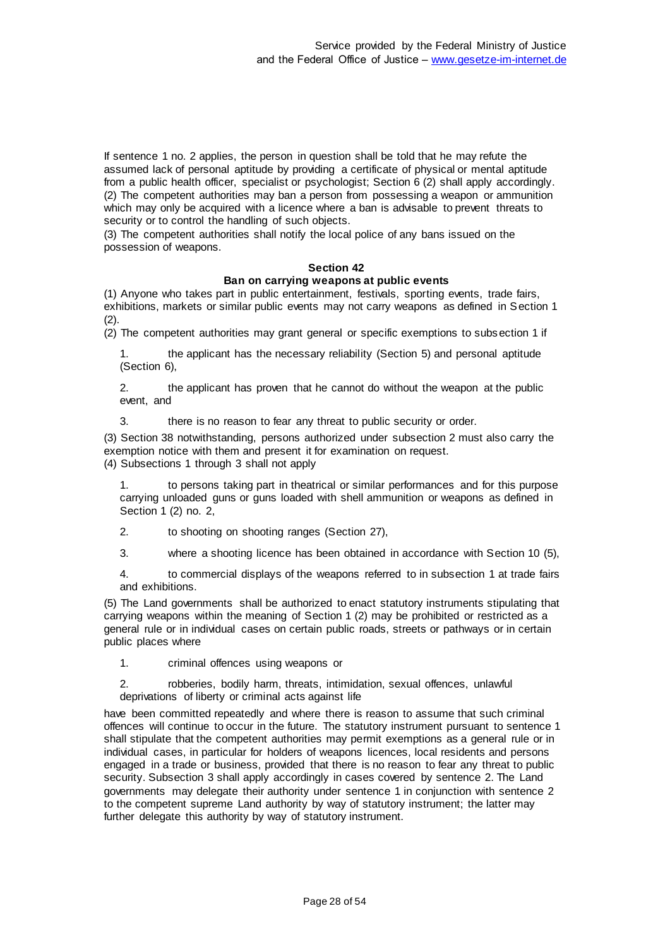If sentence 1 no. 2 applies, the person in question shall be told that he may refute the assumed lack of personal aptitude by providing a certificate of physical or mental aptitude from a public health officer, specialist or psychologist; Section 6 (2) shall apply accordingly. (2) The competent authorities may ban a person from possessing a weapon or ammunition which may only be acquired with a licence where a ban is advisable to prevent threats to security or to control the handling of such objects.

(3) The competent authorities shall notify the local police of any bans issued on the possession of weapons.

#### **Section 42**

#### **Ban on carrying weapons at public events**

(1) Anyone who takes part in public entertainment, festivals, sporting events, trade fairs, exhibitions, markets or similar public events may not carry weapons as defined in Section 1  $(2).$ 

(2) The competent authorities may grant general or specific exemptions to subsection 1 if

1. the applicant has the necessary reliability (Section 5) and personal aptitude (Section 6),

2. the applicant has proven that he cannot do without the weapon at the public event, and

3. there is no reason to fear any threat to public security or order.

(3) Section 38 notwithstanding, persons authorized under subsection 2 must also carry the exemption notice with them and present it for examination on request.

(4) Subsections 1 through 3 shall not apply

1. to persons taking part in theatrical or similar performances and for this purpose carrying unloaded guns or guns loaded with shell ammunition or weapons as defined in Section 1 (2) no. 2,

2. to shooting on shooting ranges (Section 27),

3. where a shooting licence has been obtained in accordance with Section 10 (5),

4. to commercial displays of the weapons referred to in subsection 1 at trade fairs and exhibitions.

(5) The Land governments shall be authorized to enact statutory instruments stipulating that carrying weapons within the meaning of Section 1 (2) may be prohibited or restricted as a general rule or in individual cases on certain public roads, streets or pathways or in certain public places where

1. criminal offences using weapons or

2. robberies, bodily harm, threats, intimidation, sexual offences, unlawful deprivations of liberty or criminal acts against life

have been committed repeatedly and where there is reason to assume that such criminal offences will continue to occur in the future. The statutory instrument pursuant to sentence 1 shall stipulate that the competent authorities may permit exemptions as a general rule or in individual cases, in particular for holders of weapons licences, local residents and persons engaged in a trade or business, provided that there is no reason to fear any threat to public security. Subsection 3 shall apply accordingly in cases covered by sentence 2. The Land governments may delegate their authority under sentence 1 in conjunction with sentence 2 to the competent supreme Land authority by way of statutory instrument; the latter may further delegate this authority by way of statutory instrument.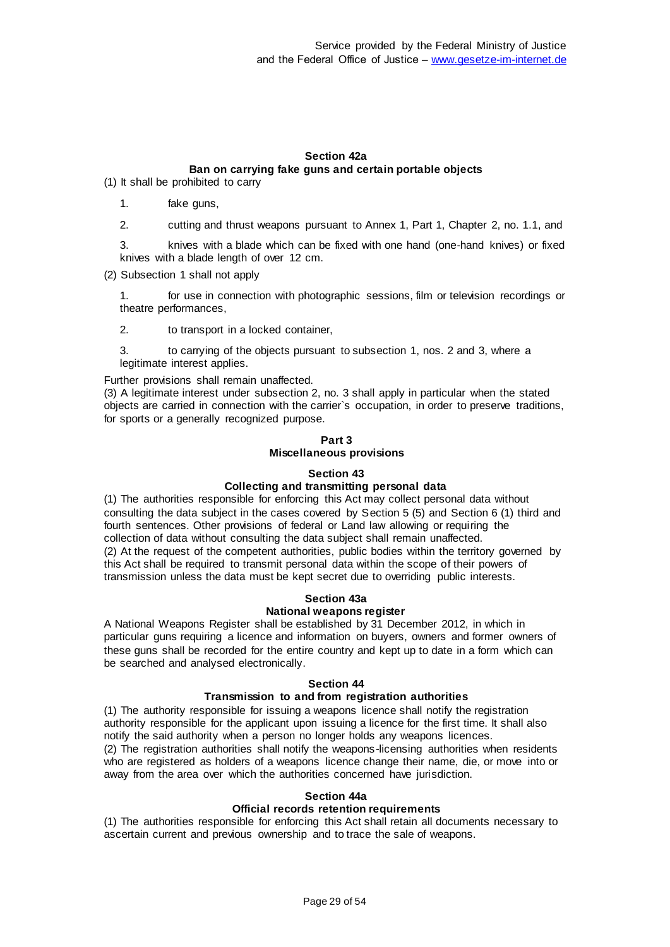# **Section 42a Ban on carrying fake guns and certain portable objects**

(1) It shall be prohibited to carry

- 1. fake guns,
- 2. cutting and thrust weapons pursuant to Annex 1, Part 1, Chapter 2, no. 1.1, and

3. knives with a blade which can be fixed with one hand (one-hand knives) or fixed knives with a blade length of over 12 cm.

(2) Subsection 1 shall not apply

1. for use in connection with photographic sessions, film or television recordings or theatre performances,

2. to transport in a locked container,

3. to carrying of the objects pursuant to subsection 1, nos. 2 and 3, where a legitimate interest applies.

Further provisions shall remain unaffected.

(3) A legitimate interest under subsection 2, no. 3 shall apply in particular when the stated objects are carried in connection with the carrier`s occupation, in order to preserve traditions, for sports or a generally recognized purpose.

# **Part 3 Miscellaneous provisions**

#### **Section 43**

# **Collecting and transmitting personal data**

(1) The authorities responsible for enforcing this Act may collect personal data without consulting the data subject in the cases covered by Section 5 (5) and Section 6 (1) third and fourth sentences. Other provisions of federal or Land law allowing or requiring the collection of data without consulting the data subject shall remain unaffected. (2) At the request of the competent authorities, public bodies within the territory governed by this Act shall be required to transmit personal data within the scope of their powers of transmission unless the data must be kept secret due to overriding public interests.

#### **Section 43a**

#### **National weapons register**

A National Weapons Register shall be established by 31 December 2012, in which in particular guns requiring a licence and information on buyers, owners and former owners of these guns shall be recorded for the entire country and kept up to date in a form which can be searched and analysed electronically.

#### **Section 44**

#### **Transmission to and from registration authorities**

(1) The authority responsible for issuing a weapons licence shall notify the registration authority responsible for the applicant upon issuing a licence for the first time. It shall also notify the said authority when a person no longer holds any weapons licences. (2) The registration authorities shall notify the weapons-licensing authorities when residents

who are registered as holders of a weapons licence change their name, die, or move into or away from the area over which the authorities concerned have jurisdiction.

#### **Section 44a**

#### **Official records retention requirements**

(1) The authorities responsible for enforcing this Act shall retain all documents necessary to ascertain current and previous ownership and to trace the sale of weapons.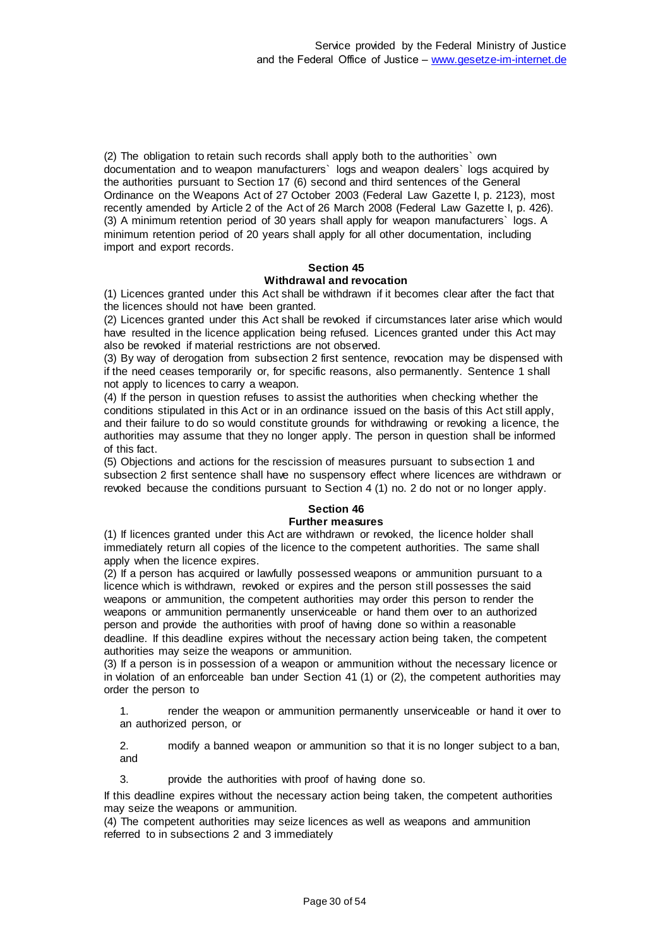(2) The obligation to retain such records shall apply both to the authorities` own documentation and to weapon manufacturers` logs and weapon dealers` logs acquired by the authorities pursuant to Section 17 (6) second and third sentences of the General Ordinance on the Weapons Act of 27 October 2003 (Federal Law Gazette I, p. 2123), most recently amended by Article 2 of the Act of 26 March 2008 (Federal Law Gazette I, p. 426). (3) A minimum retention period of 30 years shall apply for weapon manufacturers` logs. A minimum retention period of 20 years shall apply for all other documentation, including import and export records.

# **Section 45**

# **Withdrawal and revocation**

(1) Licences granted under this Act shall be withdrawn if it becomes clear after the fact that the licences should not have been granted.

(2) Licences granted under this Act shall be revoked if circumstances later arise which would have resulted in the licence application being refused. Licences granted under this Act may also be revoked if material restrictions are not observed.

(3) By way of derogation from subsection 2 first sentence, revocation may be dispensed with if the need ceases temporarily or, for specific reasons, also permanently. Sentence 1 shall not apply to licences to carry a weapon.

(4) If the person in question refuses to assist the authorities when checking whether the conditions stipulated in this Act or in an ordinance issued on the basis of this Act still apply, and their failure to do so would constitute grounds for withdrawing or revoking a licence, the authorities may assume that they no longer apply. The person in question shall be informed of this fact.

(5) Objections and actions for the rescission of measures pursuant to subsection 1 and subsection 2 first sentence shall have no suspensory effect where licences are withdrawn or revoked because the conditions pursuant to Section 4 (1) no. 2 do not or no longer apply.

# **Section 46**

# **Further measures**

(1) If licences granted under this Act are withdrawn or revoked, the licence holder shall immediately return all copies of the licence to the competent authorities. The same shall apply when the licence expires.

(2) If a person has acquired or lawfully possessed weapons or ammunition pursuant to a licence which is withdrawn, revoked or expires and the person still possesses the said weapons or ammunition, the competent authorities may order this person to render the weapons or ammunition permanently unserviceable or hand them over to an authorized person and provide the authorities with proof of having done so within a reasonable deadline. If this deadline expires without the necessary action being taken, the competent authorities may seize the weapons or ammunition.

(3) If a person is in possession of a weapon or ammunition without the necessary licence or in violation of an enforceable ban under Section 41 (1) or (2), the competent authorities may order the person to

1. render the weapon or ammunition permanently unserviceable or hand it over to an authorized person, or

2. modify a banned weapon or ammunition so that it is no longer subject to a ban, and

3. provide the authorities with proof of having done so.

If this deadline expires without the necessary action being taken, the competent authorities may seize the weapons or ammunition.

(4) The competent authorities may seize licences as well as weapons and ammunition referred to in subsections 2 and 3 immediately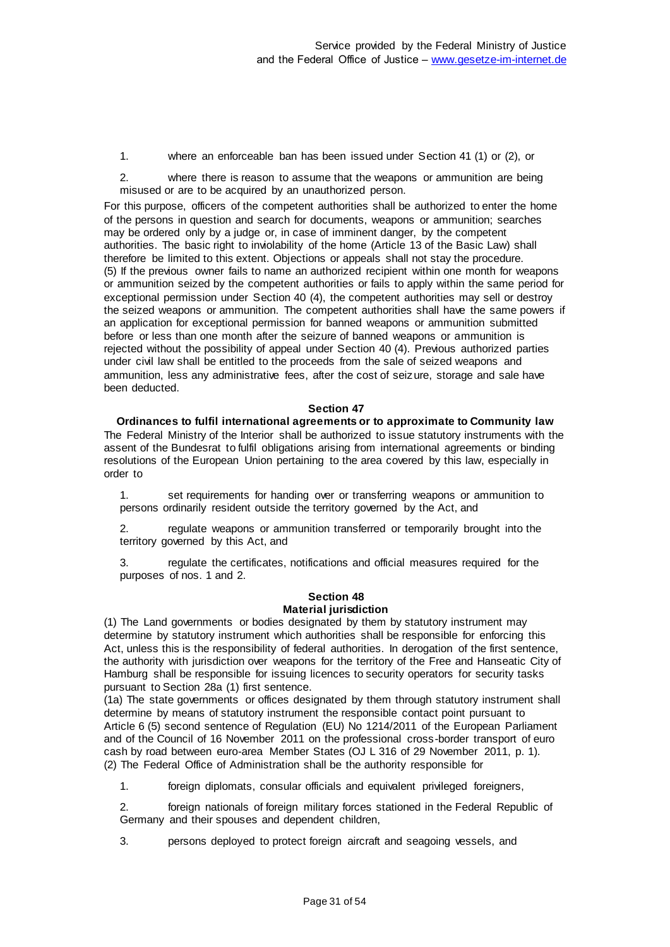1. where an enforceable ban has been issued under Section 41 (1) or (2), or

2. where there is reason to assume that the weapons or ammunition are being misused or are to be acquired by an unauthorized person.

For this purpose, officers of the competent authorities shall be authorized to enter the home of the persons in question and search for documents, weapons or ammunition; searches may be ordered only by a judge or, in case of imminent danger, by the competent authorities. The basic right to inviolability of the home (Article 13 of the Basic Law) shall therefore be limited to this extent. Objections or appeals shall not stay the procedure. (5) If the previous owner fails to name an authorized recipient within one month for weapons or ammunition seized by the competent authorities or fails to apply within the same period for exceptional permission under Section 40 (4), the competent authorities may sell or destroy the seized weapons or ammunition. The competent authorities shall have the same powers if an application for exceptional permission for banned weapons or ammunition submitted before or less than one month after the seizure of banned weapons or ammunition is rejected without the possibility of appeal under Section 40 (4). Previous authorized parties under civil law shall be entitled to the proceeds from the sale of seized weapons and ammunition, less any administrative fees, after the cost of seizure, storage and sale have been deducted.

#### **Section 47**

**Ordinances to fulfil international agreements or to approximate to Community law** The Federal Ministry of the Interior shall be authorized to issue statutory instruments with the assent of the Bundesrat to fulfil obligations arising from international agreements or binding resolutions of the European Union pertaining to the area covered by this law, especially in order to

1. set requirements for handing over or transferring weapons or ammunition to persons ordinarily resident outside the territory governed by the Act, and

2. regulate weapons or ammunition transferred or temporarily brought into the territory governed by this Act, and

3. regulate the certificates, notifications and official measures required for the purposes of nos. 1 and 2.

#### **Section 48 Material jurisdiction**

(1) The Land governments or bodies designated by them by statutory instrument may determine by statutory instrument which authorities shall be responsible for enforcing this Act, unless this is the responsibility of federal authorities. In derogation of the first sentence, the authority with jurisdiction over weapons for the territory of the Free and Hanseatic City of Hamburg shall be responsible for issuing licences to security operators for security tasks pursuant to Section 28a (1) first sentence.

(1a) The state governments or offices designated by them through statutory instrument shall determine by means of statutory instrument the responsible contact point pursuant to Article 6 (5) second sentence of Regulation (EU) No 1214/2011 of the European Parliament and of the Council of 16 November 2011 on the professional cross-border transport of euro cash by road between euro-area Member States (OJ L 316 of 29 November 2011, p. 1). (2) The Federal Office of Administration shall be the authority responsible for

1. foreign diplomats, consular officials and equivalent privileged foreigners,

foreign nationals of foreign military forces stationed in the Federal Republic of Germany and their spouses and dependent children,

3. persons deployed to protect foreign aircraft and seagoing vessels, and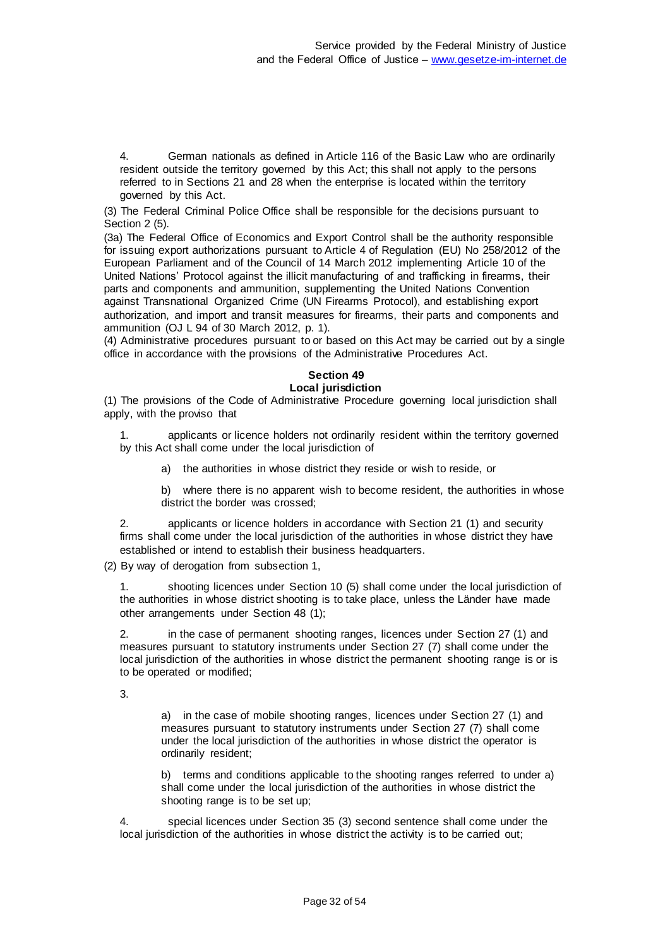4. German nationals as defined in Article 116 of the Basic Law who are ordinarily resident outside the territory governed by this Act; this shall not apply to the persons referred to in Sections 21 and 28 when the enterprise is located within the territory governed by this Act.

(3) The Federal Criminal Police Office shall be responsible for the decisions pursuant to Section 2 (5).

(3a) The Federal Office of Economics and Export Control shall be the authority responsible for issuing export authorizations pursuant to Article 4 of Regulation (EU) No 258/2012 of the European Parliament and of the Council of 14 March 2012 implementing Article 10 of the United Nations' Protocol against the illicit manufacturing of and trafficking in firearms, their parts and components and ammunition, supplementing the United Nations Convention against Transnational Organized Crime (UN Firearms Protocol), and establishing export authorization, and import and transit measures for firearms, their parts and components and ammunition (OJ L 94 of 30 March 2012, p. 1).

(4) Administrative procedures pursuant to or based on this Act may be carried out by a single office in accordance with the provisions of the Administrative Procedures Act.

# **Section 49**

# **Local jurisdiction**

(1) The provisions of the Code of Administrative Procedure governing local jurisdiction shall apply, with the proviso that

1. applicants or licence holders not ordinarily resident within the territory governed by this Act shall come under the local jurisdiction of

a) the authorities in whose district they reside or wish to reside, or

b) where there is no apparent wish to become resident, the authorities in whose district the border was crossed;

2. applicants or licence holders in accordance with Section 21 (1) and security firms shall come under the local jurisdiction of the authorities in whose district they have established or intend to establish their business headquarters.

(2) By way of derogation from subsection 1,

1. shooting licences under Section 10 (5) shall come under the local jurisdiction of the authorities in whose district shooting is to take place, unless the Länder have made other arrangements under Section 48 (1);

2. in the case of permanent shooting ranges, licences under Section 27 (1) and measures pursuant to statutory instruments under Section 27 (7) shall come under the local jurisdiction of the authorities in whose district the permanent shooting range is or is to be operated or modified;

3.

a) in the case of mobile shooting ranges, licences under Section 27 (1) and measures pursuant to statutory instruments under Section 27 (7) shall come under the local jurisdiction of the authorities in whose district the operator is ordinarily resident;

b) terms and conditions applicable to the shooting ranges referred to under a) shall come under the local jurisdiction of the authorities in whose district the shooting range is to be set up;

4. special licences under Section 35 (3) second sentence shall come under the local jurisdiction of the authorities in whose district the activity is to be carried out;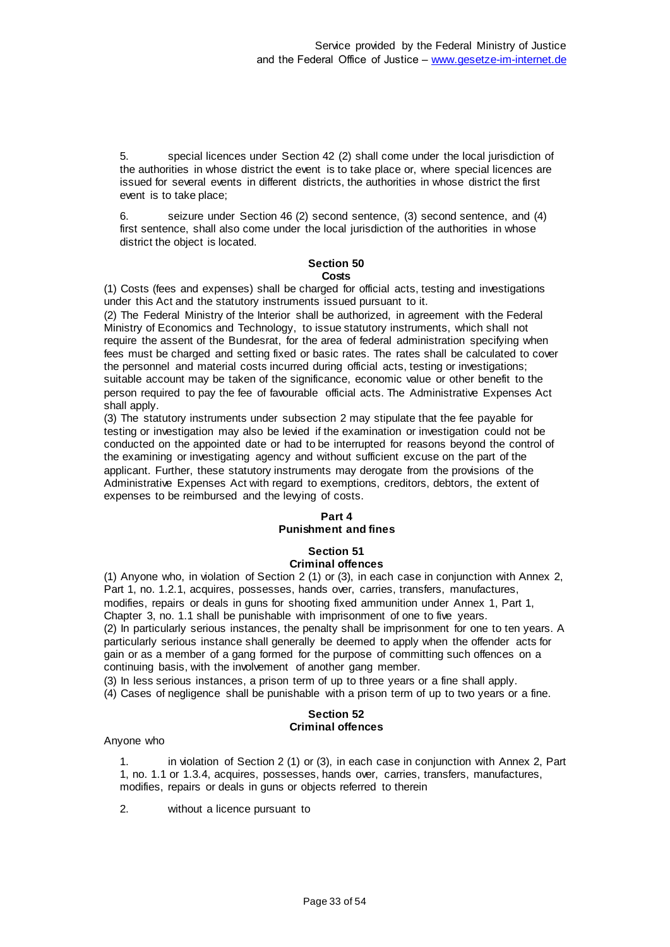5. special licences under Section 42 (2) shall come under the local jurisdiction of the authorities in whose district the event is to take place or, where special licences are issued for several events in different districts, the authorities in whose district the first event is to take place;

6. seizure under Section 46 (2) second sentence, (3) second sentence, and (4) first sentence, shall also come under the local jurisdiction of the authorities in whose district the object is located.

#### **Section 50 Costs**

(1) Costs (fees and expenses) shall be charged for official acts, testing and investigations under this Act and the statutory instruments issued pursuant to it.

(2) The Federal Ministry of the Interior shall be authorized, in agreement with the Federal Ministry of Economics and Technology, to issue statutory instruments, which shall not require the assent of the Bundesrat, for the area of federal administration specifying when fees must be charged and setting fixed or basic rates. The rates shall be calculated to cover the personnel and material costs incurred during official acts, testing or investigations; suitable account may be taken of the significance, economic value or other benefit to the person required to pay the fee of favourable official acts. The Administrative Expenses Act shall apply.

(3) The statutory instruments under subsection 2 may stipulate that the fee payable for testing or investigation may also be levied if the examination or investigation could not be conducted on the appointed date or had to be interrupted for reasons beyond the control of the examining or investigating agency and without sufficient excuse on the part of the applicant. Further, these statutory instruments may derogate from the provisions of the Administrative Expenses Act with regard to exemptions, creditors, debtors, the extent of expenses to be reimbursed and the lewing of costs.

# **Part 4 Punishment and fines**

#### **Section 51 Criminal offences**

(1) Anyone who, in violation of Section 2 (1) or (3), in each case in conjunction with Annex 2, Part 1, no. 1.2.1, acquires, possesses, hands over, carries, transfers, manufactures, modifies, repairs or deals in guns for shooting fixed ammunition under Annex 1, Part 1, Chapter 3, no. 1.1 shall be punishable with imprisonment of one to five years. (2) In particularly serious instances, the penalty shall be imprisonment for one to ten years. A particularly serious instance shall generally be deemed to apply when the offender acts for gain or as a member of a gang formed for the purpose of committing such offences on a continuing basis, with the involvement of another gang member.

(3) In less serious instances, a prison term of up to three years or a fine shall apply.

(4) Cases of negligence shall be punishable with a prison term of up to two years or a fine.

# **Section 52 Criminal offences**

Anyone who

1. in violation of Section 2 (1) or (3), in each case in conjunction with Annex 2, Part 1, no. 1.1 or 1.3.4, acquires, possesses, hands over, carries, transfers, manufactures, modifies, repairs or deals in guns or objects referred to therein

2. without a licence pursuant to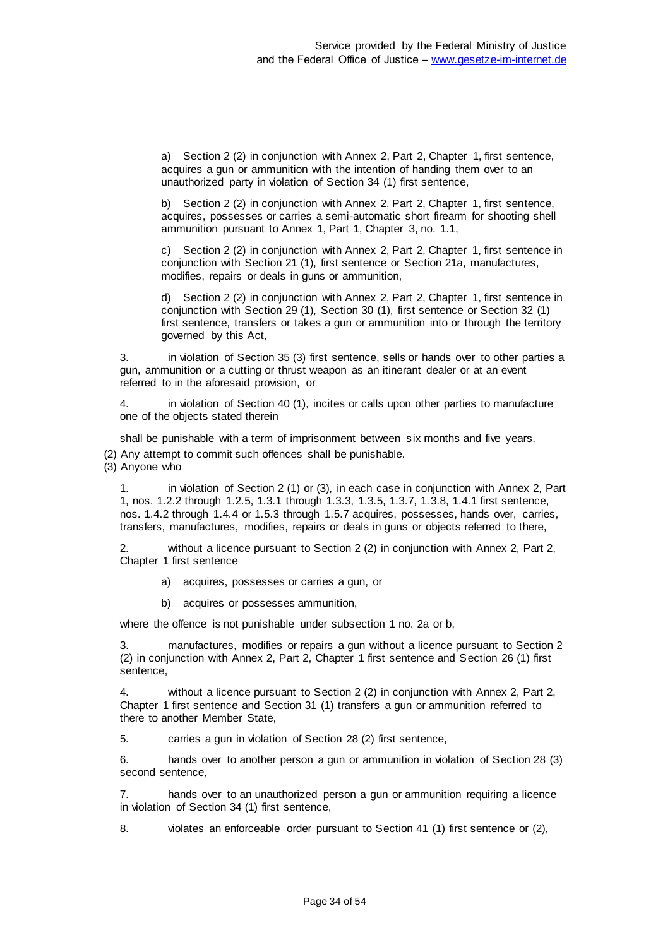a) Section 2 (2) in conjunction with Annex 2, Part 2, Chapter 1, first sentence, acquires a gun or ammunition with the intention of handing them over to an unauthorized party in violation of Section 34 (1) first sentence,

b) Section 2 (2) in conjunction with Annex 2, Part 2, Chapter 1, first sentence, acquires, possesses or carries a semi-automatic short firearm for shooting shell ammunition pursuant to Annex 1, Part 1, Chapter 3, no. 1.1,

c) Section 2 (2) in conjunction with Annex 2, Part 2, Chapter 1, first sentence in conjunction with Section 21 (1), first sentence or Section 21a, manufactures, modifies, repairs or deals in guns or ammunition,

d) Section 2 (2) in conjunction with Annex 2, Part 2, Chapter 1, first sentence in conjunction with Section 29 (1), Section 30 (1), first sentence or Section 32 (1) first sentence, transfers or takes a gun or ammunition into or through the territory governed by this Act,

3. in violation of Section 35 (3) first sentence, sells or hands over to other parties a gun, ammunition or a cutting or thrust weapon as an itinerant dealer or at an event referred to in the aforesaid provision, or

4. in violation of Section 40 (1), incites or calls upon other parties to manufacture one of the objects stated therein

shall be punishable with a term of imprisonment between six months and five years.

(2) Any attempt to commit such offences shall be punishable.

(3) Anyone who

1. in violation of Section 2 (1) or (3), in each case in conjunction with Annex 2, Part 1, nos. 1.2.2 through 1.2.5, 1.3.1 through 1.3.3, 1.3.5, 1.3.7, 1.3.8, 1.4.1 first sentence, nos. 1.4.2 through 1.4.4 or 1.5.3 through 1.5.7 acquires, possesses, hands over, carries, transfers, manufactures, modifies, repairs or deals in guns or objects referred to there,

without a licence pursuant to Section 2 (2) in conjunction with Annex 2, Part 2, Chapter 1 first sentence

- a) acquires, possesses or carries a gun, or
- b) acquires or possesses ammunition,

where the offence is not punishable under subsection 1 no. 2a or b,

3. manufactures, modifies or repairs a gun without a licence pursuant to Section 2 (2) in conjunction with Annex 2, Part 2, Chapter 1 first sentence and Section 26 (1) first sentence,

4. without a licence pursuant to Section 2 (2) in conjunction with Annex 2, Part 2, Chapter 1 first sentence and Section 31 (1) transfers a gun or ammunition referred to there to another Member State,

5. carries a gun in violation of Section 28 (2) first sentence,

6. hands over to another person a gun or ammunition in violation of Section 28 (3) second sentence,

7. hands over to an unauthorized person a gun or ammunition requiring a licence in violation of Section 34 (1) first sentence,

8. violates an enforceable order pursuant to Section 41 (1) first sentence or (2),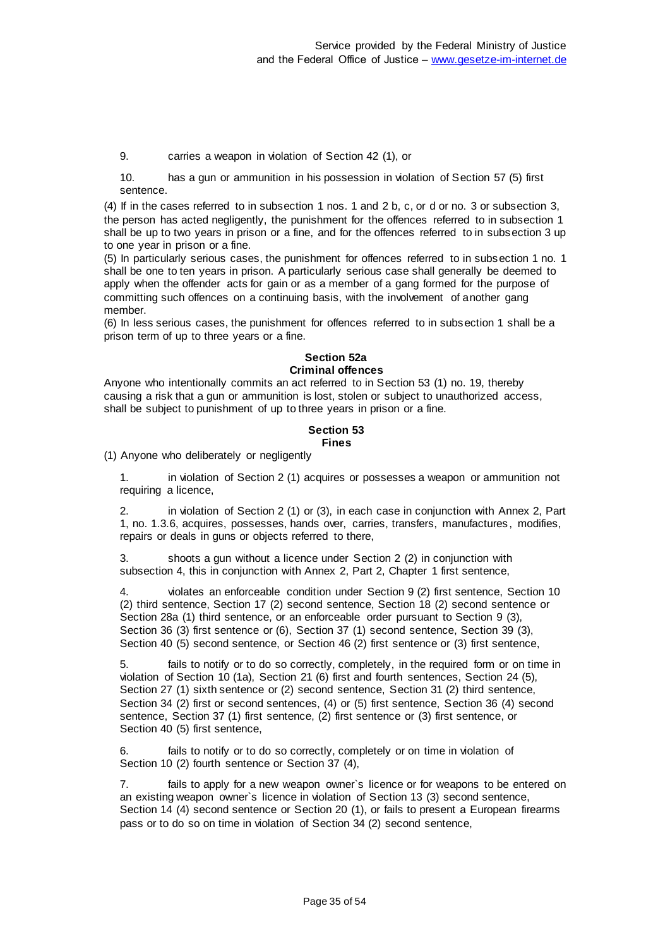9. carries a weapon in violation of Section 42 (1), or

10. has a gun or ammunition in his possession in violation of Section 57 (5) first sentence.

(4) If in the cases referred to in subsection 1 nos. 1 and 2 b, c, or d or no. 3 or subsection 3, the person has acted negligently, the punishment for the offences referred to in subsection 1 shall be up to two years in prison or a fine, and for the offences referred to in subsection 3 up to one year in prison or a fine.

(5) In particularly serious cases, the punishment for offences referred to in subsection 1 no. 1 shall be one to ten years in prison. A particularly serious case shall generally be deemed to apply when the offender acts for gain or as a member of a gang formed for the purpose of committing such offences on a continuing basis, with the involvement of another gang member.

(6) In less serious cases, the punishment for offences referred to in subsection 1 shall be a prison term of up to three years or a fine.

# **Section 52a Criminal offences**

Anyone who intentionally commits an act referred to in Section 53 (1) no. 19, thereby causing a risk that a gun or ammunition is lost, stolen or subject to unauthorized access, shall be subject to punishment of up to three years in prison or a fine.

#### **Section 53 Fines**

(1) Anyone who deliberately or negligently

1. in violation of Section 2 (1) acquires or possesses a weapon or ammunition not requiring a licence,

2. in violation of Section 2 (1) or (3), in each case in conjunction with Annex 2, Part 1, no. 1.3.6, acquires, possesses, hands over, carries, transfers, manufactures , modifies, repairs or deals in guns or objects referred to there,

3. shoots a gun without a licence under Section 2 (2) in conjunction with subsection 4, this in conjunction with Annex 2, Part 2, Chapter 1 first sentence,

4. violates an enforceable condition under Section 9 (2) first sentence, Section 10 (2) third sentence, Section 17 (2) second sentence, Section 18 (2) second sentence or Section 28a (1) third sentence, or an enforceable order pursuant to Section 9 (3), Section 36 (3) first sentence or (6), Section 37 (1) second sentence, Section 39 (3), Section 40 (5) second sentence, or Section 46 (2) first sentence or (3) first sentence,

5. fails to notify or to do so correctly, completely, in the required form or on time in violation of Section 10 (1a), Section 21 (6) first and fourth sentences, Section 24 (5), Section 27 (1) sixth sentence or (2) second sentence, Section 31 (2) third sentence, Section 34 (2) first or second sentences, (4) or (5) first sentence, Section 36 (4) second sentence, Section 37 (1) first sentence, (2) first sentence or (3) first sentence, or Section 40 (5) first sentence,

6. fails to notify or to do so correctly, completely or on time in violation of Section 10 (2) fourth sentence or Section 37 (4),

7. fails to apply for a new weapon owner`s licence or for weapons to be entered on an existing weapon owner`s licence in violation of Section 13 (3) second sentence, Section 14 (4) second sentence or Section 20 (1), or fails to present a European firearms pass or to do so on time in violation of Section 34 (2) second sentence,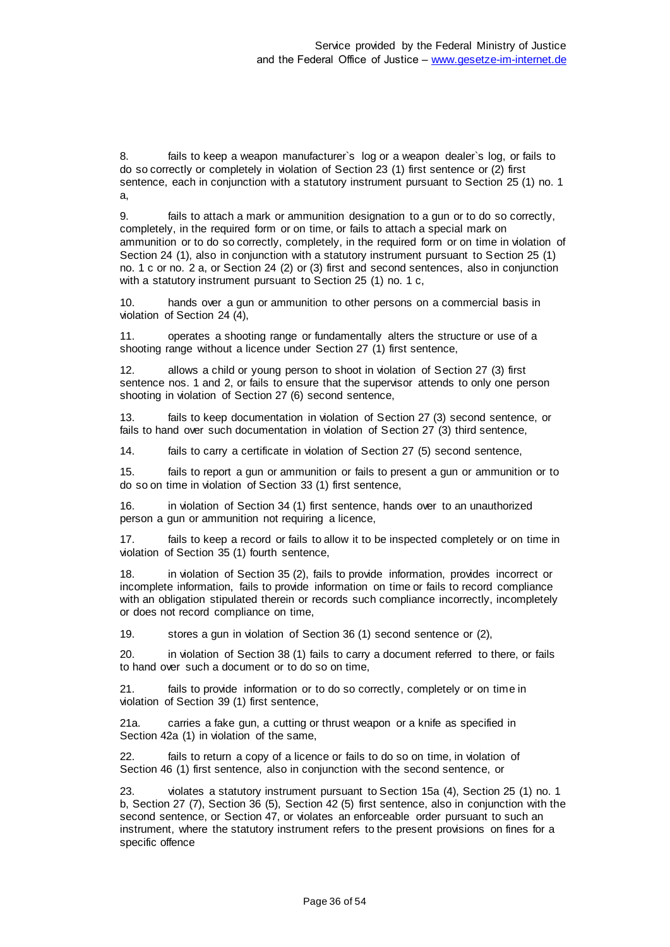8. fails to keep a weapon manufacturer`s log or a weapon dealer`s log, or fails to do so correctly or completely in violation of Section 23 (1) first sentence or (2) first sentence, each in conjunction with a statutory instrument pursuant to Section 25 (1) no. 1 a,

9. fails to attach a mark or ammunition designation to a gun or to do so correctly, completely, in the required form or on time, or fails to attach a special mark on ammunition or to do so correctly, completely, in the required form or on time in violation of Section 24 (1), also in conjunction with a statutory instrument pursuant to Section 25 (1) no. 1 c or no. 2 a, or Section 24 (2) or (3) first and second sentences, also in conjunction with a statutory instrument pursuant to Section 25 (1) no. 1 c,

10. hands over a gun or ammunition to other persons on a commercial basis in violation of Section 24 (4),

11. operates a shooting range or fundamentally alters the structure or use of a shooting range without a licence under Section 27 (1) first sentence,

12. allows a child or young person to shoot in violation of Section 27 (3) first sentence nos. 1 and 2, or fails to ensure that the supervisor attends to only one person shooting in violation of Section 27 (6) second sentence,

13. fails to keep documentation in violation of Section 27 (3) second sentence, or fails to hand over such documentation in violation of Section 27 (3) third sentence,

14. fails to carry a certificate in violation of Section 27 (5) second sentence,

15. fails to report a gun or ammunition or fails to present a gun or ammunition or to do so on time in violation of Section 33 (1) first sentence,

16. in violation of Section 34 (1) first sentence, hands over to an unauthorized person a gun or ammunition not requiring a licence,

17. fails to keep a record or fails to allow it to be inspected completely or on time in violation of Section 35 (1) fourth sentence,

18. in violation of Section 35 (2), fails to provide information, provides incorrect or incomplete information, fails to provide information on time or fails to record compliance with an obligation stipulated therein or records such compliance incorrectly, incompletely or does not record compliance on time,

19. stores a gun in violation of Section 36 (1) second sentence or (2),

20. in violation of Section 38 (1) fails to carry a document referred to there, or fails to hand over such a document or to do so on time,

21. fails to provide information or to do so correctly, completely or on time in violation of Section 39 (1) first sentence,

21a. carries a fake gun, a cutting or thrust weapon or a knife as specified in Section 42a (1) in violation of the same,

22. fails to return a copy of a licence or fails to do so on time, in violation of Section 46 (1) first sentence, also in conjunction with the second sentence, or

23. violates a statutory instrument pursuant to Section 15a (4), Section 25 (1) no. 1 b, Section 27 (7), Section 36 (5), Section 42 (5) first sentence, also in conjunction with the second sentence, or Section 47, or violates an enforceable order pursuant to such an instrument, where the statutory instrument refers to the present provisions on fines for a specific offence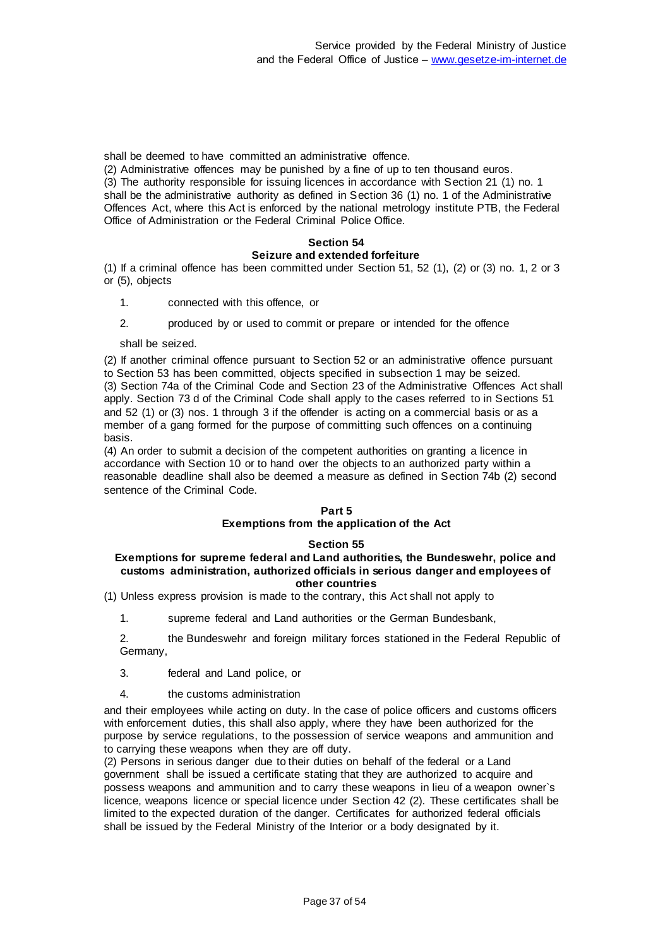shall be deemed to have committed an administrative offence.

(2) Administrative offences may be punished by a fine of up to ten thousand euros. (3) The authority responsible for issuing licences in accordance with Section 21 (1) no. 1 shall be the administrative authority as defined in Section 36 (1) no. 1 of the Administrative Offences Act, where this Act is enforced by the national metrology institute PTB, the Federal Office of Administration or the Federal Criminal Police Office.

#### **Section 54 Seizure and extended forfeiture**

(1) If a criminal offence has been committed under Section 51, 52 (1), (2) or (3) no. 1, 2 or 3 or (5), objects

1. connected with this offence, or

2. produced by or used to commit or prepare or intended for the offence

shall be seized.

(2) If another criminal offence pursuant to Section 52 or an administrative offence pursuant to Section 53 has been committed, objects specified in subsection 1 may be seized. (3) Section 74a of the Criminal Code and Section 23 of the Administrative Offences Act shall apply. Section 73 d of the Criminal Code shall apply to the cases referred to in Sections 51 and 52 (1) or (3) nos. 1 through 3 if the offender is acting on a commercial basis or as a member of a gang formed for the purpose of committing such offences on a continuing basis.

(4) An order to submit a decision of the competent authorities on granting a licence in accordance with Section 10 or to hand over the objects to an authorized party within a reasonable deadline shall also be deemed a measure as defined in Section 74b (2) second sentence of the Criminal Code.

#### **Part 5**

#### **Exemptions from the application of the Act**

#### **Section 55**

#### **Exemptions for supreme federal and Land authorities, the Bundeswehr, police and customs administration, authorized officials in serious danger and employees of other countries**

(1) Unless express provision is made to the contrary, this Act shall not apply to

1. supreme federal and Land authorities or the German Bundesbank,

2. the Bundeswehr and foreign military forces stationed in the Federal Republic of Germany,

- 3. federal and Land police, or
- 4. the customs administration

and their employees while acting on duty. In the case of police officers and customs officers with enforcement duties, this shall also apply, where they have been authorized for the purpose by service regulations, to the possession of service weapons and ammunition and to carrying these weapons when they are off duty.

(2) Persons in serious danger due to their duties on behalf of the federal or a Land government shall be issued a certificate stating that they are authorized to acquire and possess weapons and ammunition and to carry these weapons in lieu of a weapon owner`s licence, weapons licence or special licence under Section 42 (2). These certificates shall be limited to the expected duration of the danger. Certificates for authorized federal officials shall be issued by the Federal Ministry of the Interior or a body designated by it.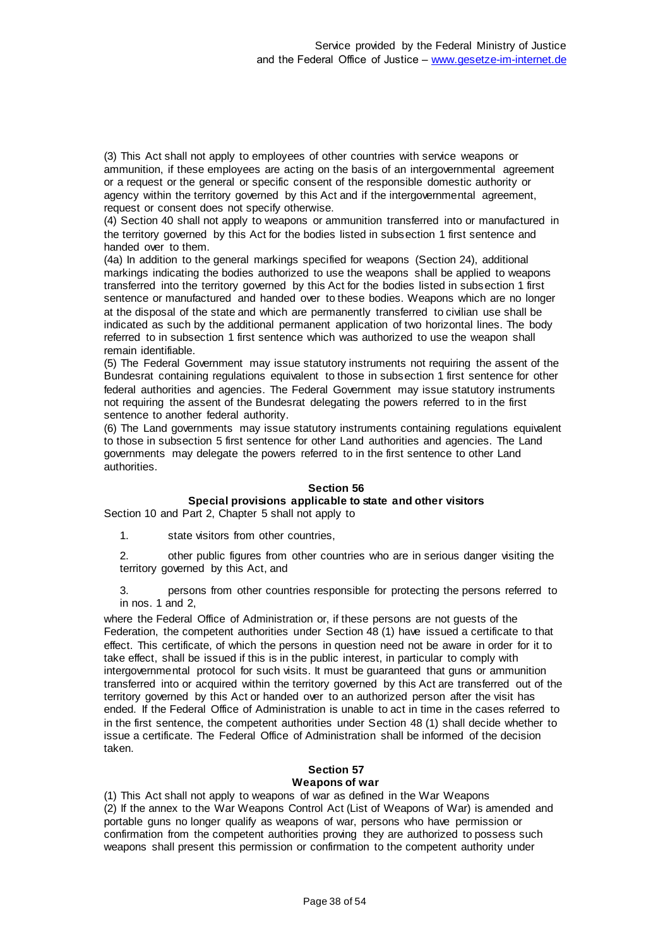(3) This Act shall not apply to employees of other countries with service weapons or ammunition, if these employees are acting on the basis of an intergovernmental agreement or a request or the general or specific consent of the responsible domestic authority or agency within the territory governed by this Act and if the intergovernmental agreement, request or consent does not specify otherwise.

(4) Section 40 shall not apply to weapons or ammunition transferred into or manufactured in the territory governed by this Act for the bodies listed in subsection 1 first sentence and handed over to them.

(4a) In addition to the general markings specified for weapons (Section 24), additional markings indicating the bodies authorized to use the weapons shall be applied to weapons transferred into the territory governed by this Act for the bodies listed in subsection 1 first sentence or manufactured and handed over to these bodies. Weapons which are no longer at the disposal of the state and which are permanently transferred to civilian use shall be indicated as such by the additional permanent application of two horizontal lines. The body referred to in subsection 1 first sentence which was authorized to use the weapon shall remain identifiable.

(5) The Federal Government may issue statutory instruments not requiring the assent of the Bundesrat containing regulations equivalent to those in subsection 1 first sentence for other federal authorities and agencies. The Federal Government may issue statutory instruments not requiring the assent of the Bundesrat delegating the powers referred to in the first sentence to another federal authority.

(6) The Land governments may issue statutory instruments containing regulations equivalent to those in subsection 5 first sentence for other Land authorities and agencies. The Land governments may delegate the powers referred to in the first sentence to other Land authorities.

#### **Section 56**

# **Special provisions applicable to state and other visitors**

Section 10 and Part 2, Chapter 5 shall not apply to

1. state visitors from other countries,

2. other public figures from other countries who are in serious danger visiting the territory governed by this Act, and

3. persons from other countries responsible for protecting the persons referred to in nos. 1 and 2,

where the Federal Office of Administration or, if these persons are not guests of the Federation, the competent authorities under Section 48 (1) have issued a certificate to that effect. This certificate, of which the persons in question need not be aware in order for it to take effect, shall be issued if this is in the public interest, in particular to comply with intergovernmental protocol for such visits. It must be guaranteed that guns or ammunition transferred into or acquired within the territory governed by this Act are transferred out of the territory governed by this Act or handed over to an authorized person after the visit has ended. If the Federal Office of Administration is unable to act in time in the cases referred to in the first sentence, the competent authorities under Section 48 (1) shall decide whether to issue a certificate. The Federal Office of Administration shall be informed of the decision taken.

#### **Section 57 Weapons of war**

(1) This Act shall not apply to weapons of war as defined in the War Weapons (2) If the annex to the War Weapons Control Act (List of Weapons of War) is amended and portable guns no longer qualify as weapons of war, persons who have permission or confirmation from the competent authorities proving they are authorized to possess such weapons shall present this permission or confirmation to the competent authority under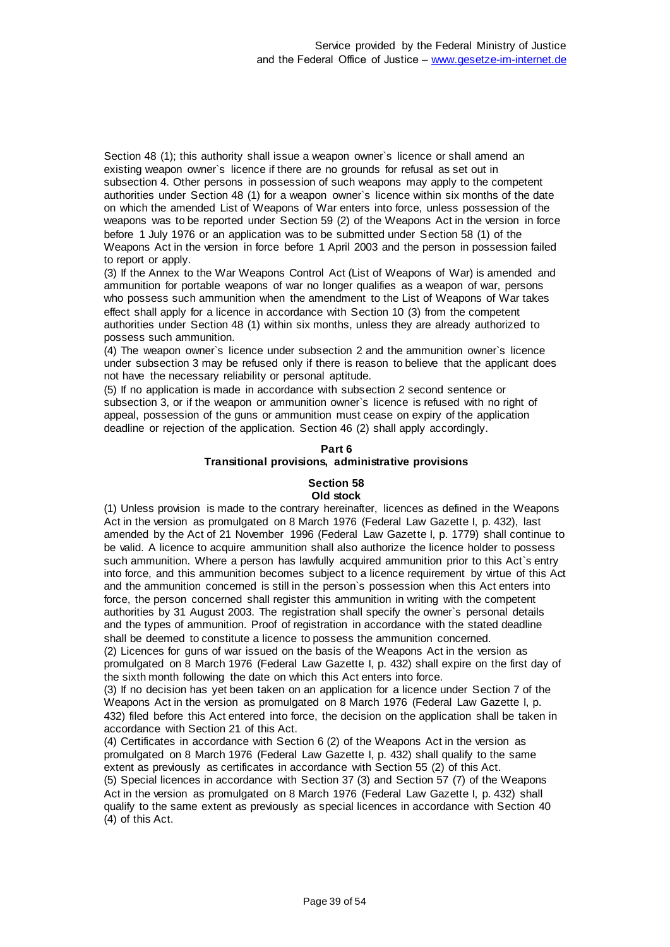Section 48 (1); this authority shall issue a weapon owner`s licence or shall amend an existing weapon owner`s licence if there are no grounds for refusal as set out in subsection 4. Other persons in possession of such weapons may apply to the competent authorities under Section 48 (1) for a weapon owner`s licence within six months of the date on which the amended List of Weapons of War enters into force, unless possession of the weapons was to be reported under Section 59 (2) of the Weapons Act in the version in force before 1 July 1976 or an application was to be submitted under Section 58 (1) of the Weapons Act in the version in force before 1 April 2003 and the person in possession failed to report or apply.

(3) If the Annex to the War Weapons Control Act (List of Weapons of War) is amended and ammunition for portable weapons of war no longer qualifies as a weapon of war, persons who possess such ammunition when the amendment to the List of Weapons of War takes effect shall apply for a licence in accordance with Section 10 (3) from the competent authorities under Section 48 (1) within six months, unless they are already authorized to possess such ammunition.

(4) The weapon owner`s licence under subsection 2 and the ammunition owner`s licence under subsection 3 may be refused only if there is reason to believe that the applicant does not have the necessary reliability or personal aptitude.

(5) If no application is made in accordance with subsection 2 second sentence or subsection 3, or if the weapon or ammunition owner`s licence is refused with no right of appeal, possession of the guns or ammunition must cease on expiry of the application deadline or rejection of the application. Section 46 (2) shall apply accordingly.

#### **Part 6**

#### **Transitional provisions, administrative provisions**

# **Section 58**

#### **Old stock**

(1) Unless provision is made to the contrary hereinafter, licences as defined in the Weapons Act in the version as promulgated on 8 March 1976 (Federal Law Gazette I, p. 432), last amended by the Act of 21 November 1996 (Federal Law Gazette I, p. 1779) shall continue to be valid. A licence to acquire ammunition shall also authorize the licence holder to possess such ammunition. Where a person has lawfully acquired ammunition prior to this Act`s entry into force, and this ammunition becomes subject to a licence requirement by virtue of this Act and the ammunition concerned is still in the person`s possession when this Act enters into force, the person concerned shall register this ammunition in writing with the competent authorities by 31 August 2003. The registration shall specify the owner`s personal details and the types of ammunition. Proof of registration in accordance with the stated deadline shall be deemed to constitute a licence to possess the ammunition concerned.

(2) Licences for guns of war issued on the basis of the Weapons Act in the version as promulgated on 8 March 1976 (Federal Law Gazette I, p. 432) shall expire on the first day of the sixth month following the date on which this Act enters into force.

(3) If no decision has yet been taken on an application for a licence under Section 7 of the Weapons Act in the version as promulgated on 8 March 1976 (Federal Law Gazette I, p. 432) filed before this Act entered into force, the decision on the application shall be taken in accordance with Section 21 of this Act.

(4) Certificates in accordance with Section 6 (2) of the Weapons Act in the version as promulgated on 8 March 1976 (Federal Law Gazette I, p. 432) shall qualify to the same extent as previously as certificates in accordance with Section 55 (2) of this Act. (5) Special licences in accordance with Section 37 (3) and Section 57 (7) of the Weapons Act in the version as promulgated on 8 March 1976 (Federal Law Gazette I, p. 432) shall qualify to the same extent as previously as special licences in accordance with Section 40 (4) of this Act.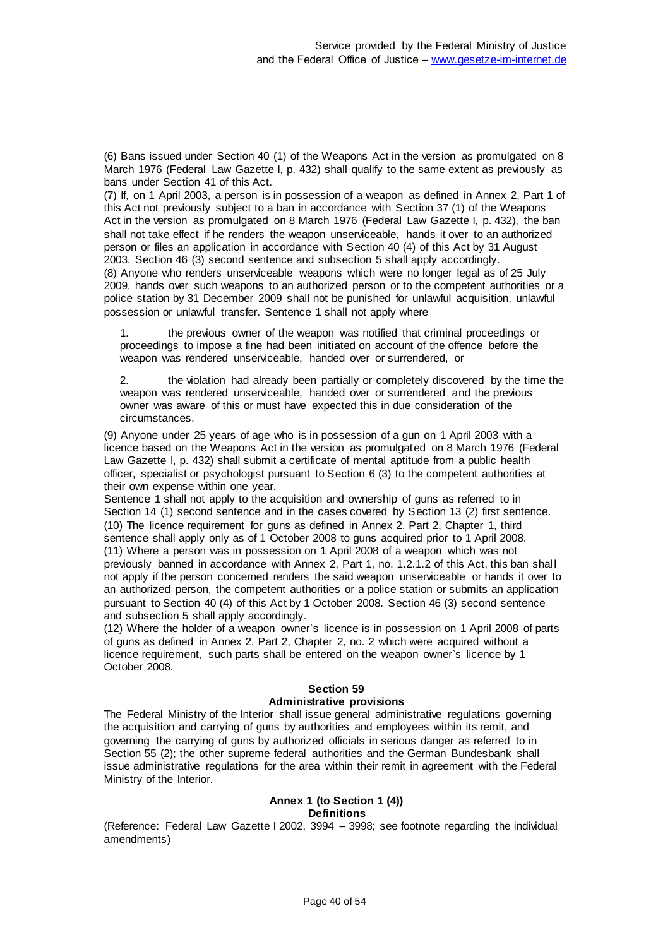(6) Bans issued under Section 40 (1) of the Weapons Act in the version as promulgated on 8 March 1976 (Federal Law Gazette I, p. 432) shall qualify to the same extent as previously as bans under Section 41 of this Act.

(7) If, on 1 April 2003, a person is in possession of a weapon as defined in Annex 2, Part 1 of this Act not previously subject to a ban in accordance with Section 37 (1) of the Weapons Act in the version as promulgated on 8 March 1976 (Federal Law Gazette I, p. 432), the ban shall not take effect if he renders the weapon unserviceable, hands it over to an authorized person or files an application in accordance with Section 40 (4) of this Act by 31 August 2003. Section 46 (3) second sentence and subsection 5 shall apply accordingly. (8) Anyone who renders unserviceable weapons which were no longer legal as of 25 July 2009, hands over such weapons to an authorized person or to the competent authorities or a police station by 31 December 2009 shall not be punished for unlawful acquisition, unlawful possession or unlawful transfer. Sentence 1 shall not apply where

1. the previous owner of the weapon was notified that criminal proceedings or proceedings to impose a fine had been initiated on account of the offence before the weapon was rendered unserviceable, handed over or surrendered, or

2. the violation had already been partially or completely discovered by the time the weapon was rendered unserviceable, handed over or surrendered and the previous owner was aware of this or must have expected this in due consideration of the circumstances.

(9) Anyone under 25 years of age who is in possession of a gun on 1 April 2003 with a licence based on the Weapons Act in the version as promulgated on 8 March 1976 (Federal Law Gazette I, p. 432) shall submit a certificate of mental aptitude from a public health officer, specialist or psychologist pursuant to Section 6 (3) to the competent authorities at their own expense within one year.

Sentence 1 shall not apply to the acquisition and ownership of guns as referred to in Section 14 (1) second sentence and in the cases covered by Section 13 (2) first sentence. (10) The licence requirement for guns as defined in Annex 2, Part 2, Chapter 1, third sentence shall apply only as of 1 October 2008 to guns acquired prior to 1 April 2008. (11) Where a person was in possession on 1 April 2008 of a weapon which was not previously banned in accordance with Annex 2, Part 1, no. 1.2.1.2 of this Act, this ban shall not apply if the person concerned renders the said weapon unserviceable or hands it over to an authorized person, the competent authorities or a police station or submits an application pursuant to Section 40 (4) of this Act by 1 October 2008. Section 46 (3) second sentence and subsection 5 shall apply accordingly.

(12) Where the holder of a weapon owner`s licence is in possession on 1 April 2008 of parts of guns as defined in Annex 2, Part 2, Chapter 2, no. 2 which were acquired without a licence requirement, such parts shall be entered on the weapon owner`s licence by 1 October 2008.

#### **Section 59 Administrative provisions**

The Federal Ministry of the Interior shall issue general administrative regulations governing the acquisition and carrying of guns by authorities and employees within its remit, and governing the carrying of guns by authorized officials in serious danger as referred to in Section 55 (2); the other supreme federal authorities and the German Bundesbank shall issue administrative regulations for the area within their remit in agreement with the Federal Ministry of the Interior.

#### **Annex 1 (to Section 1 (4)) Definitions**

(Reference: Federal Law Gazette I 2002, 3994 – 3998; see footnote regarding the individual amendments)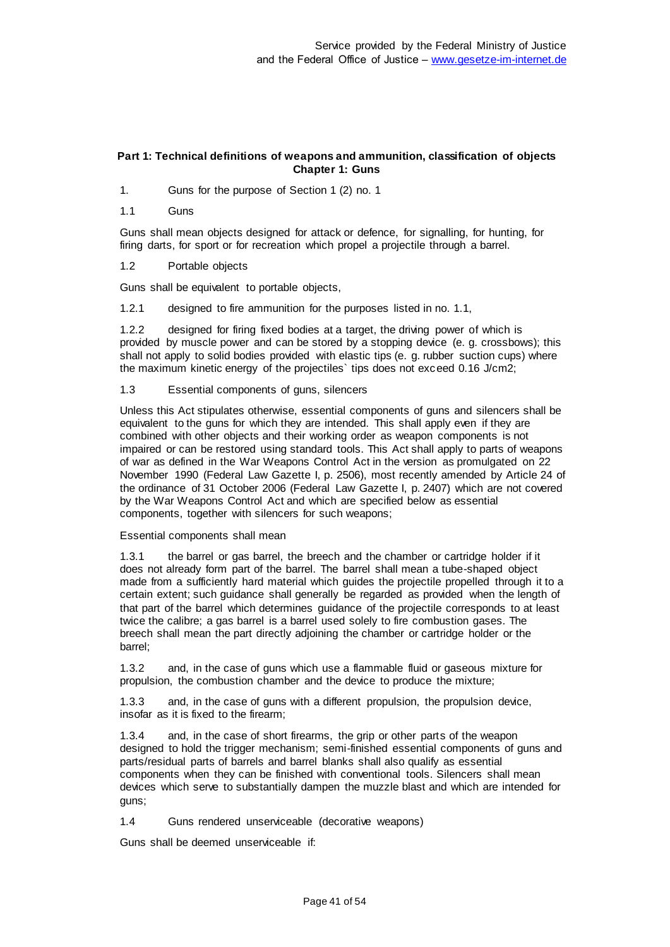#### **Part 1: Technical definitions of weapons and ammunition, classification of objects Chapter 1: Guns**

1. Guns for the purpose of Section 1 (2) no. 1

1.1 Guns

Guns shall mean objects designed for attack or defence, for signalling, for hunting, for firing darts, for sport or for recreation which propel a projectile through a barrel.

1.2 Portable objects

Guns shall be equivalent to portable objects,

1.2.1 designed to fire ammunition for the purposes listed in no. 1.1,

1.2.2 designed for firing fixed bodies at a target, the driving power of which is provided by muscle power and can be stored by a stopping device (e. g. crossbows); this shall not apply to solid bodies provided with elastic tips (e. g. rubber suction cups) where the maximum kinetic energy of the projectiles` tips does not exceed 0.16 J/cm2;

1.3 Essential components of guns, silencers

Unless this Act stipulates otherwise, essential components of guns and silencers shall be equivalent to the guns for which they are intended. This shall apply even if they are combined with other objects and their working order as weapon components is not impaired or can be restored using standard tools. This Act shall apply to parts of weapons of war as defined in the War Weapons Control Act in the version as promulgated on 22 November 1990 (Federal Law Gazette I, p. 2506), most recently amended by Article 24 of the ordinance of 31 October 2006 (Federal Law Gazette I, p. 2407) which are not covered by the War Weapons Control Act and which are specified below as essential components, together with silencers for such weapons;

Essential components shall mean

1.3.1 the barrel or gas barrel, the breech and the chamber or cartridge holder if it does not already form part of the barrel. The barrel shall mean a tube-shaped object made from a sufficiently hard material which guides the projectile propelled through it to a certain extent; such guidance shall generally be regarded as provided when the length of that part of the barrel which determines guidance of the projectile corresponds to at least twice the calibre; a gas barrel is a barrel used solely to fire combustion gases. The breech shall mean the part directly adjoining the chamber or cartridge holder or the barrel;

1.3.2 and, in the case of guns which use a flammable fluid or gaseous mixture for propulsion, the combustion chamber and the device to produce the mixture;

1.3.3 and, in the case of guns with a different propulsion, the propulsion device, insofar as it is fixed to the firearm;

1.3.4 and, in the case of short firearms, the grip or other parts of the weapon designed to hold the trigger mechanism; semi-finished essential components of guns and parts/residual parts of barrels and barrel blanks shall also qualify as essential components when they can be finished with conventional tools. Silencers shall mean devices which serve to substantially dampen the muzzle blast and which are intended for guns;

1.4 Guns rendered unserviceable (decorative weapons)

Guns shall be deemed unserviceable if: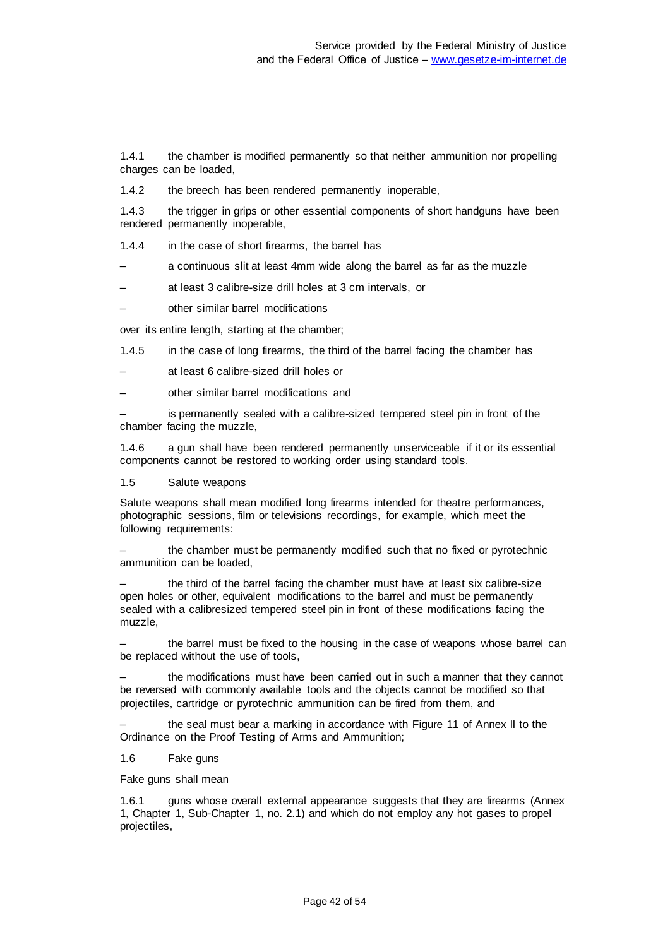1.4.1 the chamber is modified permanently so that neither ammunition nor propelling charges can be loaded,

1.4.2 the breech has been rendered permanently inoperable,

1.4.3 the trigger in grips or other essential components of short handguns have been rendered permanently inoperable,

1.4.4 in the case of short firearms, the barrel has

– a continuous slit at least 4mm wide along the barrel as far as the muzzle

– at least 3 calibre-size drill holes at 3 cm intervals, or

– other similar barrel modifications

over its entire length, starting at the chamber;

1.4.5 in the case of long firearms, the third of the barrel facing the chamber has

– at least 6 calibre-sized drill holes or

– other similar barrel modifications and

is permanently sealed with a calibre-sized tempered steel pin in front of the chamber facing the muzzle,

1.4.6 a gun shall have been rendered permanently unserviceable if it or its essential components cannot be restored to working order using standard tools.

#### 1.5 Salute weapons

Salute weapons shall mean modified long firearms intended for theatre performances, photographic sessions, film or televisions recordings, for example, which meet the following requirements:

– the chamber must be permanently modified such that no fixed or pyrotechnic ammunition can be loaded,

the third of the barrel facing the chamber must have at least six calibre-size open holes or other, equivalent modifications to the barrel and must be permanently sealed with a calibresized tempered steel pin in front of these modifications facing the muzzle,

– the barrel must be fixed to the housing in the case of weapons whose barrel can be replaced without the use of tools,

– the modifications must have been carried out in such a manner that they cannot be reversed with commonly available tools and the objects cannot be modified so that projectiles, cartridge or pyrotechnic ammunition can be fired from them, and

– the seal must bear a marking in accordance with Figure 11 of Annex II to the Ordinance on the Proof Testing of Arms and Ammunition;

# 1.6 Fake guns

Fake guns shall mean

1.6.1 guns whose overall external appearance suggests that they are firearms (Annex 1, Chapter 1, Sub-Chapter 1, no. 2.1) and which do not employ any hot gases to propel projectiles,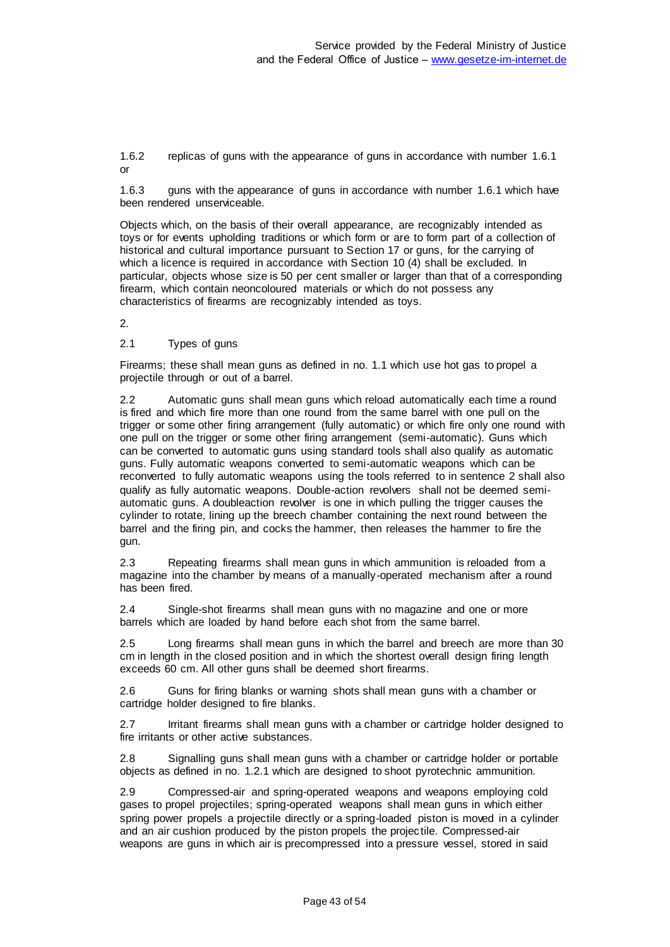1.6.2 replicas of guns with the appearance of guns in accordance with number 1.6.1 or

1.6.3 guns with the appearance of guns in accordance with number 1.6.1 which have been rendered unserviceable.

Objects which, on the basis of their overall appearance, are recognizably intended as toys or for events upholding traditions or which form or are to form part of a collection of historical and cultural importance pursuant to Section 17 or guns, for the carrying of which a licence is required in accordance with Section 10 (4) shall be excluded. In particular, objects whose size is 50 per cent smaller or larger than that of a corresponding firearm, which contain neoncoloured materials or which do not possess any characteristics of firearms are recognizably intended as toys.

 $\mathcal{L}$ 

2.1 Types of guns

Firearms; these shall mean guns as defined in no. 1.1 which use hot gas to propel a projectile through or out of a barrel.

2.2 Automatic guns shall mean guns which reload automatically each time a round is fired and which fire more than one round from the same barrel with one pull on the trigger or some other firing arrangement (fully automatic) or which fire only one round with one pull on the trigger or some other firing arrangement (semi-automatic). Guns which can be converted to automatic guns using standard tools shall also qualify as automatic guns. Fully automatic weapons converted to semi-automatic weapons which can be reconverted to fully automatic weapons using the tools referred to in sentence 2 shall also qualify as fully automatic weapons. Double-action revolvers shall not be deemed semiautomatic guns. A doubleaction revolver is one in which pulling the trigger causes the cylinder to rotate, lining up the breech chamber containing the next round between the barrel and the firing pin, and cocks the hammer, then releases the hammer to fire the gun.

2.3 Repeating firearms shall mean guns in which ammunition is reloaded from a magazine into the chamber by means of a manually-operated mechanism after a round has been fired.

2.4 Single-shot firearms shall mean guns with no magazine and one or more barrels which are loaded by hand before each shot from the same barrel.

Long firearms shall mean guns in which the barrel and breech are more than 30 cm in length in the closed position and in which the shortest overall design firing length exceeds 60 cm. All other guns shall be deemed short firearms.

2.6 Guns for firing blanks or warning shots shall mean guns with a chamber or cartridge holder designed to fire blanks.

2.7 Irritant firearms shall mean guns with a chamber or cartridge holder designed to fire irritants or other active substances.

2.8 Signalling guns shall mean guns with a chamber or cartridge holder or portable objects as defined in no. 1.2.1 which are designed to shoot pyrotechnic ammunition.

2.9 Compressed-air and spring-operated weapons and weapons employing cold gases to propel projectiles; spring-operated weapons shall mean guns in which either spring power propels a projectile directly or a spring-loaded piston is moved in a cylinder and an air cushion produced by the piston propels the projectile. Compressed-air weapons are guns in which air is precompressed into a pressure vessel, stored in said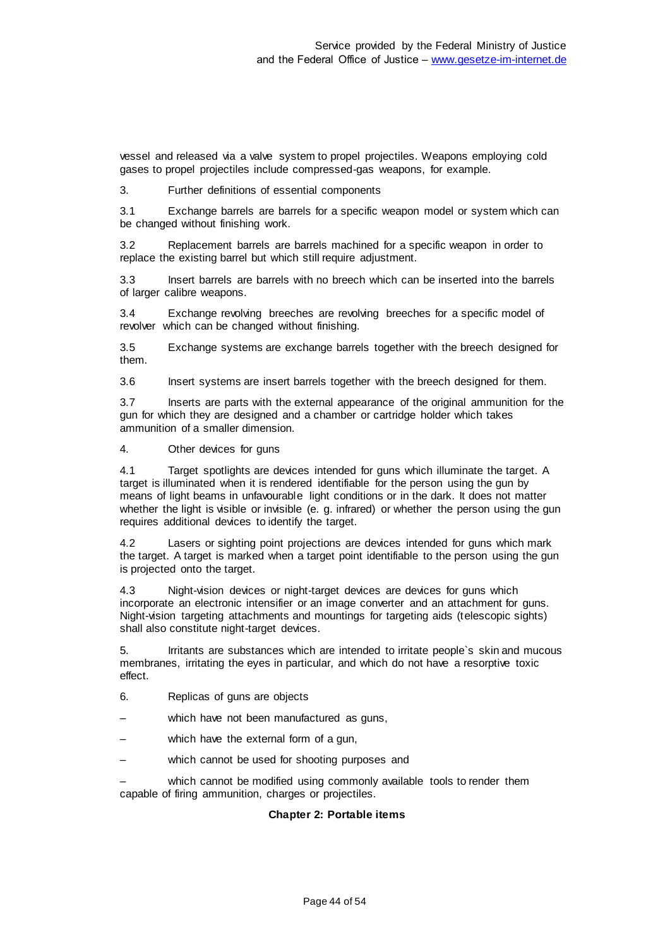vessel and released via a valve system to propel projectiles. Weapons employing cold gases to propel projectiles include compressed-gas weapons, for example.

3. Further definitions of essential components

3.1 Exchange barrels are barrels for a specific weapon model or system which can be changed without finishing work.

3.2 Replacement barrels are barrels machined for a specific weapon in order to replace the existing barrel but which still require adjustment.

3.3 Insert barrels are barrels with no breech which can be inserted into the barrels of larger calibre weapons.

3.4 Exchange revolving breeches are revolving breeches for a specific model of revolver which can be changed without finishing.

3.5 Exchange systems are exchange barrels together with the breech designed for them.

3.6 Insert systems are insert barrels together with the breech designed for them.

3.7 Inserts are parts with the external appearance of the original ammunition for the gun for which they are designed and a chamber or cartridge holder which takes ammunition of a smaller dimension.

4. Other devices for guns

4.1 Target spotlights are devices intended for guns which illuminate the target. A target is illuminated when it is rendered identifiable for the person using the gun by means of light beams in unfavourable light conditions or in the dark. It does not matter whether the light is visible or invisible (e. g. infrared) or whether the person using the gun requires additional devices to identify the target.

4.2 Lasers or sighting point projections are devices intended for guns which mark the target. A target is marked when a target point identifiable to the person using the gun is projected onto the target.

4.3 Night-vision devices or night-target devices are devices for guns which incorporate an electronic intensifier or an image converter and an attachment for guns. Night-vision targeting attachments and mountings for targeting aids (telescopic sights) shall also constitute night-target devices.

5. Irritants are substances which are intended to irritate people`s skin and mucous membranes, irritating the eyes in particular, and which do not have a resorptive toxic effect.

- 6. Replicas of guns are objects
- which have not been manufactured as guns,
- which have the external form of a gun,
- which cannot be used for shooting purposes and

which cannot be modified using commonly available tools to render them capable of firing ammunition, charges or projectiles.

#### **Chapter 2: Portable items**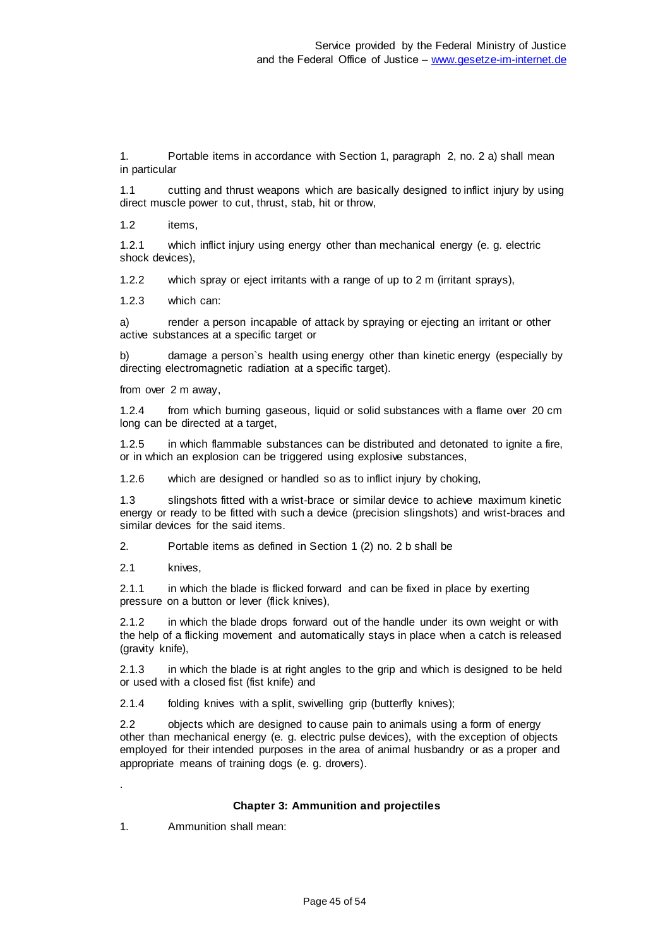1. Portable items in accordance with Section 1, paragraph 2, no. 2 a) shall mean in particular

1.1 cutting and thrust weapons which are basically designed to inflict injury by using direct muscle power to cut, thrust, stab, hit or throw,

1.2 items,

1.2.1 which inflict injury using energy other than mechanical energy (e. g. electric shock devices),

1.2.2 which spray or eject irritants with a range of up to 2 m (irritant sprays),

1.2.3 which can:

a) render a person incapable of attack by spraying or ejecting an irritant or other active substances at a specific target or

b) damage a person`s health using energy other than kinetic energy (especially by directing electromagnetic radiation at a specific target).

from over 2 m away,

1.2.4 from which burning gaseous, liquid or solid substances with a flame over 20 cm long can be directed at a target,

1.2.5 in which flammable substances can be distributed and detonated to ignite a fire, or in which an explosion can be triggered using explosive substances,

1.2.6 which are designed or handled so as to inflict injury by choking,

1.3 slingshots fitted with a wrist-brace or similar device to achieve maximum kinetic energy or ready to be fitted with such a device (precision slingshots) and wrist-braces and similar devices for the said items.

2. Portable items as defined in Section 1 (2) no. 2 b shall be

2.1 knives,

.

2.1.1 in which the blade is flicked forward and can be fixed in place by exerting pressure on a button or lever (flick knives),

2.1.2 in which the blade drops forward out of the handle under its own weight or with the help of a flicking movement and automatically stays in place when a catch is released (gravity knife),

2.1.3 in which the blade is at right angles to the grip and which is designed to be held or used with a closed fist (fist knife) and

2.1.4 folding knives with a split, swivelling grip (butterfly knives);

2.2 objects which are designed to cause pain to animals using a form of energy other than mechanical energy (e. g. electric pulse devices), with the exception of objects employed for their intended purposes in the area of animal husbandry or as a proper and appropriate means of training dogs (e. g. drovers).

#### **Chapter 3: Ammunition and projectiles**

1. Ammunition shall mean: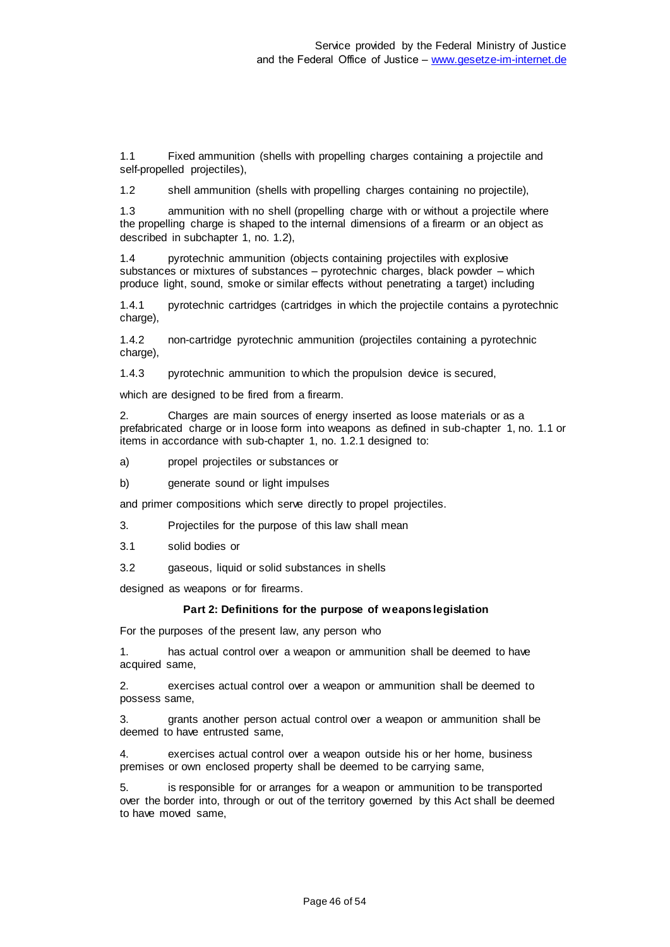1.1 Fixed ammunition (shells with propelling charges containing a projectile and self-propelled projectiles),

1.2 shell ammunition (shells with propelling charges containing no projectile),

1.3 ammunition with no shell (propelling charge with or without a projectile where the propelling charge is shaped to the internal dimensions of a firearm or an object as described in subchapter 1, no. 1.2),

1.4 pyrotechnic ammunition (objects containing projectiles with explosive substances or mixtures of substances – pyrotechnic charges, black powder – which produce light, sound, smoke or similar effects without penetrating a target) including

1.4.1 pyrotechnic cartridges (cartridges in which the projectile contains a pyrotechnic charge),

1.4.2 non-cartridge pyrotechnic ammunition (projectiles containing a pyrotechnic charge),

1.4.3 pyrotechnic ammunition to which the propulsion device is secured,

which are designed to be fired from a firearm.

2. Charges are main sources of energy inserted as loose materials or as a prefabricated charge or in loose form into weapons as defined in sub-chapter 1, no. 1.1 or items in accordance with sub-chapter 1, no. 1.2.1 designed to:

a) propel projectiles or substances or

b) generate sound or light impulses

and primer compositions which serve directly to propel projectiles.

3. Projectiles for the purpose of this law shall mean

3.1 solid bodies or

3.2 gaseous, liquid or solid substances in shells

designed as weapons or for firearms.

#### **Part 2: Definitions for the purpose of weapons legislation**

For the purposes of the present law, any person who

1. has actual control over a weapon or ammunition shall be deemed to have acquired same,

2. exercises actual control over a weapon or ammunition shall be deemed to possess same,

3. grants another person actual control over a weapon or ammunition shall be deemed to have entrusted same,

4. exercises actual control over a weapon outside his or her home, business premises or own enclosed property shall be deemed to be carrying same,

5. is responsible for or arranges for a weapon or ammunition to be transported over the border into, through or out of the territory governed by this Act shall be deemed to have moved same,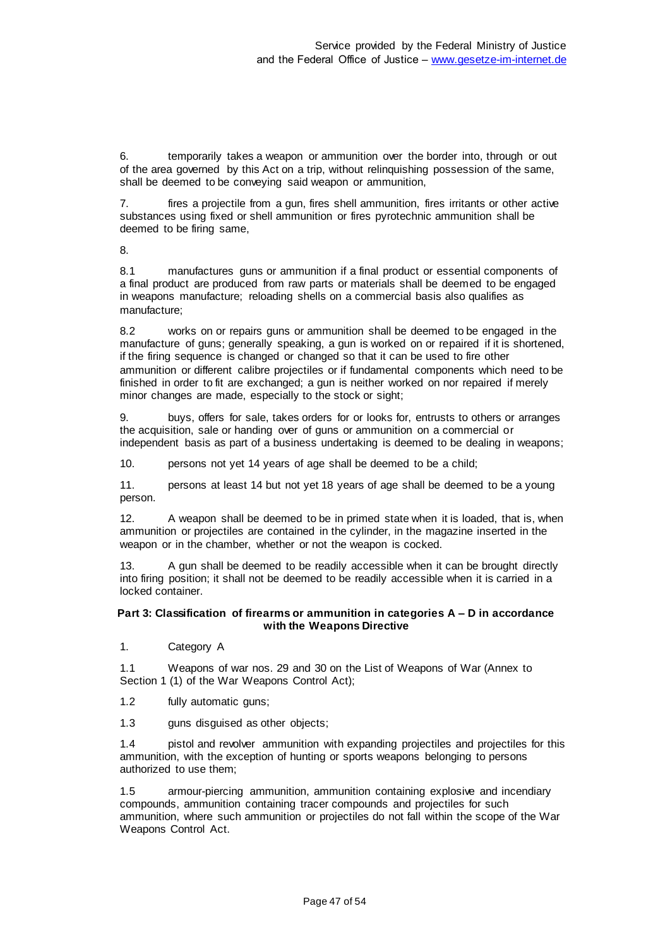6. temporarily takes a weapon or ammunition over the border into, through or out of the area governed by this Act on a trip, without relinquishing possession of the same, shall be deemed to be conveying said weapon or ammunition,

7. fires a projectile from a gun, fires shell ammunition, fires irritants or other active substances using fixed or shell ammunition or fires pyrotechnic ammunition shall be deemed to be firing same,

8.

8.1 manufactures guns or ammunition if a final product or essential components of a final product are produced from raw parts or materials shall be deemed to be engaged in weapons manufacture; reloading shells on a commercial basis also qualifies as manufacture;

8.2 works on or repairs guns or ammunition shall be deemed to be engaged in the manufacture of guns; generally speaking, a gun is worked on or repaired if it is shortened, if the firing sequence is changed or changed so that it can be used to fire other ammunition or different calibre projectiles or if fundamental components which need to be finished in order to fit are exchanged; a gun is neither worked on nor repaired if merely minor changes are made, especially to the stock or sight;

9. buys, offers for sale, takes orders for or looks for, entrusts to others or arranges the acquisition, sale or handing over of guns or ammunition on a commercial or independent basis as part of a business undertaking is deemed to be dealing in weapons;

10. persons not yet 14 years of age shall be deemed to be a child;

11. persons at least 14 but not yet 18 years of age shall be deemed to be a young person.

12. A weapon shall be deemed to be in primed state when it is loaded, that is, when ammunition or projectiles are contained in the cylinder, in the magazine inserted in the weapon or in the chamber, whether or not the weapon is cocked.

13. A gun shall be deemed to be readily accessible when it can be brought directly into firing position; it shall not be deemed to be readily accessible when it is carried in a locked container.

#### **Part 3: Classification of firearms or ammunition in categories A – D in accordance with the Weapons Directive**

1. Category A

1.1 Weapons of war nos. 29 and 30 on the List of Weapons of War (Annex to Section 1 (1) of the War Weapons Control Act);

1.2 fully automatic guns;

1.3 guns disguised as other objects;

1.4 pistol and revolver ammunition with expanding projectiles and projectiles for this ammunition, with the exception of hunting or sports weapons belonging to persons authorized to use them;

1.5 armour-piercing ammunition, ammunition containing explosive and incendiary compounds, ammunition containing tracer compounds and projectiles for such ammunition, where such ammunition or projectiles do not fall within the scope of the War Weapons Control Act.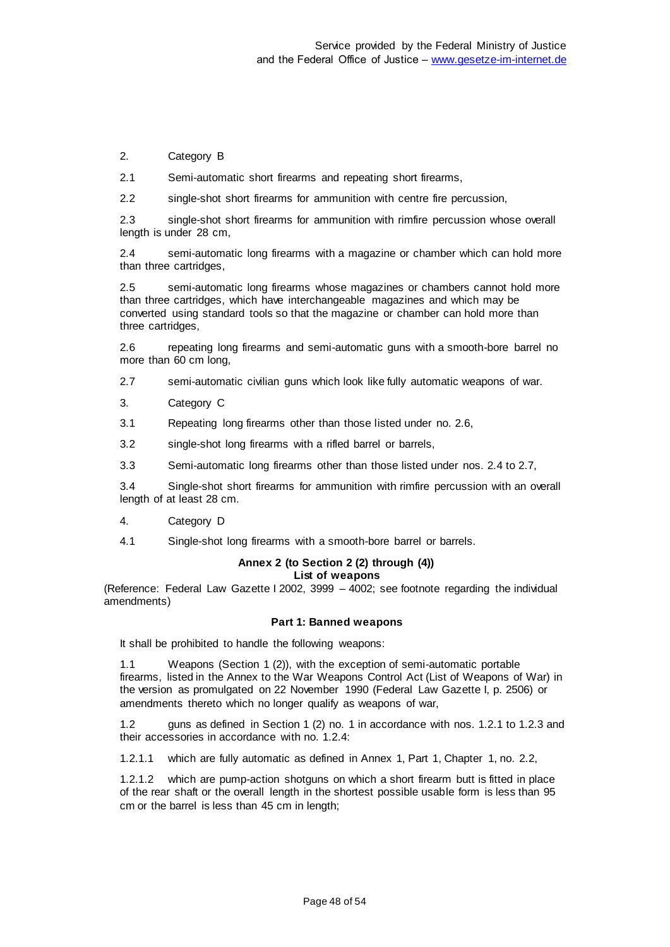2. Category B

2.1 Semi-automatic short firearms and repeating short firearms,

2.2 single-shot short firearms for ammunition with centre fire percussion,

2.3 single-shot short firearms for ammunition with rimfire percussion whose overall length is under 28 cm,

2.4 semi-automatic long firearms with a magazine or chamber which can hold more than three cartridges,

2.5 semi-automatic long firearms whose magazines or chambers cannot hold more than three cartridges, which have interchangeable magazines and which may be converted using standard tools so that the magazine or chamber can hold more than three cartridges,

2.6 repeating long firearms and semi-automatic guns with a smooth-bore barrel no more than 60 cm long,

2.7 semi-automatic civilian guns which look like fully automatic weapons of war.

3. Category C

3.1 Repeating long firearms other than those listed under no. 2.6,

3.2 single-shot long firearms with a rifled barrel or barrels,

3.3 Semi-automatic long firearms other than those listed under nos. 2.4 to 2.7,

3.4 Single-shot short firearms for ammunition with rimfire percussion with an overall length of at least 28 cm.

4. Category D

4.1 Single-shot long firearms with a smooth-bore barrel or barrels.

# **Annex 2 (to Section 2 (2) through (4))**

**List of weapons**

(Reference: Federal Law Gazette I 2002, 3999 – 4002; see footnote regarding the individual amendments)

#### **Part 1: Banned weapons**

It shall be prohibited to handle the following weapons:

1.1 Weapons (Section 1 (2)), with the exception of semi-automatic portable firearms, listed in the Annex to the War Weapons Control Act (List of Weapons of War) in the version as promulgated on 22 November 1990 (Federal Law Gazette I, p. 2506) or amendments thereto which no longer qualify as weapons of war,

1.2 guns as defined in Section 1 (2) no. 1 in accordance with nos. 1.2.1 to 1.2.3 and their accessories in accordance with no. 1.2.4:

1.2.1.1 which are fully automatic as defined in Annex 1, Part 1, Chapter 1, no. 2.2,

1.2.1.2 which are pump-action shotguns on which a short firearm butt is fitted in place of the rear shaft or the overall length in the shortest possible usable form is less than 95 cm or the barrel is less than 45 cm in length;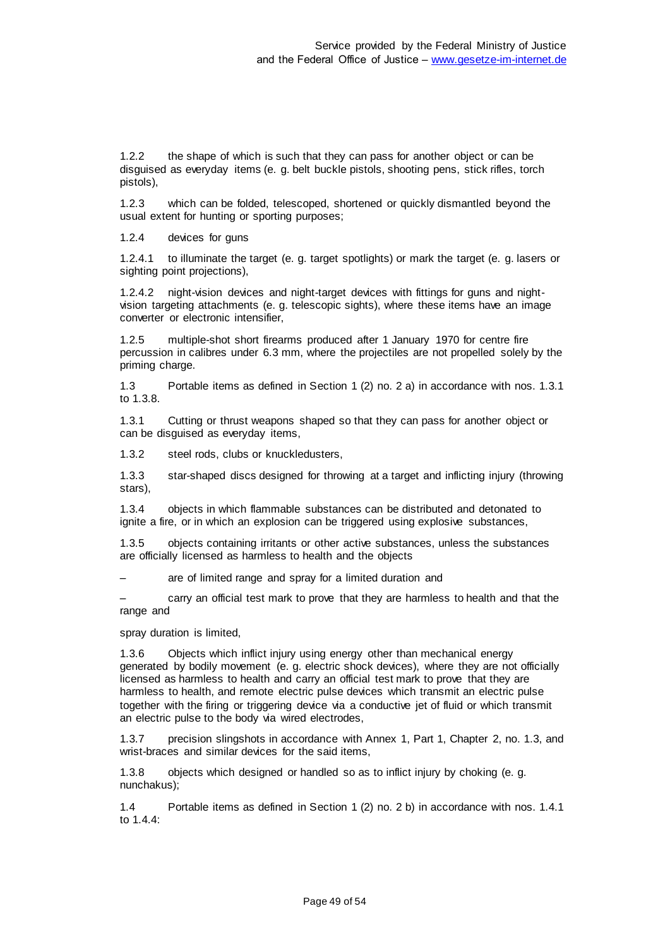1.2.2 the shape of which is such that they can pass for another object or can be disguised as everyday items (e. g. belt buckle pistols, shooting pens, stick rifles, torch pistols),

1.2.3 which can be folded, telescoped, shortened or quickly dismantled beyond the usual extent for hunting or sporting purposes;

1.2.4 devices for guns

1.2.4.1 to illuminate the target (e. g. target spotlights) or mark the target (e. g. lasers or sighting point projections),

1.2.4.2 night-vision devices and night-target devices with fittings for guns and nightvision targeting attachments (e. g. telescopic sights), where these items have an image converter or electronic intensifier,

1.2.5 multiple-shot short firearms produced after 1 January 1970 for centre fire percussion in calibres under 6.3 mm, where the projectiles are not propelled solely by the priming charge.

1.3 Portable items as defined in Section 1 (2) no. 2 a) in accordance with nos. 1.3.1 to 1.3.8.

1.3.1 Cutting or thrust weapons shaped so that they can pass for another object or can be disguised as everyday items,

1.3.2 steel rods, clubs or knuckledusters,

1.3.3 star-shaped discs designed for throwing at a target and inflicting injury (throwing stars),

1.3.4 objects in which flammable substances can be distributed and detonated to ignite a fire, or in which an explosion can be triggered using explosive substances,

1.3.5 objects containing irritants or other active substances, unless the substances are officially licensed as harmless to health and the objects

– are of limited range and spray for a limited duration and

– carry an official test mark to prove that they are harmless to health and that the range and

spray duration is limited,

1.3.6 Objects which inflict injury using energy other than mechanical energy generated by bodily movement (e. g. electric shock devices), where they are not officially licensed as harmless to health and carry an official test mark to prove that they are harmless to health, and remote electric pulse devices which transmit an electric pulse together with the firing or triggering device via a conductive jet of fluid or which transmit an electric pulse to the body via wired electrodes,

1.3.7 precision slingshots in accordance with Annex 1, Part 1, Chapter 2, no. 1.3, and wrist-braces and similar devices for the said items,

1.3.8 objects which designed or handled so as to inflict injury by choking (e. g. nunchakus);

1.4 Portable items as defined in Section 1 (2) no. 2 b) in accordance with nos. 1.4.1 to 1.4.4: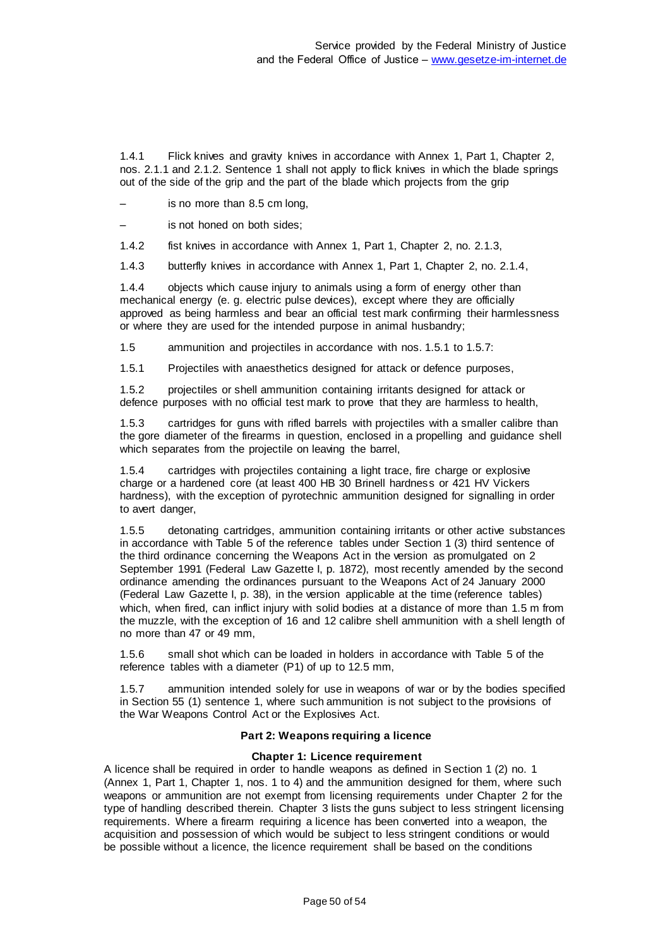1.4.1 Flick knives and gravity knives in accordance with Annex 1, Part 1, Chapter 2, nos. 2.1.1 and 2.1.2. Sentence 1 shall not apply to flick knives in which the blade springs out of the side of the grip and the part of the blade which projects from the grip

is no more than 8.5 cm long,

is not honed on both sides:

1.4.2 fist knives in accordance with Annex 1, Part 1, Chapter 2, no. 2.1.3,

1.4.3 butterfly knives in accordance with Annex 1, Part 1, Chapter 2, no. 2.1.4,

1.4.4 objects which cause injury to animals using a form of energy other than mechanical energy (e. g. electric pulse devices), except where they are officially approved as being harmless and bear an official test mark confirming their harmlessness or where they are used for the intended purpose in animal husbandry;

1.5 ammunition and projectiles in accordance with nos. 1.5.1 to 1.5.7:

1.5.1 Projectiles with anaesthetics designed for attack or defence purposes,

1.5.2 projectiles or shell ammunition containing irritants designed for attack or defence purposes with no official test mark to prove that they are harmless to health,

1.5.3 cartridges for guns with rifled barrels with projectiles with a smaller calibre than the gore diameter of the firearms in question, enclosed in a propelling and guidance shell which separates from the projectile on leaving the barrel,

1.5.4 cartridges with projectiles containing a light trace, fire charge or explosive charge or a hardened core (at least 400 HB 30 Brinell hardness or 421 HV Vickers hardness), with the exception of pyrotechnic ammunition designed for signalling in order to avert danger,

1.5.5 detonating cartridges, ammunition containing irritants or other active substances in accordance with Table 5 of the reference tables under Section 1 (3) third sentence of the third ordinance concerning the Weapons Act in the version as promulgated on 2 September 1991 (Federal Law Gazette I, p. 1872), most recently amended by the second ordinance amending the ordinances pursuant to the Weapons Act of 24 January 2000 (Federal Law Gazette I, p. 38), in the version applicable at the time (reference tables) which, when fired, can inflict injury with solid bodies at a distance of more than 1.5 m from the muzzle, with the exception of 16 and 12 calibre shell ammunition with a shell length of no more than 47 or 49 mm,

1.5.6 small shot which can be loaded in holders in accordance with Table 5 of the reference tables with a diameter (P1) of up to 12.5 mm,

1.5.7 ammunition intended solely for use in weapons of war or by the bodies specified in Section 55 (1) sentence 1, where such ammunition is not subject to the provisions of the War Weapons Control Act or the Explosives Act.

### **Part 2: Weapons requiring a licence**

#### **Chapter 1: Licence requirement**

A licence shall be required in order to handle weapons as defined in Section 1 (2) no. 1 (Annex 1, Part 1, Chapter 1, nos. 1 to 4) and the ammunition designed for them, where such weapons or ammunition are not exempt from licensing requirements under Chapter 2 for the type of handling described therein. Chapter 3 lists the guns subject to less stringent licensing requirements. Where a firearm requiring a licence has been converted into a weapon, the acquisition and possession of which would be subject to less stringent conditions or would be possible without a licence, the licence requirement shall be based on the conditions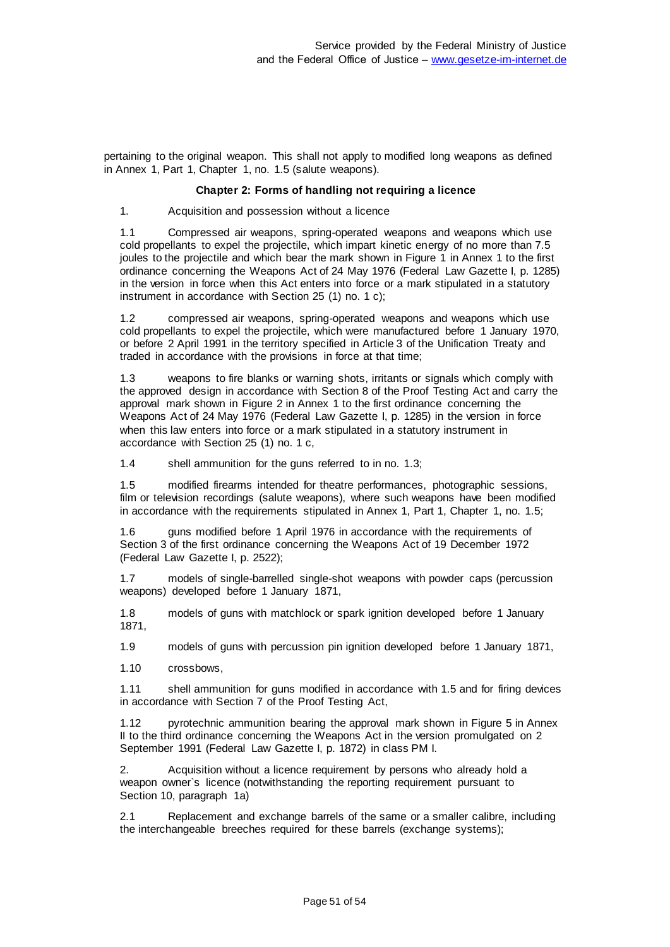pertaining to the original weapon. This shall not apply to modified long weapons as defined in Annex 1, Part 1, Chapter 1, no. 1.5 (salute weapons).

#### **Chapter 2: Forms of handling not requiring a licence**

1. Acquisition and possession without a licence

1.1 Compressed air weapons, spring-operated weapons and weapons which use cold propellants to expel the projectile, which impart kinetic energy of no more than 7.5 joules to the projectile and which bear the mark shown in Figure 1 in Annex 1 to the first ordinance concerning the Weapons Act of 24 May 1976 (Federal Law Gazette I, p. 1285) in the version in force when this Act enters into force or a mark stipulated in a statutory instrument in accordance with Section 25 (1) no. 1 c);

1.2 compressed air weapons, spring-operated weapons and weapons which use cold propellants to expel the projectile, which were manufactured before 1 January 1970, or before 2 April 1991 in the territory specified in Article 3 of the Unification Treaty and traded in accordance with the provisions in force at that time;

weapons to fire blanks or warning shots, irritants or signals which comply with the approved design in accordance with Section 8 of the Proof Testing Act and carry the approval mark shown in Figure 2 in Annex 1 to the first ordinance concerning the Weapons Act of 24 May 1976 (Federal Law Gazette I, p. 1285) in the version in force when this law enters into force or a mark stipulated in a statutory instrument in accordance with Section 25 (1) no. 1 c,

1.4 shell ammunition for the guns referred to in no. 1.3;

1.5 modified firearms intended for theatre performances, photographic sessions, film or television recordings (salute weapons), where such weapons have been modified in accordance with the requirements stipulated in Annex 1, Part 1, Chapter 1, no. 1.5;

1.6 guns modified before 1 April 1976 in accordance with the requirements of Section 3 of the first ordinance concerning the Weapons Act of 19 December 1972 (Federal Law Gazette I, p. 2522);

1.7 models of single-barrelled single-shot weapons with powder caps (percussion weapons) developed before 1 January 1871,

1.8 models of guns with matchlock or spark ignition developed before 1 January 1871,

1.9 models of guns with percussion pin ignition developed before 1 January 1871,

1.10 crossbows,

1.11 shell ammunition for guns modified in accordance with 1.5 and for firing devices in accordance with Section 7 of the Proof Testing Act,

1.12 pyrotechnic ammunition bearing the approval mark shown in Figure 5 in Annex II to the third ordinance concerning the Weapons Act in the version promulgated on 2 September 1991 (Federal Law Gazette I, p. 1872) in class PM I.

2. Acquisition without a licence requirement by persons who already hold a weapon owner`s licence (notwithstanding the reporting requirement pursuant to Section 10, paragraph 1a)

2.1 Replacement and exchange barrels of the same or a smaller calibre, including the interchangeable breeches required for these barrels (exchange systems);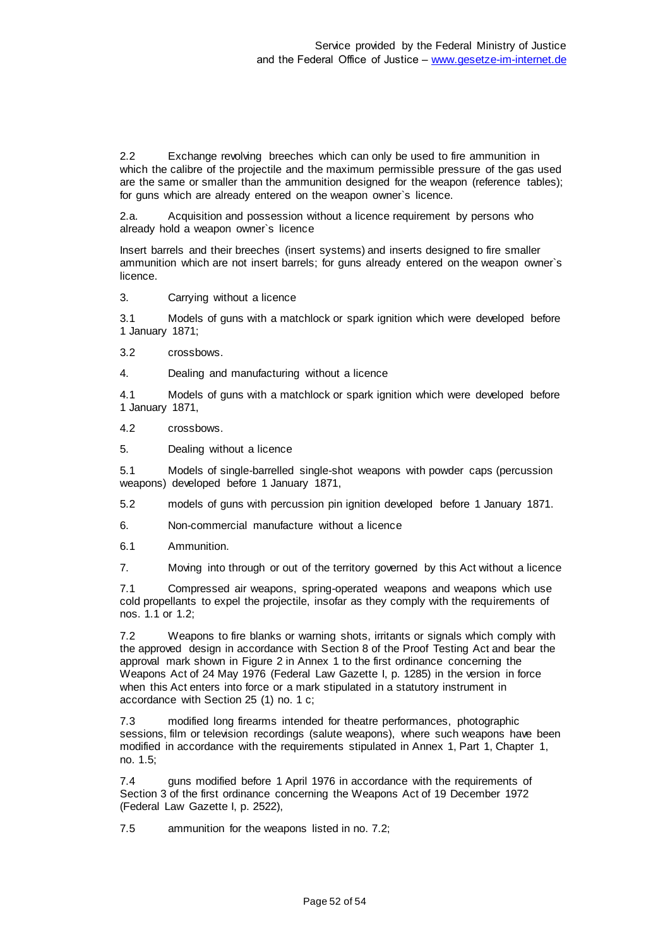2.2 Exchange revolving breeches which can only be used to fire ammunition in which the calibre of the projectile and the maximum permissible pressure of the gas used are the same or smaller than the ammunition designed for the weapon (reference tables); for guns which are already entered on the weapon owner`s licence.

2.a. Acquisition and possession without a licence requirement by persons who already hold a weapon owner`s licence

Insert barrels and their breeches (insert systems) and inserts designed to fire smaller ammunition which are not insert barrels; for guns already entered on the weapon owner`s licence.

3. Carrying without a licence

3.1 Models of guns with a matchlock or spark ignition which were developed before 1 January 1871;

3.2 crossbows.

4. Dealing and manufacturing without a licence

4.1 Models of guns with a matchlock or spark ignition which were developed before 1 January 1871,

- 4.2 crossbows.
- 5. Dealing without a licence

5.1 Models of single-barrelled single-shot weapons with powder caps (percussion weapons) developed before 1 January 1871,

5.2 models of guns with percussion pin ignition developed before 1 January 1871.

6. Non-commercial manufacture without a licence

6.1 Ammunition.

7. Moving into through or out of the territory governed by this Act without a licence

7.1 Compressed air weapons, spring-operated weapons and weapons which use cold propellants to expel the projectile, insofar as they comply with the requirements of nos. 1.1 or 1.2;

7.2 Weapons to fire blanks or warning shots, irritants or signals which comply with the approved design in accordance with Section 8 of the Proof Testing Act and bear the approval mark shown in Figure 2 in Annex 1 to the first ordinance concerning the Weapons Act of 24 May 1976 (Federal Law Gazette I, p. 1285) in the version in force when this Act enters into force or a mark stipulated in a statutory instrument in accordance with Section 25 (1) no. 1 c;

7.3 modified long firearms intended for theatre performances, photographic sessions, film or television recordings (salute weapons), where such weapons have been modified in accordance with the requirements stipulated in Annex 1, Part 1, Chapter 1, no. 1.5;

7.4 guns modified before 1 April 1976 in accordance with the requirements of Section 3 of the first ordinance concerning the Weapons Act of 19 December 1972 (Federal Law Gazette I, p. 2522),

7.5 ammunition for the weapons listed in no. 7.2;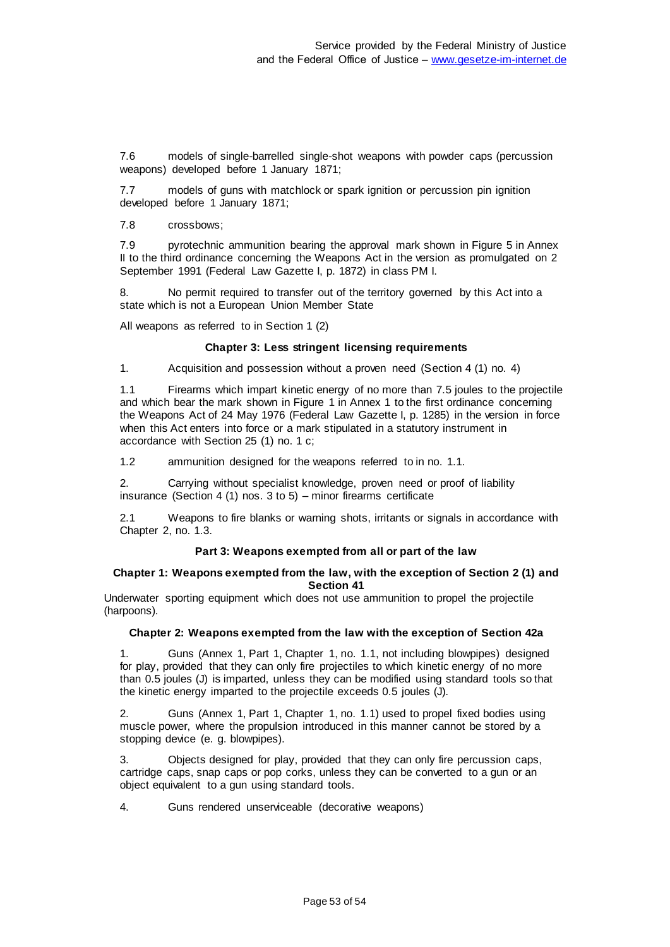7.6 models of single-barrelled single-shot weapons with powder caps (percussion weapons) developed before 1 January 1871;

7.7 models of guns with matchlock or spark ignition or percussion pin ignition developed before 1 January 1871;

7.8 crossbows;

7.9 pyrotechnic ammunition bearing the approval mark shown in Figure 5 in Annex II to the third ordinance concerning the Weapons Act in the version as promulgated on 2 September 1991 (Federal Law Gazette I, p. 1872) in class PM I.

8. No permit required to transfer out of the territory governed by this Act into a state which is not a European Union Member State

All weapons as referred to in Section 1 (2)

#### **Chapter 3: Less stringent licensing requirements**

1. Acquisition and possession without a proven need (Section 4 (1) no. 4)

1.1 Firearms which impart kinetic energy of no more than 7.5 joules to the projectile and which bear the mark shown in Figure 1 in Annex 1 to the first ordinance concerning the Weapons Act of 24 May 1976 (Federal Law Gazette I, p. 1285) in the version in force when this Act enters into force or a mark stipulated in a statutory instrument in accordance with Section 25 (1) no. 1 c;

1.2 ammunition designed for the weapons referred to in no. 1.1.

2. Carrying without specialist knowledge, proven need or proof of liability insurance (Section 4 (1) nos. 3 to 5) – minor firearms certificate

2.1 Weapons to fire blanks or warning shots, irritants or signals in accordance with Chapter 2, no. 1.3.

#### **Part 3: Weapons exempted from all or part of the law**

#### **Chapter 1: Weapons exempted from the law, with the exception of Section 2 (1) and Section 41**

Underwater sporting equipment which does not use ammunition to propel the projectile (harpoons).

#### **Chapter 2: Weapons exempted from the law with the exception of Section 42a**

1. Guns (Annex 1, Part 1, Chapter 1, no. 1.1, not including blowpipes) designed for play, provided that they can only fire projectiles to which kinetic energy of no more than 0.5 joules (J) is imparted, unless they can be modified using standard tools so that the kinetic energy imparted to the projectile exceeds 0.5 joules (J).

2. Guns (Annex 1, Part 1, Chapter 1, no. 1.1) used to propel fixed bodies using muscle power, where the propulsion introduced in this manner cannot be stored by a stopping device (e. g. blowpipes).

3. Objects designed for play, provided that they can only fire percussion caps, cartridge caps, snap caps or pop corks, unless they can be converted to a gun or an object equivalent to a gun using standard tools.

4. Guns rendered unserviceable (decorative weapons)